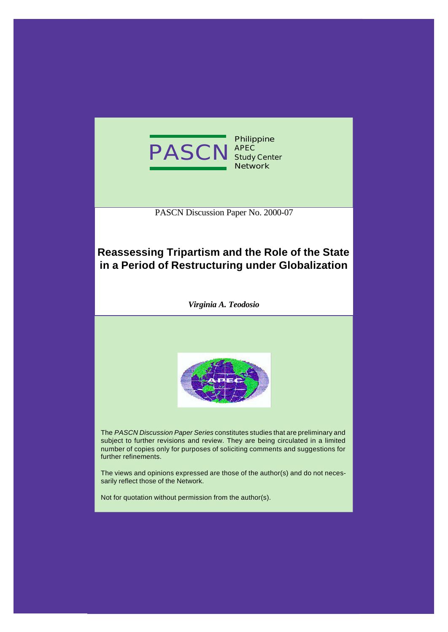

PASCN Discussion Paper No. 2000-07

# **Reassessing Tripartism and the Role of the State in a Period of Restructuring under Globalization**

*Virginia A. Teodosio*



The *PASCN Discussion Paper Series* constitutes studies that are preliminary and subject to further revisions and review. They are being circulated in a limited number of copies only for purposes of soliciting comments and suggestions for further refinements.

The views and opinions expressed are those of the author(s) and do not necessarily reflect those of the Network.

Not for quotation without permission from the author(s).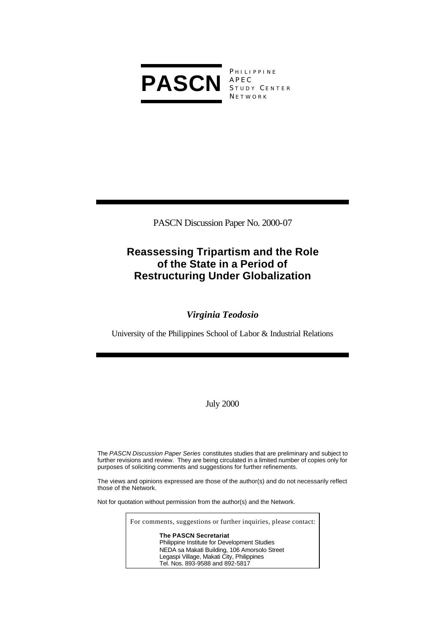

PHILIPPINE APEC STUDY CENTER **NETWORK** 

PASCN Discussion Paper No. 2000-07

# **Reassessing Tripartism and the Role of the State in a Period of Restructuring Under Globalization**

# *Virginia Teodosio*

University of the Philippines School of Labor & Industrial Relations

July 2000

The *PASCN Discussion Paper Series* constitutes studies that are preliminary and subject to further revisions and review. They are being circulated in a limited number of copies only for purposes of soliciting comments and suggestions for further refinements.

The views and opinions expressed are those of the author(s) and do not necessarily reflect those of the Network.

Not for quotation without permission from the author(s) and the Network.

For comments, suggestions or further inquiries, please contact:

**The PASCN Secretariat** Philippine Institute for Development Studies NEDA sa Makati Building, 106 Amorsolo Street Legaspi Village, Makati City, Philippines Tel. Nos. 893-9588 and 892-5817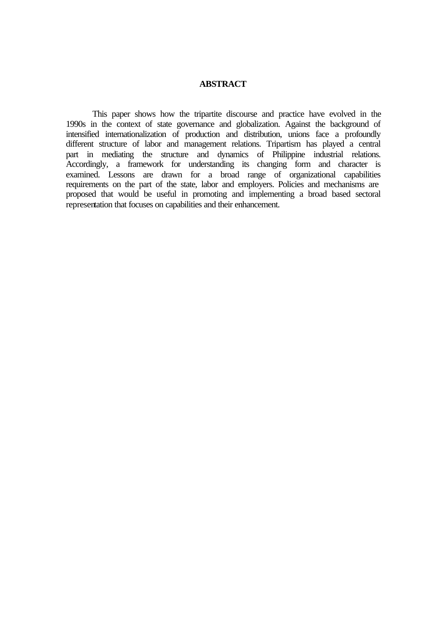#### **ABSTRACT**

This paper shows how the tripartite discourse and practice have evolved in the 1990s in the context of state governance and globalization. Against the background of intensified internationalization of production and distribution, unions face a profoundly different structure of labor and management relations. Tripartism has played a central part in mediating the structure and dynamics of Philippine industrial relations. Accordingly, a framework for understanding its changing form and character is examined. Lessons are drawn for a broad range of organizational capabilities requirements on the part of the state, labor and employers. Policies and mechanisms are proposed that would be useful in promoting and implementing a broad based sectoral representation that focuses on capabilities and their enhancement.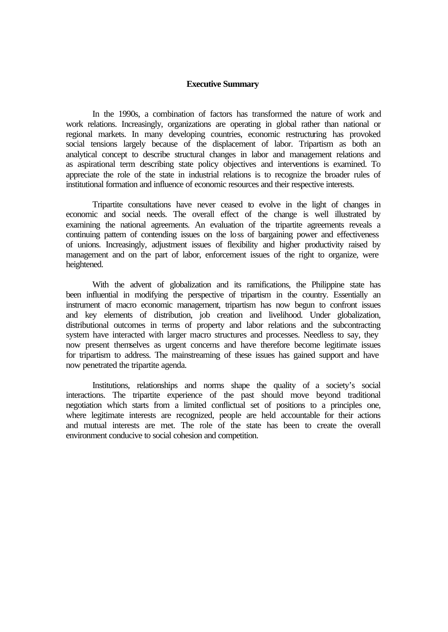#### **Executive Summary**

In the 1990s, a combination of factors has transformed the nature of work and work relations. Increasingly, organizations are operating in global rather than national or regional markets. In many developing countries, economic restructuring has provoked social tensions largely because of the displacement of labor. Tripartism as both an analytical concept to describe structural changes in labor and management relations and as aspirational term describing state policy objectives and interventions is examined. To appreciate the role of the state in industrial relations is to recognize the broader rules of institutional formation and influence of economic resources and their respective interests.

Tripartite consultations have never ceased to evolve in the light of changes in economic and social needs. The overall effect of the change is well illustrated by examining the national agreements. An evaluation of the tripartite agreements reveals a continuing pattern of contending issues on the loss of bargaining power and effectiveness of unions. Increasingly, adjustment issues of flexibility and higher productivity raised by management and on the part of labor, enforcement issues of the right to organize, were heightened.

With the advent of globalization and its ramifications, the Philippine state has been influential in modifying the perspective of tripartism in the country. Essentially an instrument of macro economic management, tripartism has now begun to confront issues and key elements of distribution, job creation and livelihood. Under globalization, distributional outcomes in terms of property and labor relations and the subcontracting system have interacted with larger macro structures and processes. Needless to say, they now present themselves as urgent concerns and have therefore become legitimate issues for tripartism to address. The mainstreaming of these issues has gained support and have now penetrated the tripartite agenda.

Institutions, relationships and norms shape the quality of a society's social interactions. The tripartite experience of the past should move beyond traditional negotiation which starts from a limited conflictual set of positions to a principles one, where legitimate interests are recognized, people are held accountable for their actions and mutual interests are met. The role of the state has been to create the overall environment conducive to social cohesion and competition.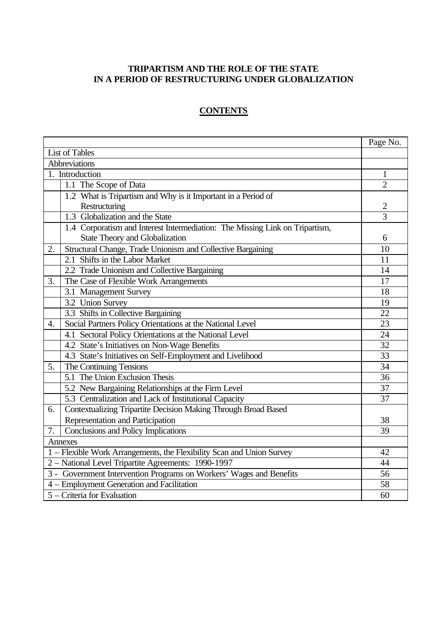## **TRIPARTISM AND THE ROLE OF THE STATE IN A PERIOD OF RESTRUCTURING UNDER GLOBALIZATION**

# **CONTENTS**

|                                                                     |                                                                              | Page No.       |
|---------------------------------------------------------------------|------------------------------------------------------------------------------|----------------|
|                                                                     | <b>List of Tables</b>                                                        |                |
|                                                                     | Abbreviations                                                                |                |
|                                                                     | 1. Introduction                                                              | $\mathbf{1}$   |
|                                                                     | 1.1 The Scope of Data                                                        | $\overline{2}$ |
|                                                                     | 1.2 What is Tripartism and Why is it Important in a Period of                |                |
|                                                                     | Restructuring                                                                | $\overline{2}$ |
|                                                                     | 1.3 Globalization and the State                                              | $\overline{3}$ |
|                                                                     | 1.4 Corporatism and Interest Intermediation: The Missing Link on Tripartism, |                |
|                                                                     | State Theory and Globalization                                               | 6              |
| 2.                                                                  | Structural Change, Trade Unionism and Collective Bargaining                  | 10             |
|                                                                     | 2.1 Shifts in the Labor Market                                               | 11             |
|                                                                     | 2.2 Trade Unionism and Collective Bargaining                                 | 14             |
| 3.                                                                  | The Case of Flexible Work Arrangements                                       | 17             |
|                                                                     | 3.1 Management Survey                                                        | 18             |
|                                                                     | 3.2 Union Survey                                                             | 19             |
|                                                                     | 3.3 Shifts in Collective Bargaining                                          | 22             |
| 4.                                                                  | Social Partners Policy Orientations at the National Level                    | 23             |
|                                                                     | 4.1 Sectoral Policy Orientations at the National Level                       | 24             |
|                                                                     | 4.2 State's Initiatives on Non-Wage Benefits                                 | 32             |
|                                                                     | 4.3 State's Initiatives on Self-Employment and Livelihood                    | 33             |
| 5.                                                                  | The Continuing Tensions                                                      | 34             |
|                                                                     | 5.1 The Union Exclusion Thesis                                               | 36             |
|                                                                     | 5.2 New Bargaining Relationships at the Firm Level                           | 37             |
|                                                                     | 5.3 Centralization and Lack of Institutional Capacity                        | 37             |
| 6.                                                                  | Contextualizing Tripartite Decision Making Through Broad Based               |                |
|                                                                     | Representation and Participation                                             | 38             |
| 7.                                                                  | Conclusions and Policy Implications                                          | 39             |
|                                                                     | Annexes                                                                      |                |
|                                                                     | 1 - Flexible Work Arrangements, the Flexibility Scan and Union Survey        | 42             |
|                                                                     | 2 - National Level Tripartite Agreements: 1990-1997                          | 44             |
| 3 - Government Intervention Programs on Workers' Wages and Benefits |                                                                              |                |
|                                                                     | 4 – Employment Generation and Facilitation                                   | 58             |
|                                                                     | 5 - Criteria for Evaluation                                                  | 60             |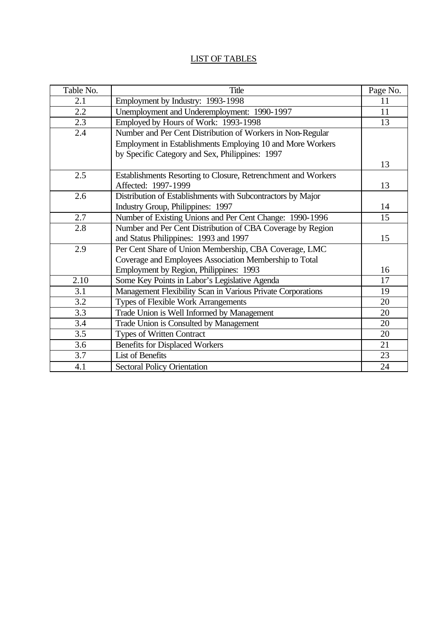# LIST OF TABLES

| Table No. | <b>Title</b>                                                  | Page No. |
|-----------|---------------------------------------------------------------|----------|
| 2.1       | Employment by Industry: 1993-1998                             | 11       |
| $2.2\,$   | Unemployment and Underemployment: 1990-1997                   | 11       |
| 2.3       | Employed by Hours of Work: 1993-1998                          | 13       |
| 2.4       | Number and Per Cent Distribution of Workers in Non-Regular    |          |
|           | Employment in Establishments Employing 10 and More Workers    |          |
|           | by Specific Category and Sex, Philippines: 1997               |          |
|           |                                                               | 13       |
| 2.5       | Establishments Resorting to Closure, Retrenchment and Workers |          |
|           | Affected: 1997-1999                                           | 13       |
| 2.6       | Distribution of Establishments with Subcontractors by Major   |          |
|           | Industry Group, Philippines: 1997                             | 14       |
| 2.7       | Number of Existing Unions and Per Cent Change: 1990-1996      | 15       |
| 2.8       | Number and Per Cent Distribution of CBA Coverage by Region    |          |
|           | and Status Philippines: 1993 and 1997                         | 15       |
| 2.9       | Per Cent Share of Union Membership, CBA Coverage, LMC         |          |
|           | Coverage and Employees Association Membership to Total        |          |
|           | Employment by Region, Philippines: 1993                       | 16       |
| 2.10      | Some Key Points in Labor's Legislative Agenda                 | 17       |
| 3.1       | Management Flexibility Scan in Various Private Corporations   | 19       |
| 3.2       | Types of Flexible Work Arrangements                           | 20       |
| 3.3       | Trade Union is Well Informed by Management                    | 20       |
| 3.4       | Trade Union is Consulted by Management                        | 20       |
| 3.5       | <b>Types of Written Contract</b>                              | 20       |
| 3.6       | <b>Benefits for Displaced Workers</b>                         | 21       |
| 3.7       | List of Benefits                                              | 23       |
| 4.1       | <b>Sectoral Policy Orientation</b>                            | 24       |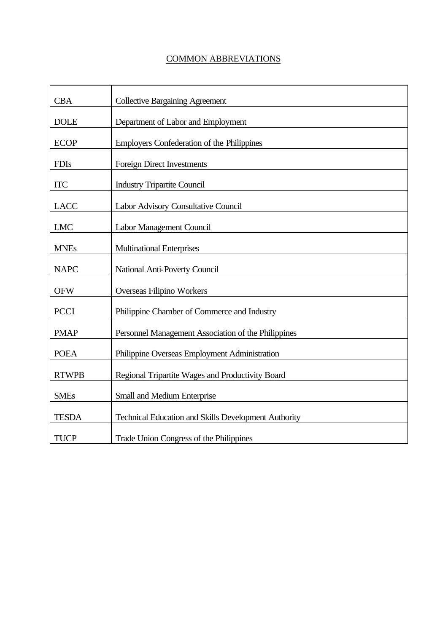# COMMON ABBREVIATIONS

| <b>CBA</b>   | <b>Collective Bargaining Agreement</b>               |
|--------------|------------------------------------------------------|
| <b>DOLE</b>  | Department of Labor and Employment                   |
| <b>ECOP</b>  | Employers Confederation of the Philippines           |
| <b>FDIs</b>  | Foreign Direct Investments                           |
| <b>ITC</b>   | <b>Industry Tripartite Council</b>                   |
| <b>LACC</b>  | Labor Advisory Consultative Council                  |
| <b>LMC</b>   | Labor Management Council                             |
| <b>MNEs</b>  | <b>Multinational Enterprises</b>                     |
| <b>NAPC</b>  | National Anti-Poverty Council                        |
| <b>OFW</b>   | Overseas Filipino Workers                            |
| <b>PCCI</b>  | Philippine Chamber of Commerce and Industry          |
| <b>PMAP</b>  | Personnel Management Association of the Philippines  |
| <b>POEA</b>  | Philippine Overseas Employment Administration        |
| <b>RTWPB</b> | Regional Tripartite Wages and Productivity Board     |
| <b>SMEs</b>  | Small and Medium Enterprise                          |
| <b>TESDA</b> | Technical Education and Skills Development Authority |
| <b>TUCP</b>  | Trade Union Congress of the Philippines              |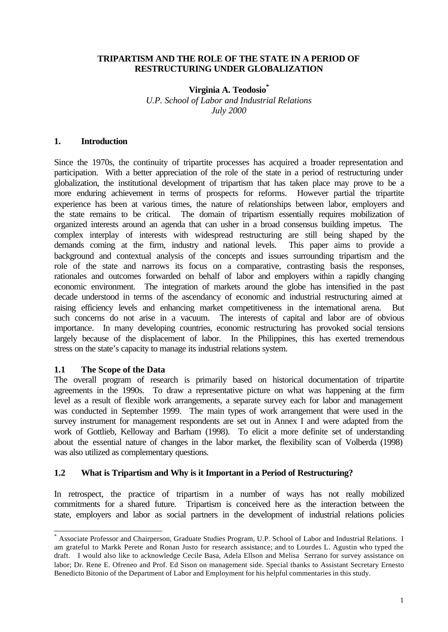### **TRIPARTISM AND THE ROLE OF THE STATE IN A PERIOD OF RESTRUCTURING UNDER GLOBALIZATION**

### **Virginia A. Teodosio\***

*U.P. School of Labor and Industrial Relations July 2000*

## **1. Introduction**

Since the 1970s, the continuity of tripartite processes has acquired a broader representation and participation. With a better appreciation of the role of the state in a period of restructuring under globalization, the institutional development of tripartism that has taken place may prove to be a more enduring achievement in terms of prospects for reforms. However partial the tripartite experience has been at various times, the nature of relationships between labor, employers and the state remains to be critical. The domain of tripartism essentially requires mobilization of organized interests around an agenda that can usher in a broad consensus building impetus. The complex interplay of interests with widespread restructuring are still being shaped by the demands coming at the firm, industry and national levels. This paper aims to provide a background and contextual analysis of the concepts and issues surrounding tripartism and the role of the state and narrows its focus on a comparative, contrasting basis the responses, rationales and outcomes forwarded on behalf of labor and employers within a rapidly changing economic environment. The integration of markets around the globe has intensified in the past decade understood in terms of the ascendancy of economic and industrial restructuring aimed at raising efficiency levels and enhancing market competitiveness in the international arena. But such concerns do not arise in a vacuum. The interests of capital and labor are of obvious importance. In many developing countries, economic restructuring has provoked social tensions largely because of the displacement of labor. In the Philippines, this has exerted tremendous stress on the state's capacity to manage its industrial relations system.

## **1.1 The Scope of the Data**

l

The overall program of research is primarily based on historical documentation of tripartite agreements in the 1990s. To draw a representative picture on what was happening at the firm level as a result of flexible work arrangements, a separate survey each for labor and management was conducted in September 1999. The main types of work arrangement that were used in the survey instrument for management respondents are set out in Annex I and were adapted from the work of Gottlieb, Kelloway and Barham (1998). To elicit a more definite set of understanding about the essential nature of changes in the labor market, the flexibility scan of Volberda (1998) was also utilized as complementary questions.

## **1.2 What is Tripartism and Why is it Important in a Period of Restructuring?**

In retrospect, the practice of tripartism in a number of ways has not really mobilized commitments for a shared future. Tripartism is conceived here as the interaction between the state, employers and labor as social partners in the development of industrial relations policies

<sup>\*</sup> Associate Professor and Chairperson, Graduate Studies Program, U.P. School of Labor and Industrial Relations. I am grateful to Markk Perete and Ronan Justo for research assistance; and to Lourdes L. Agustin who typed the draft. I would also like to acknowledge Cecile Basa, Adela Ellson and Melisa Serrano for survey assistance on labor; Dr. Rene E. Ofreneo and Prof. Ed Sison on management side. Special thanks to Assistant Secretary Ernesto Benedicto Bitonio of the Department of Labor and Employment for his helpful commentaries in this study.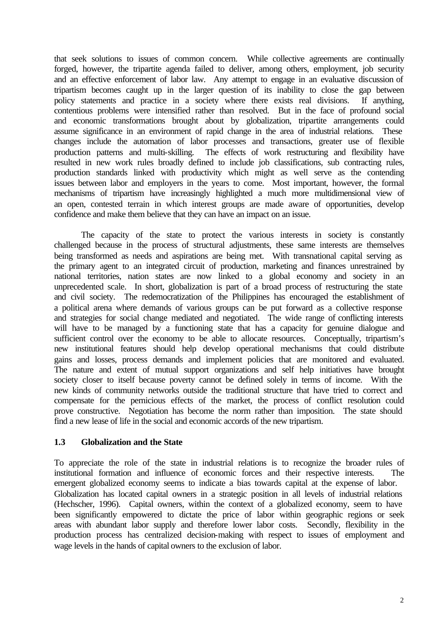that seek solutions to issues of common concern. While collective agreements are continually forged, however, the tripartite agenda failed to deliver, among others, employment, job security and an effective enforcement of labor law. Any attempt to engage in an evaluative discussion of tripartism becomes caught up in the larger question of its inability to close the gap between policy statements and practice in a society where there exists real divisions. If anything, contentious problems were intensified rather than resolved. But in the face of profound social and economic transformations brought about by globalization, tripartite arrangements could assume significance in an environment of rapid change in the area of industrial relations. These changes include the automation of labor processes and transactions, greater use of flexible production patterns and multi-skilling. The effects of work restructuring and flexibility have resulted in new work rules broadly defined to include job classifications, sub contracting rules, production standards linked with productivity which might as well serve as the contending issues between labor and employers in the years to come. Most important, however, the formal mechanisms of tripartism have increasingly highlighted a much more multidimensional view of an open, contested terrain in which interest groups are made aware of opportunities, develop confidence and make them believe that they can have an impact on an issue.

The capacity of the state to protect the various interests in society is constantly challenged because in the process of structural adjustments, these same interests are themselves being transformed as needs and aspirations are being met. With transnational capital serving as the primary agent to an integrated circuit of production, marketing and finances unrestrained by national territories, nation states are now linked to a global economy and society in an unprecedented scale. In short, globalization is part of a broad process of restructuring the state and civil society. The redemocratization of the Philippines has encouraged the establishment of a political arena where demands of various groups can be put forward as a collective response and strategies for social change mediated and negotiated. The wide range of conflicting interests will have to be managed by a functioning state that has a capacity for genuine dialogue and sufficient control over the economy to be able to allocate resources. Conceptually, tripartism's new institutional features should help develop operational mechanisms that could distribute gains and losses, process demands and implement policies that are monitored and evaluated. The nature and extent of mutual support organizations and self help initiatives have brought society closer to itself because poverty cannot be defined solely in terms of income. With the new kinds of community networks outside the traditional structure that have tried to correct and compensate for the pernicious effects of the market, the process of conflict resolution could prove constructive. Negotiation has become the norm rather than imposition. The state should find a new lease of life in the social and economic accords of the new tripartism.

### **1.3 Globalization and the State**

To appreciate the role of the state in industrial relations is to recognize the broader rules of institutional formation and influence of economic forces and their respective interests. The emergent globalized economy seems to indicate a bias towards capital at the expense of labor. Globalization has located capital owners in a strategic position in all levels of industrial relations (Hechscher, 1996). Capital owners, within the context of a globalized economy, seem to have been significantly empowered to dictate the price of labor within geographic regions or seek areas with abundant labor supply and therefore lower labor costs. Secondly, flexibility in the production process has centralized decision-making with respect to issues of employment and wage levels in the hands of capital owners to the exclusion of labor.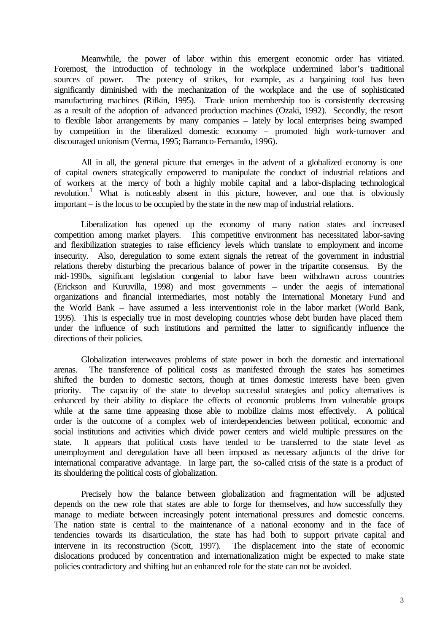Meanwhile, the power of labor within this emergent economic order has vitiated. Foremost, the introduction of technology in the workplace undermined labor's traditional sources of power. The potency of strikes, for example, as a bargaining tool has been significantly diminished with the mechanization of the workplace and the use of sophisticated manufacturing machines (Rifkin, 1995). Trade union membership too is consistently decreasing as a result of the adoption of advanced production machines (Ozaki, 1992). Secondly, the resort to flexible labor arrangements by many companies – lately by local enterprises being swamped by competition in the liberalized domestic economy – promoted high work-turnover and discouraged unionism (Verma, 1995; Barranco-Fernando, 1996).

All in all, the general picture that emerges in the advent of a globalized economy is one of capital owners strategically empowered to manipulate the conduct of industrial relations and of workers at the mercy of both a highly mobile capital and a labor-displacing technological revolution.<sup>1</sup> What is noticeably absent in this picture, however, and one that is obviously important – is the locus to be occupied by the state in the new map of industrial relations.

Liberalization has opened up the economy of many nation states and increased competition among market players. This competitive environment has necessitated labor-saving and flexibilization strategies to raise efficiency levels which translate to employment and income insecurity. Also, deregulation to some extent signals the retreat of the government in industrial relations thereby disturbing the precarious balance of power in the tripartite consensus. By the mid-1990s, significant legislation congenial to labor have been withdrawn across countries (Erickson and Kuruvilla, 1998) and most governments – under the aegis of international organizations and financial intermediaries, most notably the International Monetary Fund and the World Bank – have assumed a less interventionist role in the labor market (World Bank, 1995). This is especially true in most developing countries whose debt burden have placed them under the influence of such institutions and permitted the latter to significantly influence the directions of their policies.

Globalization interweaves problems of state power in both the domestic and international arenas. The transference of political costs as manifested through the states has sometimes shifted the burden to domestic sectors, though at times domestic interests have been given priority. The capacity of the state to develop successful strategies and policy alternatives is enhanced by their ability to displace the effects of economic problems from vulnerable groups while at the same time appeasing those able to mobilize claims most effectively. A political order is the outcome of a complex web of interdependencies between political, economic and social institutions and activities which divide power centers and wield multiple pressures on the state. It appears that political costs have tended to be transferred to the state level as unemployment and deregulation have all been imposed as necessary adjuncts of the drive for international comparative advantage. In large part, the so-called crisis of the state is a product of its shouldering the political costs of globalization.

Precisely how the balance between globalization and fragmentation will be adjusted depends on the new role that states are able to forge for themselves, and how successfully they manage to mediate between increasingly potent international pressures and domestic concerns. The nation state is central to the maintenance of a national economy and in the face of tendencies towards its disarticulation, the state has had both to support private capital and intervene in its reconstruction (Scott, 1997). The displacement into the state of economic dislocations produced by concentration and internationalization might be expected to make state policies contradictory and shifting but an enhanced role for the state can not be avoided.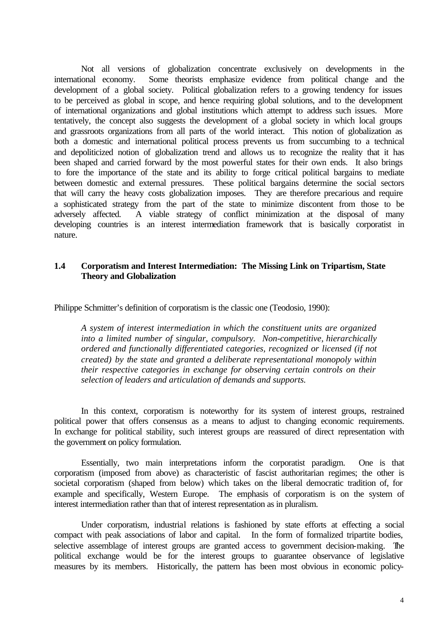Not all versions of globalization concentrate exclusively on developments in the international economy. Some theorists emphasize evidence from political change and the development of a global society. Political globalization refers to a growing tendency for issues to be perceived as global in scope, and hence requiring global solutions, and to the development of international organizations and global institutions which attempt to address such issues. More tentatively, the concept also suggests the development of a global society in which local groups and grassroots organizations from all parts of the world interact. This notion of globalization as both a domestic and international political process prevents us from succumbing to a technical and depoliticized notion of globalization trend and allows us to recognize the reality that it has been shaped and carried forward by the most powerful states for their own ends. It also brings to fore the importance of the state and its ability to forge critical political bargains to mediate between domestic and external pressures. These political bargains determine the social sectors that will carry the heavy costs globalization imposes. They are therefore precarious and require a sophisticated strategy from the part of the state to minimize discontent from those to be adversely affected. A viable strategy of conflict minimization at the disposal of many developing countries is an interest intermediation framework that is basically corporatist in nature.

### **1.4 Corporatism and Interest Intermediation: The Missing Link on Tripartism, State Theory and Globalization**

Philippe Schmitter's definition of corporatism is the classic one (Teodosio, 1990):

*A system of interest intermediation in which the constituent units are organized into a limited number of singular, compulsory. Non-competitive, hierarchically ordered and functionally differentiated categories, recognized or licensed (if not created) by the state and granted a deliberate representational monopoly within their respective categories in exchange for observing certain controls on their selection of leaders and articulation of demands and supports.*

In this context, corporatism is noteworthy for its system of interest groups, restrained political power that offers consensus as a means to adjust to changing economic requirements. In exchange for political stability, such interest groups are reassured of direct representation with the government on policy formulation.

Essentially, two main interpretations inform the corporatist paradigm. One is that corporatism (imposed from above) as characteristic of fascist authoritarian regimes; the other is societal corporatism (shaped from below) which takes on the liberal democratic tradition of, for example and specifically, Western Europe. The emphasis of corporatism is on the system of interest intermediation rather than that of interest representation as in pluralism.

Under corporatism, industrial relations is fashioned by state efforts at effecting a social compact with peak associations of labor and capital. In the form of formalized tripartite bodies, selective assemblage of interest groups are granted access to government decision-making. The political exchange would be for the interest groups to guarantee observance of legislative measures by its members. Historically, the pattern has been most obvious in economic policy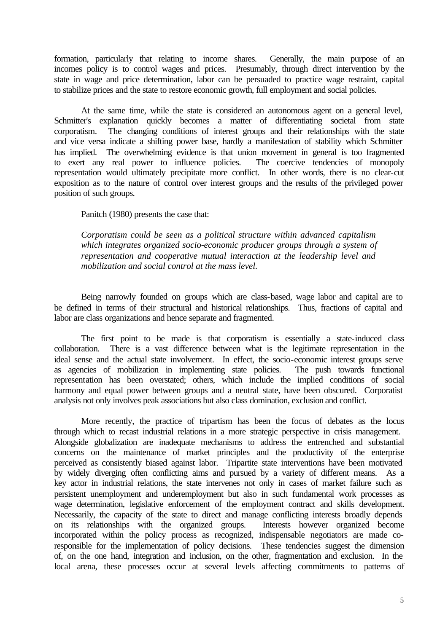formation, particularly that relating to income shares. Generally, the main purpose of an incomes policy is to control wages and prices. Presumably, through direct intervention by the state in wage and price determination, labor can be persuaded to practice wage restraint, capital to stabilize prices and the state to restore economic growth, full employment and social policies.

At the same time, while the state is considered an autonomous agent on a general level, Schmitter's explanation quickly becomes a matter of differentiating societal from state corporatism. The changing conditions of interest groups and their relationships with the state and vice versa indicate a shifting power base, hardly a manifestation of stability which Schmitter has implied. The overwhelming evidence is that union movement in general is too fragmented to exert any real power to influence policies. The coercive tendencies of monopoly representation would ultimately precipitate more conflict. In other words, there is no clear-cut exposition as to the nature of control over interest groups and the results of the privileged power position of such groups.

Panitch (1980) presents the case that:

*Corporatism could be seen as a political structure within advanced capitalism which integrates organized socio-economic producer groups through a system of representation and cooperative mutual interaction at the leadership level and mobilization and social control at the mass level.*

Being narrowly founded on groups which are class-based, wage labor and capital are to be defined in terms of their structural and historical relationships. Thus, fractions of capital and labor are class organizations and hence separate and fragmented.

The first point to be made is that corporatism is essentially a state-induced class collaboration. There is a vast difference between what is the legitimate representation in the ideal sense and the actual state involvement. In effect, the socio-economic interest groups serve as agencies of mobilization in implementing state policies. The push towards functional representation has been overstated; others, which include the implied conditions of social harmony and equal power between groups and a neutral state, have been obscured. Corporatist analysis not only involves peak associations but also class domination, exclusion and conflict.

More recently, the practice of tripartism has been the focus of debates as the locus through which to recast industrial relations in a more strategic perspective in crisis management. Alongside globalization are inadequate mechanisms to address the entrenched and substantial concerns on the maintenance of market principles and the productivity of the enterprise perceived as consistently biased against labor. Tripartite state interventions have been motivated by widely diverging often conflicting aims and pursued by a variety of different means. As a key actor in industrial relations, the state intervenes not only in cases of market failure such as persistent unemployment and underemployment but also in such fundamental work processes as wage determination, legislative enforcement of the employment contract and skills development. Necessarily, the capacity of the state to direct and manage conflicting interests broadly depends on its relationships with the organized groups. Interests however organized become incorporated within the policy process as recognized, indispensable negotiators are made coresponsible for the implementation of policy decisions. These tendencies suggest the dimension of, on the one hand, integration and inclusion, on the other, fragmentation and exclusion. In the local arena, these processes occur at several levels affecting commitments to patterns of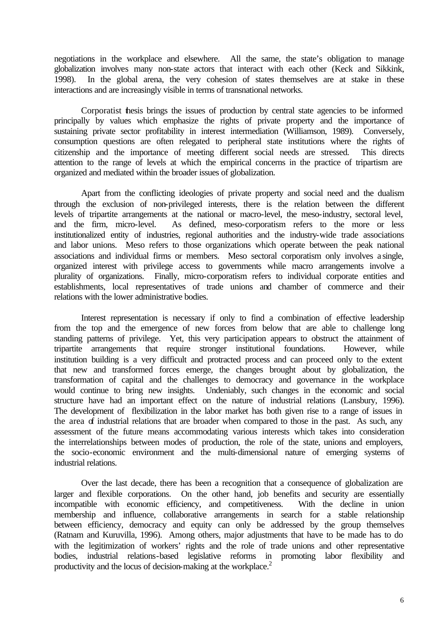negotiations in the workplace and elsewhere. All the same, the state's obligation to manage globalization involves many non-state actors that interact with each other (Keck and Sikkink, 1998). In the global arena, the very cohesion of states themselves are at stake in these interactions and are increasingly visible in terms of transnational networks.

Corporatist thesis brings the issues of production by central state agencies to be informed principally by values which emphasize the rights of private property and the importance of sustaining private sector profitability in interest intermediation (Williamson, 1989). Conversely, consumption questions are often relegated to peripheral state institutions where the rights of citizenship and the importance of meeting different social needs are stressed. This directs attention to the range of levels at which the empirical concerns in the practice of tripartism are organized and mediated within the broader issues of globalization.

Apart from the conflicting ideologies of private property and social need and the dualism through the exclusion of non-privileged interests, there is the relation between the different levels of tripartite arrangements at the national or macro-level, the meso-industry, sectoral level, and the firm, micro-level. As defined, meso-corporatism refers to the more or less institutionalized entity of industries, regional authorities and the industry-wide trade associations and labor unions. Meso refers to those organizations which operate between the peak national associations and individual firms or members. Meso sectoral corporatism only involves a single, organized interest with privilege access to governments while macro arrangements involve a plurality of organizations. Finally, micro-corporatism refers to individual corporate entities and establishments, local representatives of trade unions and chamber of commerce and their relations with the lower administrative bodies.

Interest representation is necessary if only to find a combination of effective leadership from the top and the emergence of new forces from below that are able to challenge long standing patterns of privilege. Yet, this very participation appears to obstruct the attainment of tripartite arrangements that require stronger institutional foundations. However, while institution building is a very difficult and protracted process and can proceed only to the extent that new and transformed forces emerge, the changes brought about by globalization, the transformation of capital and the challenges to democracy and governance in the workplace would continue to bring new insights. Undeniably, such changes in the economic and social structure have had an important effect on the nature of industrial relations (Lansbury, 1996). The development of flexibilization in the labor market has both given rise to a range of issues in the area of industrial relations that are broader when compared to those in the past. As such, any assessment of the future means accommodating various interests which takes into consideration the interrelationships between modes of production, the role of the state, unions and employers, the socio-economic environment and the multi-dimensional nature of emerging systems of industrial relations.

Over the last decade, there has been a recognition that a consequence of globalization are larger and flexible corporations. On the other hand, job benefits and security are essentially incompatible with economic efficiency, and competitiveness. With the decline in union membership and influence, collaborative arrangements in search for a stable relationship between efficiency, democracy and equity can only be addressed by the group themselves (Ratnam and Kuruvilla, 1996). Among others, major adjustments that have to be made has to do with the legitimization of workers' rights and the role of trade unions and other representative bodies, industrial relations-based legislative reforms in promoting labor flexibility and productivity and the locus of decision-making at the workplace.<sup>2</sup>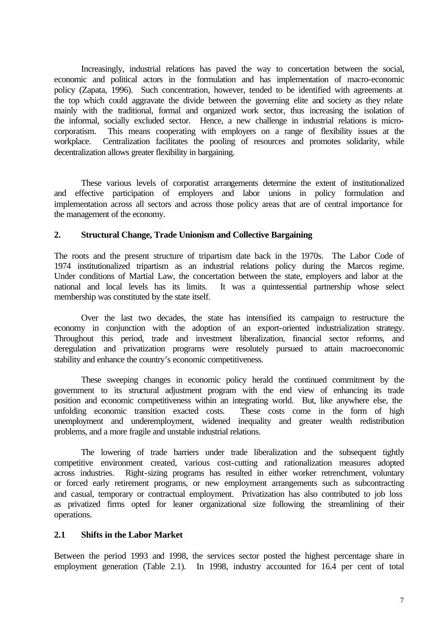Increasingly, industrial relations has paved the way to concertation between the social, economic and political actors in the formulation and has implementation of macro-economic policy (Zapata, 1996). Such concentration, however, tended to be identified with agreements at the top which could aggravate the divide between the governing elite and society as they relate mainly with the traditional, formal and organized work sector, thus increasing the isolation of the informal, socially excluded sector. Hence, a new challenge in industrial relations is microcorporatism. This means cooperating with employers on a range of flexibility issues at the workplace. Centralization facilitates the pooling of resources and promotes solidarity, while decentralization allows greater flexibility in bargaining.

These various levels of corporatist arrangements determine the extent of institutionalized and effective participation of employers and labor unions in policy formulation and implementation across all sectors and across those policy areas that are of central importance for the management of the economy.

### **2. Structural Change, Trade Unionism and Collective Bargaining**

The roots and the present structure of tripartism date back in the 1970s. The Labor Code of 1974 institutionalized tripartism as an industrial relations policy during the Marcos regime. Under conditions of Martial Law, the concertation between the state, employers and labor at the national and local levels has its limits. It was a quintessential partnership whose select membership was constituted by the state itself.

Over the last two decades, the state has intensified its campaign to restructure the economy in conjunction with the adoption of an export-oriented industrialization strategy. Throughout this period, trade and investment liberalization, financial sector reforms, and deregulation and privatization programs were resolutely pursued to attain macroeconomic stability and enhance the country's economic competitiveness.

These sweeping changes in economic policy herald the continued commitment by the government to its structural adjustment program with the end view of enhancing its trade position and economic competitiveness within an integrating world. But, like anywhere else, the unfolding economic transition exacted costs. These costs come in the form of high These costs come in the form of high unemployment and underemployment, widened inequality and greater wealth redistribution problems, and a more fragile and unstable industrial relations.

The lowering of trade barriers under trade liberalization and the subsequent tightly competitive environment created, various cost-cutting and rationalization measures adopted across industries. Right-sizing programs has resulted in either worker retrenchment, voluntary or forced early retirement programs, or new employment arrangements such as subcontracting and casual, temporary or contractual employment. Privatization has also contributed to job loss as privatized firms opted for leaner organizational size following the streamlining of their operations.

### **2.1 Shifts in the Labor Market**

Between the period 1993 and 1998, the services sector posted the highest percentage share in employment generation (Table 2.1). In 1998, industry accounted for 16.4 per cent of total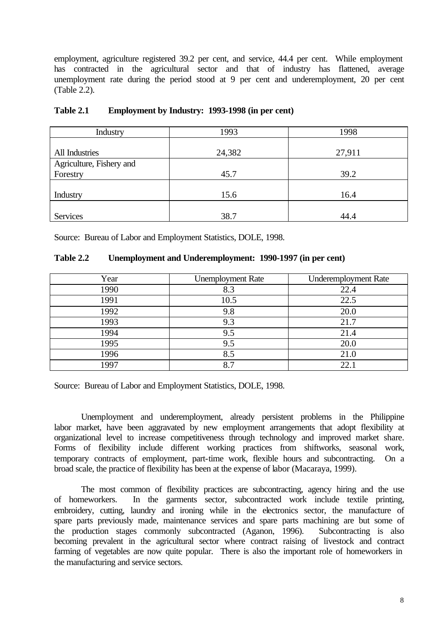employment, agriculture registered 39.2 per cent, and service, 44.4 per cent. While employment has contracted in the agricultural sector and that of industry has flattened, average unemployment rate during the period stood at 9 per cent and underemployment, 20 per cent (Table 2.2).

| Industry                             | 1993   | 1998   |
|--------------------------------------|--------|--------|
| All Industries                       | 24,382 | 27,911 |
| Agriculture, Fishery and<br>Forestry | 45.7   | 39.2   |
| Industry                             | 15.6   | 16.4   |
| Services                             | 38.7   | 44.4   |

| Table 2.1 |  | <b>Employment by Industry: 1993-1998 (in per cent)</b> |
|-----------|--|--------------------------------------------------------|
|-----------|--|--------------------------------------------------------|

Source: Bureau of Labor and Employment Statistics, DOLE, 1998.

| Table 2.2 | Unemployment and Underemployment: 1990-1997 (in per cent) |  |  |  |
|-----------|-----------------------------------------------------------|--|--|--|
|-----------|-----------------------------------------------------------|--|--|--|

| Year | <b>Unemployment Rate</b> | <b>Underemployment Rate</b> |
|------|--------------------------|-----------------------------|
| 1990 | 8.3                      | 22.4                        |
| 1991 | 10.5                     | 22.5                        |
| 1992 | 9.8                      | 20.0                        |
| 1993 | 9.3                      | 21.7                        |
| 1994 | 9.5                      | 21.4                        |
| 1995 | 9.5                      | 20.0                        |
| 1996 | 8.5                      | 21.0                        |
| 1997 | 8.7                      | 22.1                        |

Source: Bureau of Labor and Employment Statistics, DOLE, 1998.

Unemployment and underemployment, already persistent problems in the Philippine labor market, have been aggravated by new employment arrangements that adopt flexibility at organizational level to increase competitiveness through technology and improved market share. Forms of flexibility include different working practices from shiftworks, seasonal work, temporary contracts of employment, part-time work, flexible hours and subcontracting. On a broad scale, the practice of flexibility has been at the expense of labor (Macaraya, 1999).

The most common of flexibility practices are subcontracting, agency hiring and the use of homeworkers. In the garments sector, subcontracted work include textile printing, embroidery, cutting, laundry and ironing while in the electronics sector, the manufacture of spare parts previously made, maintenance services and spare parts machining are but some of the production stages commonly subcontracted (Aganon, 1996). Subcontracting is also becoming prevalent in the agricultural sector where contract raising of livestock and contract farming of vegetables are now quite popular. There is also the important role of homeworkers in the manufacturing and service sectors.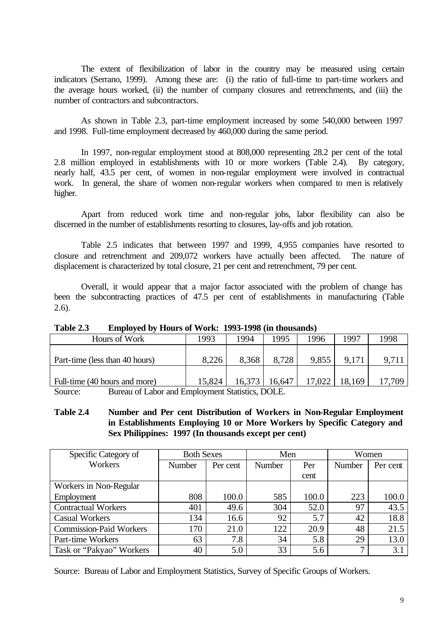The extent of flexibilization of labor in the country may be measured using certain indicators (Serrano, 1999). Among these are: (i) the ratio of full-time to part-time workers and the average hours worked, (ii) the number of company closures and retrenchments, and (iii) the number of contractors and subcontractors.

As shown in Table 2.3, part-time employment increased by some 540,000 between 1997 and 1998. Full-time employment decreased by 460,000 during the same period.

In 1997, non-regular employment stood at 808,000 representing 28.2 per cent of the total 2.8 million employed in establishments with 10 or more workers (Table 2.4). By category, nearly half, 43.5 per cent, of women in non-regular employment were involved in contractual work. In general, the share of women non-regular workers when compared to men is relatively higher.

Apart from reduced work time and non-regular jobs, labor flexibility can also be discerned in the number of establishments resorting to closures, lay-offs and job rotation.

Table 2.5 indicates that between 1997 and 1999, 4,955 companies have resorted to closure and retrenchment and 209,072 workers have actually been affected. The nature of displacement is characterized by total closure, 21 per cent and retrenchment, 79 per cent.

Overall, it would appear that a major factor associated with the problem of change has been the subcontracting practices of 47.5 per cent of establishments in manufacturing (Table 2.6).

| Table 2.3 | <b>Employed by Hours of Work: 1993-1998 (in thousands)</b> |  |  |
|-----------|------------------------------------------------------------|--|--|
|           |                                                            |  |  |

| 1993   | 1994   | .995   | 1996   | 1997   | 1998 |
|--------|--------|--------|--------|--------|------|
|        |        |        |        |        |      |
| 8,226  | 8,368  |        | 9,855  | 9.171  | 9,71 |
|        |        |        |        |        |      |
| 15,824 | 16,373 | 16.647 | 17.022 | 18,169 | .709 |
|        |        |        |        |        |      |

Source: Bureau of Labor and Employment Statistics, DOLE.

## **Table 2.4 Number and Per cent Distribution of Workers in Non-Regular Employment in Establishments Employing 10 or More Workers by Specific Category and Sex Philippines: 1997 (In thousands except per cent)**

| Specific Category of           | <b>Both Sexes</b><br>Men |          | Women  |       |        |          |
|--------------------------------|--------------------------|----------|--------|-------|--------|----------|
| Workers                        | <b>Number</b>            | Per cent | Number | Per   | Number | Per cent |
|                                |                          |          |        | cent  |        |          |
| Workers in Non-Regular         |                          |          |        |       |        |          |
| Employment                     | 808                      | 100.0    | 585    | 100.0 | 223    | 100.0    |
| <b>Contractual Workers</b>     | 401                      | 49.6     | 304    | 52.0  | 97     | 43.5     |
| <b>Casual Workers</b>          | 134                      | 16.6     | 92     | 5.7   | 42     | 18.8     |
| <b>Commission-Paid Workers</b> | 170                      | 21.0     | 122    | 20.9  | 48     | 21.5     |
| Part-time Workers              | 63                       | 7.8      | 34     | 5.8   | 29     | 13.0     |
| Task or "Pakyao" Workers       | 40                       | 5.0      | 33     | 5.6   | ⇁      | 3.1      |

Source: Bureau of Labor and Employment Statistics, Survey of Specific Groups of Workers.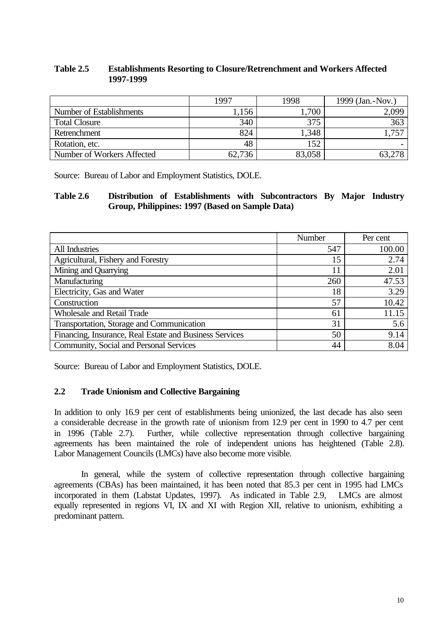## **Table 2.5 Establishments Resorting to Closure/Retrenchment and Workers Affected 1997-1999**

|                            | 1997   | 1998   | 1999 (Jan. - Nov.) |
|----------------------------|--------|--------|--------------------|
| Number of Establishments   | .156   | 1,700  | 2,099              |
| <b>Total Closure</b>       | 340    | 375    | 363                |
| Retrenchment               | 824    | 1,348  | .751               |
| Rotation, etc.             | 48     | 152    |                    |
| Number of Workers Affected | 62,736 | 83,058 | 63.278             |

Source: Bureau of Labor and Employment Statistics, DOLE.

### **Table 2.6 Distribution of Establishments with Subcontractors By Major Industry Group, Philippines: 1997 (Based on Sample Data)**

|                                                         | Number | Per cent |
|---------------------------------------------------------|--------|----------|
| All Industries                                          | 547    | 100.00   |
| Agricultural, Fishery and Forestry                      | 15     | 2.74     |
| Mining and Quarrying                                    | 11     | 2.01     |
| Manufacturing                                           | 260    | 47.53    |
| Electricity, Gas and Water                              | 18     | 3.29     |
| Construction                                            | 57     | 10.42    |
| <b>Wholesale and Retail Trade</b>                       | 61     | 11.15    |
| Transportation, Storage and Communication               | 31     | 5.6      |
| Financing, Insurance, Real Estate and Business Services | 50     | 9.14     |
| Community, Social and Personal Services                 | 44     | 8.04     |

Source: Bureau of Labor and Employment Statistics, DOLE.

## **2.2 Trade Unionism and Collective Bargaining**

In addition to only 16.9 per cent of establishments being unionized, the last decade has also seen a considerable decrease in the growth rate of unionism from 12.9 per cent in 1990 to 4.7 per cent in 1996 (Table 2.7). Further, while collective representation through collective bargaining agreements has been maintained the role of independent unions has heightened (Table 2.8). Labor Management Councils (LMCs) have also become more visible.

In general, while the system of collective representation through collective bargaining agreements (CBAs) has been maintained, it has been noted that 85.3 per cent in 1995 had LMCs incorporated in them (Labstat Updates, 1997). As indicated in Table 2.9, LMCs are almost equally represented in regions VI, IX and XI with Region XII, relative to unionism, exhibiting a predominant pattern.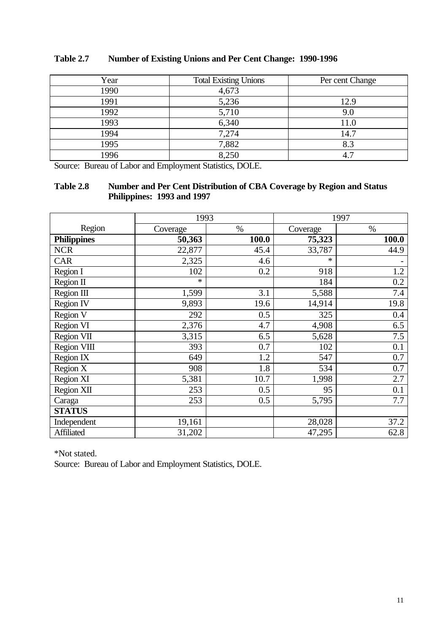| Year | <b>Total Existing Unions</b> | Per cent Change |
|------|------------------------------|-----------------|
| 1990 | 4,673                        |                 |
| 1991 | 5,236                        | 12.9            |
| 1992 | 5,710                        | 9.0             |
| 1993 | 6,340                        | 11.0            |
| 1994 | 7,274                        | 14.7            |
| 1995 | 7,882                        | 8.3             |
| 1996 | 8,250                        | 4.              |

## **Table 2.7 Number of Existing Unions and Per Cent Change: 1990-1996**

Source: Bureau of Labor and Employment Statistics, DOLE.

## **Table 2.8 Number and Per Cent Distribution of CBA Coverage by Region and Status Philippines: 1993 and 1997**

|                    | 1993     |       |          | 1997  |
|--------------------|----------|-------|----------|-------|
| Region             | Coverage | $\%$  | Coverage | $\%$  |
| <b>Philippines</b> | 50,363   | 100.0 | 75,323   | 100.0 |
| <b>NCR</b>         | 22,877   | 45.4  | 33,787   | 44.9  |
| <b>CAR</b>         | 2,325    | 4.6   | $\ast$   |       |
| Region I           | 102      | 0.2   | 918      | 1.2   |
| Region II          | $\ast$   |       | 184      | 0.2   |
| Region III         | 1,599    | 3.1   | 5,588    | 7.4   |
| Region IV          | 9,893    | 19.6  | 14,914   | 19.8  |
| Region V           | 292      | 0.5   | 325      | 0.4   |
| Region VI          | 2,376    | 4.7   | 4,908    | 6.5   |
| Region VII         | 3,315    | 6.5   | 5,628    | 7.5   |
| Region VIII        | 393      | 0.7   | 102      | 0.1   |
| Region IX          | 649      | 1.2   | 547      | 0.7   |
| Region X           | 908      | 1.8   | 534      | 0.7   |
| Region XI          | 5,381    | 10.7  | 1,998    | 2.7   |
| Region XII         | 253      | 0.5   | 95       | 0.1   |
| Caraga             | 253      | 0.5   | 5,795    | 7.7   |
| <b>STATUS</b>      |          |       |          |       |
| Independent        | 19,161   |       | 28,028   | 37.2  |
| Affiliated         | 31,202   |       | 47,295   | 62.8  |

\*Not stated.

Source: Bureau of Labor and Employment Statistics, DOLE.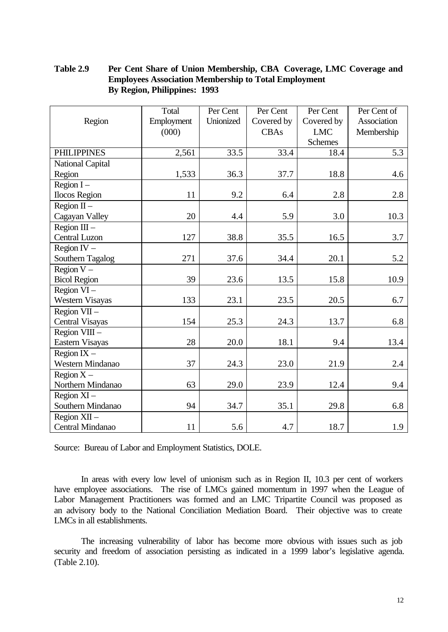## **Table 2.9 Per Cent Share of Union Membership, CBA Coverage, LMC Coverage and Employees Association Membership to Total Employment By Region, Philippines: 1993**

|                         | Total      | Per Cent  | Per Cent   | Per Cent       | Per Cent of |
|-------------------------|------------|-----------|------------|----------------|-------------|
| Region                  | Employment | Unionized | Covered by | Covered by     | Association |
|                         | (000)      |           | CBAs       | <b>LMC</b>     | Membership  |
|                         |            |           |            | <b>Schemes</b> |             |
| <b>PHILIPPINES</b>      | 2,561      | 33.5      | 33.4       | 18.4           | 5.3         |
| <b>National Capital</b> |            |           |            |                |             |
| Region                  | 1,533      | 36.3      | 37.7       | 18.8           | 4.6         |
| Region $I -$            |            |           |            |                |             |
| <b>Ilocos Region</b>    | 11         | 9.2       | 6.4        | 2.8            | 2.8         |
| Region $II -$           |            |           |            |                |             |
| Cagayan Valley          | 20         | 4.4       | 5.9        | 3.0            | 10.3        |
| Region $III -$          |            |           |            |                |             |
| Central Luzon           | 127        | 38.8      | 35.5       | 16.5           | 3.7         |
| Region $IV -$           |            |           |            |                |             |
| Southern Tagalog        | 271        | 37.6      | 34.4       | 20.1           | 5.2         |
| Region $V -$            |            |           |            |                |             |
| <b>Bicol Region</b>     | 39         | 23.6      | 13.5       | 15.8           | 10.9        |
| Region $VI -$           |            |           |            |                |             |
| Western Visayas         | 133        | 23.1      | 23.5       | 20.5           | 6.7         |
| Region $VII -$          |            |           |            |                |             |
| <b>Central Visayas</b>  | 154        | 25.3      | 24.3       | 13.7           | 6.8         |
| Region VIII -           |            |           |            |                |             |
| Eastern Visayas         | 28         | 20.0      | 18.1       | 9.4            | 13.4        |
| Region $IX -$           |            |           |            |                |             |
| Western Mindanao        | 37         | 24.3      | 23.0       | 21.9           | 2.4         |
| Region $X -$            |            |           |            |                |             |
| Northern Mindanao       | 63         | 29.0      | 23.9       | 12.4           | 9.4         |
| Region $XI -$           |            |           |            |                |             |
| Southern Mindanao       | 94         | 34.7      | 35.1       | 29.8           | 6.8         |
| Region $XII -$          |            |           |            |                |             |
| Central Mindanao        | 11         | 5.6       | 4.7        | 18.7           | 1.9         |

Source: Bureau of Labor and Employment Statistics, DOLE.

In areas with every low level of unionism such as in Region II, 10.3 per cent of workers have employee associations. The rise of LMCs gained momentum in 1997 when the League of Labor Management Practitioners was formed and an LMC Tripartite Council was proposed as an advisory body to the National Conciliation Mediation Board. Their objective was to create LMCs in all establishments.

The increasing vulnerability of labor has become more obvious with issues such as job security and freedom of association persisting as indicated in a 1999 labor's legislative agenda. (Table 2.10).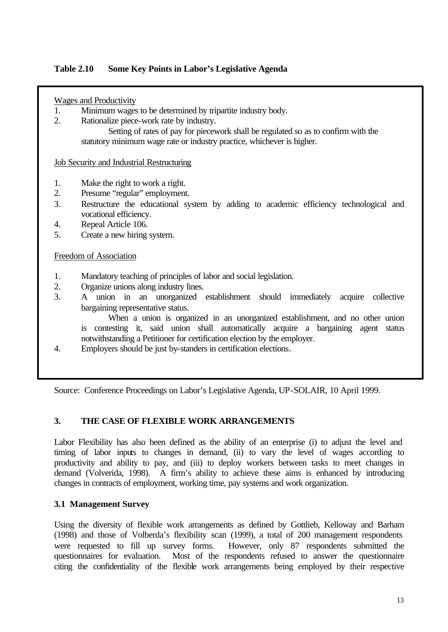## **Table 2.10 Some Key Points in Labor's Legislative Agenda**

### Wages and Productivity

- 1. Minimum wages to be determined by tripartite industry body.
- 2. Rationalize piece-work rate by industry.

Setting of rates of pay for piecework shall be regulated so as to confirm with the statutory minimum wage rate or industry practice, whichever is higher.

### Job Security and Industrial Restructuring

- 1. Make the right to work a right.
- 2. Presume "regular" employment.
- 3. Restructure the educational system by adding to academic efficiency technological and vocational efficiency.
- 4. Repeal Article 106.
- 5. Create a new hiring system.

### Freedom of Association

- 1. Mandatory teaching of principles of labor and social legislation.
- 2. Organize unions along industry lines.
- 3. A union in an unorganized establishment should immediately acquire collective bargaining representative status.

When a union is organized in an unorganized establishment, and no other union is contesting it, said union shall automatically acquire a bargaining agent status notwithstanding a Petitioner for certification election by the employer.

4. Employers should be just by-standers in certification elections.

Source: Conference Proceedings on Labor's Legislative Agenda, UP-SOLAIR, 10 April 1999.

### **3. THE CASE OF FLEXIBLE WORK ARRANGEMENTS**

Labor Flexibility has also been defined as the ability of an enterprise (i) to adjust the level and timing of labor inputs to changes in demand, (ii) to vary the level of wages according to productivity and ability to pay, and (iii) to deploy workers between tasks to meet changes in demand (Volverida, 1998). A firm's ability to achieve these aims is enhanced by introducing changes in contracts of employment, working time, pay systems and work organization.

### **3.1 Management Survey**

Using the diversity of flexible work arrangements as defined by Gottlieb, Kelloway and Barham (1998) and those of Volberda's flexibility scan (1999), a total of 200 management respondents were requested to fill up survey forms. However, only 87 respondents submitted the questionnaires for evaluation. Most of the respondents refused to answer the questionnaire citing the confidentiality of the flexible work arrangements being employed by their respective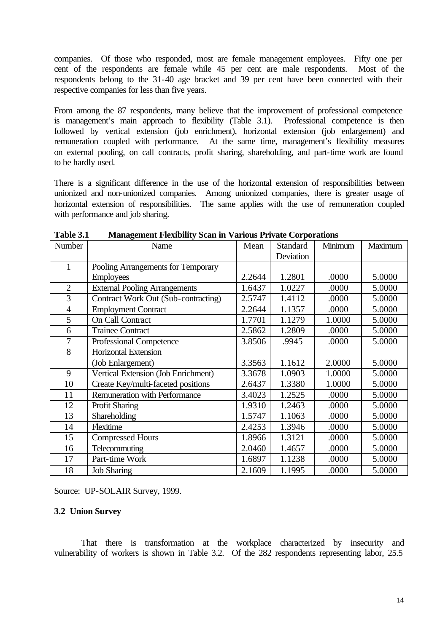companies. Of those who responded, most are female management employees. Fifty one per cent of the respondents are female while 45 per cent are male respondents. Most of the respondents belong to the 31-40 age bracket and 39 per cent have been connected with their respective companies for less than five years.

From among the 87 respondents, many believe that the improvement of professional competence is management's main approach to flexibility (Table 3.1). Professional competence is then followed by vertical extension (job enrichment), horizontal extension (job enlargement) and remuneration coupled with performance. At the same time, management's flexibility measures on external pooling, on call contracts, profit sharing, shareholding, and part-time work are found to be hardly used.

There is a significant difference in the use of the horizontal extension of responsibilities between unionized and non-unionized companies. Among unionized companies, there is greater usage of horizontal extension of responsibilities. The same applies with the use of remuneration coupled with performance and job sharing.

| Number         | Name                                 | Mean   | Standard  | Minimum | Maximum |
|----------------|--------------------------------------|--------|-----------|---------|---------|
|                |                                      |        | Deviation |         |         |
| 1              | Pooling Arrangements for Temporary   |        |           |         |         |
|                | <b>Employees</b>                     | 2.2644 | 1.2801    | .0000   | 5.0000  |
| $\overline{2}$ | <b>External Pooling Arrangements</b> | 1.6437 | 1.0227    | .0000   | 5.0000  |
| $\overline{3}$ | Contract Work Out (Sub-contracting)  | 2.5747 | 1.4112    | .0000   | 5.0000  |
| $\overline{4}$ | <b>Employment Contract</b>           | 2.2644 | 1.1357    | .0000   | 5.0000  |
| 5              | <b>On Call Contract</b>              | 1.7701 | 1.1279    | 1.0000  | 5.0000  |
| 6              | <b>Trainee Contract</b>              | 2.5862 | 1.2809    | .0000   | 5.0000  |
| $\overline{7}$ | <b>Professional Competence</b>       | 3.8506 | .9945     | .0000   | 5.0000  |
| 8              | Horizontal Extension                 |        |           |         |         |
|                | (Job Enlargement)                    | 3.3563 | 1.1612    | 2.0000  | 5.0000  |
| 9              | Vertical Extension (Job Enrichment)  | 3.3678 | 1.0903    | 1.0000  | 5.0000  |
| 10             | Create Key/multi-faceted positions   | 2.6437 | 1.3380    | 1.0000  | 5.0000  |
| 11             | <b>Remuneration with Performance</b> | 3.4023 | 1.2525    | .0000   | 5.0000  |
| 12             | <b>Profit Sharing</b>                | 1.9310 | 1.2463    | .0000   | 5.0000  |
| 13             | Shareholding                         | 1.5747 | 1.1063    | .0000   | 5.0000  |
| 14             | Flexitime                            | 2.4253 | 1.3946    | .0000   | 5.0000  |
| 15             | <b>Compressed Hours</b>              | 1.8966 | 1.3121    | .0000   | 5.0000  |
| 16             | Telecommuting                        | 2.0460 | 1.4657    | .0000   | 5.0000  |
| 17             | Part-time Work                       | 1.6897 | 1.1238    | .0000   | 5.0000  |
| 18             | <b>Job Sharing</b>                   | 2.1609 | 1.1995    | .0000   | 5.0000  |

**Table 3.1 Management Flexibility Scan in Various Private Corporations**

Source: UP-SOLAIR Survey, 1999.

### **3.2 Union Survey**

That there is transformation at the workplace characterized by insecurity and vulnerability of workers is shown in Table 3.2. Of the 282 respondents representing labor, 25.5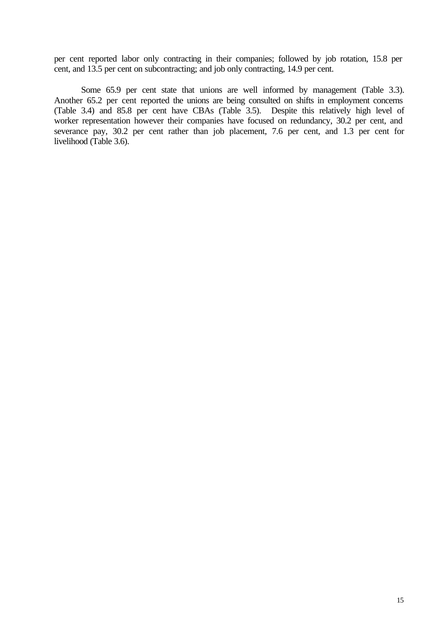per cent reported labor only contracting in their companies; followed by job rotation, 15.8 per cent, and 13.5 per cent on subcontracting; and job only contracting, 14.9 per cent.

Some 65.9 per cent state that unions are well informed by management (Table 3.3). Another 65.2 per cent reported the unions are being consulted on shifts in employment concerns (Table 3.4) and 85.8 per cent have CBAs (Table 3.5). Despite this relatively high level of worker representation however their companies have focused on redundancy, 30.2 per cent, and severance pay, 30.2 per cent rather than job placement, 7.6 per cent, and 1.3 per cent for livelihood (Table 3.6).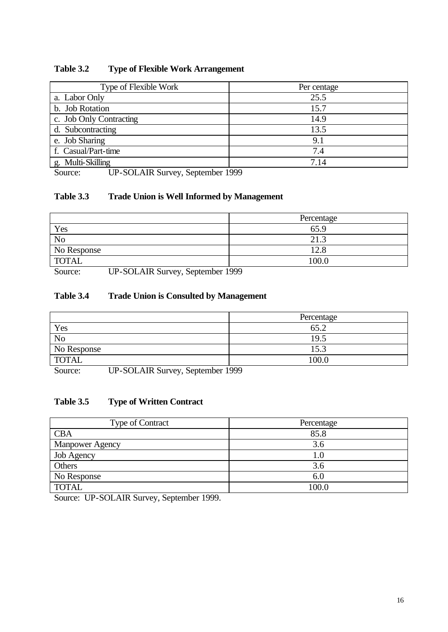| Type of Flexible Work   | Per centage |
|-------------------------|-------------|
| a. Labor Only           | 25.5        |
| b. Job Rotation         | 15.7        |
| c. Job Only Contracting | 14.9        |
| d. Subcontracting       | 13.5        |
| e. Job Sharing          | 9.1         |
| f. Casual/Part-time     | 7.4         |
| g. Multi-Skilling       | 7.14        |

# **Table 3.2 Type of Flexible Work Arrangement**

Source: UP-SOLAIR Survey, September 1999

## **Table 3.3 Trade Union is Well Informed by Management**

|                | Percentage |
|----------------|------------|
| Yes            | 65.9       |
| N <sub>o</sub> | 21         |
| No Response    | 12.8       |
| <b>TOTAL</b>   | 100.0      |

Source: UP-SOLAIR Survey, September 1999

## **Table 3.4 Trade Union is Consulted by Management**

|                | Percentage |
|----------------|------------|
| Yes            | 65.2       |
| N <sub>o</sub> | 19.5       |
| No Response    | 15.3       |
| <b>TOTAL</b>   | 100.0      |
| --- --------   | .          |

Source: UP-SOLAIR Survey, September 1999

## **Table 3.5 Type of Written Contract**

| <b>Type of Contract</b> | Percentage |
|-------------------------|------------|
| <b>CBA</b>              | 85.8       |
| <b>Manpower Agency</b>  | 3.6        |
| Job Agency              | $1.0\,$    |
| Others                  | 3.6        |
| No Response             | 6.0        |
| <b>TOTAL</b>            | 100.0      |

Source: UP-SOLAIR Survey, September 1999.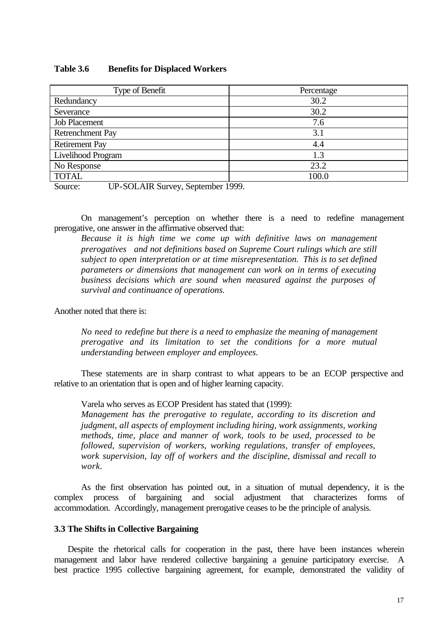### **Table 3.6 Benefits for Displaced Workers**

| Type of Benefit       | Percentage |
|-----------------------|------------|
| Redundancy            | 30.2       |
| Severance             | 30.2       |
| <b>Job Placement</b>  | 7.6        |
| Retrenchment Pay      | 3.1        |
| <b>Retirement Pay</b> | 4.4        |
| Livelihood Program    | 1.3        |
| No Response           | 23.2       |
| <b>TOTAL</b>          | 100.0      |

Source: UP-SOLAIR Survey, September 1999.

On management's perception on whether there is a need to redefine management prerogative, one answer in the affirmative observed that:

*Because it is high time we come up with definitive laws on management prerogatives and not definitions based on Supreme Court rulings which are still subject to open interpretation or at time misrepresentation. This is to set defined parameters or dimensions that management can work on in terms of executing business decisions which are sound when measured against the purposes of survival and continuance of operations.*

Another noted that there is:

*No need to redefine but there is a need to emphasize the meaning of management prerogative and its limitation to set the conditions for a more mutual understanding between employer and employees.*

These statements are in sharp contrast to what appears to be an ECOP perspective and relative to an orientation that is open and of higher learning capacity.

Varela who serves as ECOP President has stated that (1999):

*Management has the prerogative to regulate, according to its discretion and judgment, all aspects of employment including hiring, work assignments, working methods, time, place and manner of work, tools to be used, processed to be followed, supervision of workers, working regulations, transfer of employees, work supervision, lay off of workers and the discipline, dismissal and recall to work.*

As the first observation has pointed out, in a situation of mutual dependency, it is the complex process of bargaining and social adjustment that characterizes forms of accommodation. Accordingly, management prerogative ceases to be the principle of analysis.

#### **3.3 The Shifts in Collective Bargaining**

Despite the rhetorical calls for cooperation in the past, there have been instances wherein management and labor have rendered collective bargaining a genuine participatory exercise. A best practice 1995 collective bargaining agreement, for example, demonstrated the validity of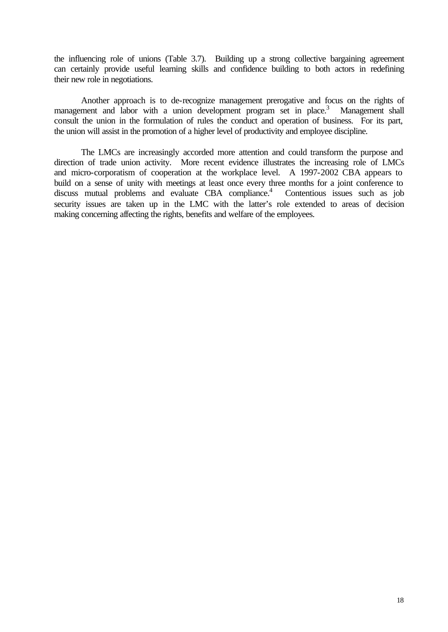the influencing role of unions (Table 3.7). Building up a strong collective bargaining agreement can certainly provide useful learning skills and confidence building to both actors in redefining their new role in negotiations.

Another approach is to de-recognize management prerogative and focus on the rights of management and labor with a union development program set in place.<sup>3</sup> Management shall consult the union in the formulation of rules the conduct and operation of business. For its part, the union will assist in the promotion of a higher level of productivity and employee discipline.

The LMCs are increasingly accorded more attention and could transform the purpose and direction of trade union activity. More recent evidence illustrates the increasing role of LMCs and micro-corporatism of cooperation at the workplace level. A 1997-2002 CBA appears to build on a sense of unity with meetings at least once every three months for a joint conference to discuss mutual problems and evaluate CBA compliance.<sup>4</sup> Contentious issues such as job security issues are taken up in the LMC with the latter's role extended to areas of decision making concerning affecting the rights, benefits and welfare of the employees.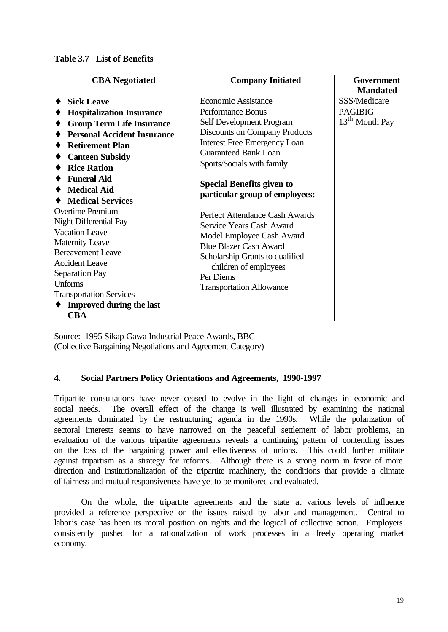### **Table 3.7 List of Benefits**

| <b>CBA</b> Negotiated                                                                                                                                                                                                                                                                                                                                          | <b>Company Initiated</b>                                                                                                                                                                                                                                                                                   | Government                 |
|----------------------------------------------------------------------------------------------------------------------------------------------------------------------------------------------------------------------------------------------------------------------------------------------------------------------------------------------------------------|------------------------------------------------------------------------------------------------------------------------------------------------------------------------------------------------------------------------------------------------------------------------------------------------------------|----------------------------|
|                                                                                                                                                                                                                                                                                                                                                                |                                                                                                                                                                                                                                                                                                            | <b>Mandated</b>            |
| <b>Sick Leave</b>                                                                                                                                                                                                                                                                                                                                              | <b>Economic Assistance</b>                                                                                                                                                                                                                                                                                 | SSS/Medicare               |
| <b>Hospitalization Insurance</b>                                                                                                                                                                                                                                                                                                                               | Performance Bonus                                                                                                                                                                                                                                                                                          | <b>PAGIBIG</b>             |
| <b>Group Term Life Insurance</b>                                                                                                                                                                                                                                                                                                                               | Self Development Program                                                                                                                                                                                                                                                                                   | 13 <sup>th</sup> Month Pay |
| <b>Personal Accident Insurance</b>                                                                                                                                                                                                                                                                                                                             | <b>Discounts on Company Products</b>                                                                                                                                                                                                                                                                       |                            |
| <b>Retirement Plan</b>                                                                                                                                                                                                                                                                                                                                         | <b>Interest Free Emergency Loan</b>                                                                                                                                                                                                                                                                        |                            |
| <b>Canteen Subsidy</b>                                                                                                                                                                                                                                                                                                                                         | Guaranteed Bank Loan                                                                                                                                                                                                                                                                                       |                            |
| <b>Rice Ration</b>                                                                                                                                                                                                                                                                                                                                             | Sports/Socials with family                                                                                                                                                                                                                                                                                 |                            |
| <b>Funeral Aid</b><br><b>Medical Aid</b><br><b>Medical Services</b><br><b>Overtime Premium</b><br>Night Differential Pay<br><b>Vacation Leave</b><br><b>Maternity Leave</b><br><b>Bereavement Leave</b><br><b>Accident Leave</b><br><b>Separation Pay</b><br><b>Unforms</b><br><b>Transportation Services</b><br><b>Improved during the last</b><br><b>CBA</b> | <b>Special Benefits given to</b><br>particular group of employees:<br>Perfect Attendance Cash Awards<br>Service Years Cash Award<br>Model Employee Cash Award<br><b>Blue Blazer Cash Award</b><br>Scholarship Grants to qualified<br>children of employees<br>Per Diems<br><b>Transportation Allowance</b> |                            |

Source: 1995 Sikap Gawa Industrial Peace Awards, BBC (Collective Bargaining Negotiations and Agreement Category)

## **4. Social Partners Policy Orientations and Agreements, 1990-1997**

Tripartite consultations have never ceased to evolve in the light of changes in economic and social needs. The overall effect of the change is well illustrated by examining the national agreements dominated by the restructuring agenda in the 1990s. While the polarization of sectoral interests seems to have narrowed on the peaceful settlement of labor problems, an evaluation of the various tripartite agreements reveals a continuing pattern of contending issues on the loss of the bargaining power and effectiveness of unions. This could further militate against tripartism as a strategy for reforms. Although there is a strong norm in favor of more direction and institutionalization of the tripartite machinery, the conditions that provide a climate of fairness and mutual responsiveness have yet to be monitored and evaluated.

On the whole, the tripartite agreements and the state at various levels of influence provided a reference perspective on the issues raised by labor and management. Central to labor's case has been its moral position on rights and the logical of collective action. Employers consistently pushed for a rationalization of work processes in a freely operating market economy.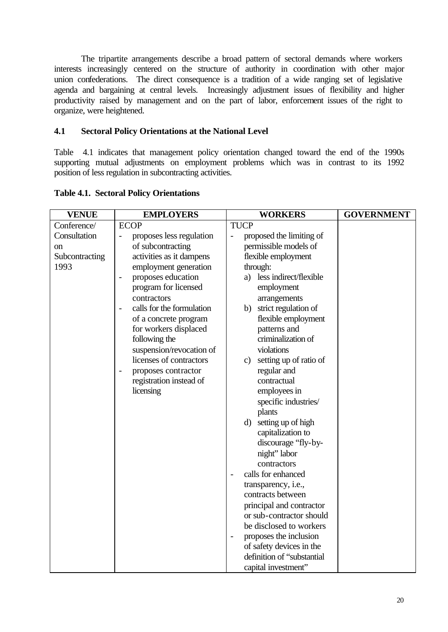The tripartite arrangements describe a broad pattern of sectoral demands where workers interests increasingly centered on the structure of authority in coordination with other major union confederations. The direct consequence is a tradition of a wide ranging set of legislative agenda and bargaining at central levels. Increasingly adjustment issues of flexibility and higher productivity raised by management and on the part of labor, enforcement issues of the right to organize, were heightened.

## **4.1 Sectoral Policy Orientations at the National Level**

Table 4.1 indicates that management policy orientation changed toward the end of the 1990s supporting mutual adjustments on employment problems which was in contrast to its 1992 position of less regulation in subcontracting activities.

| <b>VENUE</b>   | <b>EMPLOYERS</b>                                     | <b>WORKERS</b>                                       | <b>GOVERNMENT</b> |
|----------------|------------------------------------------------------|------------------------------------------------------|-------------------|
| Conference/    | <b>ECOP</b>                                          | <b>TUCP</b>                                          |                   |
| Consultation   | proposes less regulation<br>$\overline{\phantom{0}}$ | proposed the limiting of<br>$\overline{\phantom{0}}$ |                   |
| on             | of subcontracting                                    | permissible models of                                |                   |
| Subcontracting | activities as it dampens                             | flexible employment                                  |                   |
| 1993           | employment generation                                | through:                                             |                   |
|                | proposes education<br>$\overline{\phantom{0}}$       | less indirect/flexible<br>a)                         |                   |
|                | program for licensed                                 | employment                                           |                   |
|                | contractors                                          | arrangements                                         |                   |
|                | calls for the formulation                            | strict regulation of<br>b)                           |                   |
|                | of a concrete program                                | flexible employment                                  |                   |
|                | for workers displaced                                | patterns and                                         |                   |
|                | following the                                        | criminalization of                                   |                   |
|                | suspension/revocation of                             | violations                                           |                   |
|                | licenses of contractors                              | setting up of ratio of<br>$\mathbf{c})$              |                   |
|                | proposes contractor<br>$\overline{a}$                | regular and                                          |                   |
|                | registration instead of                              | contractual                                          |                   |
|                | licensing                                            | employees in                                         |                   |
|                |                                                      | specific industries/                                 |                   |
|                |                                                      | plants                                               |                   |
|                |                                                      | setting up of high<br>$\mathbf{d}$                   |                   |
|                |                                                      | capitalization to                                    |                   |
|                |                                                      | discourage "fly-by-<br>night" labor                  |                   |
|                |                                                      | contractors                                          |                   |
|                |                                                      | calls for enhanced<br>$\overline{a}$                 |                   |
|                |                                                      | transparency, i.e.,                                  |                   |
|                |                                                      | contracts between                                    |                   |
|                |                                                      | principal and contractor                             |                   |
|                |                                                      | or sub-contractor should                             |                   |
|                |                                                      | be disclosed to workers                              |                   |
|                |                                                      | proposes the inclusion<br>$\overline{\phantom{0}}$   |                   |
|                |                                                      | of safety devices in the                             |                   |
|                |                                                      | definition of "substantial                           |                   |
|                |                                                      | capital investment"                                  |                   |

**Table 4.1. Sectoral Policy Orientations**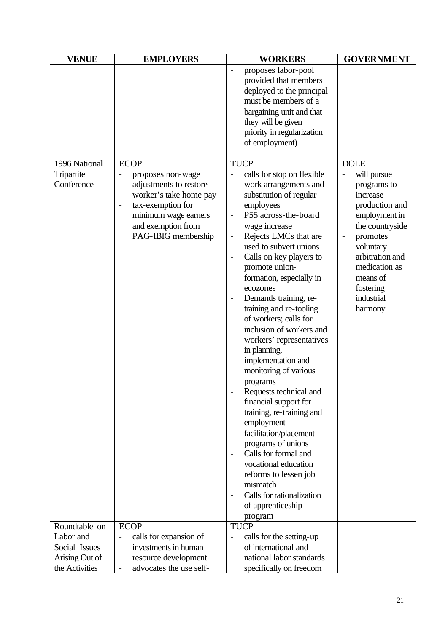| <b>VENUE</b>                | <b>EMPLOYERS</b>                                                                                                                                                | <b>WORKERS</b>                                                                                                                                                                                                                                                                                                                                                                                                                                                                                                                                                                                                                                                                                                                                                                                                                                        | <b>GOVERNMENT</b>                                                                                                                                                                                                        |
|-----------------------------|-----------------------------------------------------------------------------------------------------------------------------------------------------------------|-------------------------------------------------------------------------------------------------------------------------------------------------------------------------------------------------------------------------------------------------------------------------------------------------------------------------------------------------------------------------------------------------------------------------------------------------------------------------------------------------------------------------------------------------------------------------------------------------------------------------------------------------------------------------------------------------------------------------------------------------------------------------------------------------------------------------------------------------------|--------------------------------------------------------------------------------------------------------------------------------------------------------------------------------------------------------------------------|
|                             |                                                                                                                                                                 | proposes labor-pool<br>provided that members<br>deployed to the principal<br>must be members of a<br>bargaining unit and that<br>they will be given<br>priority in regularization<br>of employment)                                                                                                                                                                                                                                                                                                                                                                                                                                                                                                                                                                                                                                                   |                                                                                                                                                                                                                          |
| 1996 National<br>Tripartite | <b>ECOP</b><br>proposes non-wage                                                                                                                                | <b>TUCP</b><br>calls for stop on flexible                                                                                                                                                                                                                                                                                                                                                                                                                                                                                                                                                                                                                                                                                                                                                                                                             | <b>DOLE</b><br>will pursue                                                                                                                                                                                               |
| Conference                  | adjustments to restore<br>worker's take home pay<br>tax-exemption for<br>$\qquad \qquad -$<br>minimum wage earners<br>and exemption from<br>PAG-IBIG membership | work arrangements and<br>substitution of regular<br>employees<br>P55 across-the-board<br>$\overline{\phantom{0}}$<br>wage increase<br>Rejects LMCs that are<br>used to subvert unions<br>Calls on key players to<br>$\qquad \qquad -$<br>promote union-<br>formation, especially in<br>ecozones<br>Demands training, re-<br>$\qquad \qquad -$<br>training and re-tooling<br>of workers; calls for<br>inclusion of workers and<br>workers' representatives<br>in planning,<br>implementation and<br>monitoring of various<br>programs<br>Requests technical and<br>financial support for<br>training, re-training and<br>employment<br>facilitation/placement<br>programs of unions<br>Calls for formal and<br>vocational education<br>reforms to lessen job<br>mismatch<br>Calls for rationalization<br>$\overline{\phantom{a}}$<br>of apprenticeship | programs to<br>increase<br>production and<br>employment in<br>the countryside<br>promotes<br>$\overline{\phantom{a}}$<br>voluntary<br>arbitration and<br>medication as<br>means of<br>fostering<br>industrial<br>harmony |
|                             |                                                                                                                                                                 | program                                                                                                                                                                                                                                                                                                                                                                                                                                                                                                                                                                                                                                                                                                                                                                                                                                               |                                                                                                                                                                                                                          |
| Roundtable on               | <b>ECOP</b>                                                                                                                                                     | <b>TUCP</b>                                                                                                                                                                                                                                                                                                                                                                                                                                                                                                                                                                                                                                                                                                                                                                                                                                           |                                                                                                                                                                                                                          |
| Labor and                   | calls for expansion of<br>$\overline{\phantom{0}}$                                                                                                              | calls for the setting-up<br>$\overline{\phantom{0}}$                                                                                                                                                                                                                                                                                                                                                                                                                                                                                                                                                                                                                                                                                                                                                                                                  |                                                                                                                                                                                                                          |
| Social Issues               | investments in human                                                                                                                                            | of international and                                                                                                                                                                                                                                                                                                                                                                                                                                                                                                                                                                                                                                                                                                                                                                                                                                  |                                                                                                                                                                                                                          |
| Arising Out of              | resource development                                                                                                                                            | national labor standards                                                                                                                                                                                                                                                                                                                                                                                                                                                                                                                                                                                                                                                                                                                                                                                                                              |                                                                                                                                                                                                                          |
| the Activities              | advocates the use self-<br>$\overline{\phantom{0}}$                                                                                                             | specifically on freedom                                                                                                                                                                                                                                                                                                                                                                                                                                                                                                                                                                                                                                                                                                                                                                                                                               |                                                                                                                                                                                                                          |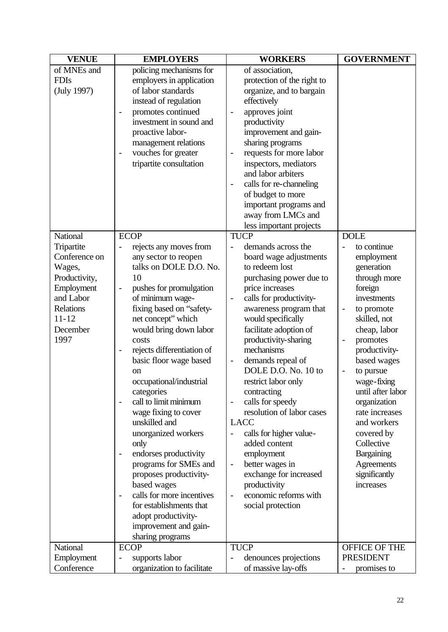| <b>VENUE</b>                                                                                                                                       | <b>EMPLOYERS</b>                                                                                                                                                                                                                                                                                                                                                                                                                                                                                                                                                                                                                                                                                                                                                        | <b>WORKERS</b>                                                                                                                                                                                                                                                                                                                                                                                                                                                                                                                                                                                                                                                                                                                                                           | <b>GOVERNMENT</b>                                                                                                                                                                                                                                                                                                                                                                                                  |
|----------------------------------------------------------------------------------------------------------------------------------------------------|-------------------------------------------------------------------------------------------------------------------------------------------------------------------------------------------------------------------------------------------------------------------------------------------------------------------------------------------------------------------------------------------------------------------------------------------------------------------------------------------------------------------------------------------------------------------------------------------------------------------------------------------------------------------------------------------------------------------------------------------------------------------------|--------------------------------------------------------------------------------------------------------------------------------------------------------------------------------------------------------------------------------------------------------------------------------------------------------------------------------------------------------------------------------------------------------------------------------------------------------------------------------------------------------------------------------------------------------------------------------------------------------------------------------------------------------------------------------------------------------------------------------------------------------------------------|--------------------------------------------------------------------------------------------------------------------------------------------------------------------------------------------------------------------------------------------------------------------------------------------------------------------------------------------------------------------------------------------------------------------|
| of MNEs and<br><b>FDIs</b><br>(July 1997)                                                                                                          | policing mechanisms for<br>employers in application<br>of labor standards<br>instead of regulation<br>promotes continued<br>$\overline{a}$<br>investment in sound and<br>proactive labor-<br>management relations<br>vouches for greater<br>$\overline{\phantom{0}}$<br>tripartite consultation                                                                                                                                                                                                                                                                                                                                                                                                                                                                         | of association,<br>protection of the right to<br>organize, and to bargain<br>effectively<br>approves joint<br>$\overline{\phantom{m}}$<br>productivity<br>improvement and gain-<br>sharing programs<br>requests for more labor<br>$\overline{\phantom{0}}$<br>inspectors, mediators<br>and labor arbiters<br>calls for re-channeling<br>$\overline{\phantom{0}}$<br>of budget to more<br>important programs and<br>away from LMCs and                                                                                                                                                                                                                                                                                                                                    |                                                                                                                                                                                                                                                                                                                                                                                                                    |
| National<br>Tripartite<br>Conference on<br>Wages,<br>Productivity,<br>Employment<br>and Labor<br><b>Relations</b><br>$11 - 12$<br>December<br>1997 | <b>ECOP</b><br>rejects any moves from<br>any sector to reopen<br>talks on DOLE D.O. No.<br>10<br>pushes for promulgation<br>$\overline{\phantom{0}}$<br>of minimum wage-<br>fixing based on "safety-<br>net concept" which<br>would bring down labor<br>costs<br>rejects differentiation of<br>$\overline{\phantom{0}}$<br>basic floor wage based<br><sub>on</sub><br>occupational/industrial<br>categories<br>call to limit minimum<br>wage fixing to cover<br>unskilled and<br>unorganized workers<br>only<br>endorses productivity<br>$\overline{\phantom{0}}$<br>programs for SMEs and<br>proposes productivity-<br>based wages<br>calls for more incentives<br>$\overline{\phantom{0}}$<br>for establishments that<br>adopt productivity-<br>improvement and gain- | less important projects<br><b>TUCP</b><br>demands across the<br>board wage adjustments<br>to redeem lost<br>purchasing power due to<br>price increases<br>calls for productivity-<br>awareness program that<br>would specifically<br>facilitate adoption of<br>productivity-sharing<br>mechanisms<br>demands repeal of<br>$\qquad \qquad \blacksquare$<br>DOLE D.O. No. 10 to<br>restrict labor only<br>contracting<br>calls for speedy<br>$\overline{\phantom{0}}$<br>resolution of labor cases<br><b>LACC</b><br>calls for higher value-<br>$\overline{\phantom{a}}$<br>added content<br>employment<br>better wages in<br>$\overline{\phantom{a}}$<br>exchange for increased<br>productivity<br>economic reforms with<br>$\overline{\phantom{0}}$<br>social protection | <b>DOLE</b><br>to continue<br>employment<br>generation<br>through more<br>foreign<br>investments<br>to promote<br>$\qquad \qquad \blacksquare$<br>skilled, not<br>cheap, labor<br>promotes<br>productivity-<br>based wages<br>to pursue<br>wage-fixing<br>until after labor<br>organization<br>rate increases<br>and workers<br>covered by<br>Collective<br>Bargaining<br>Agreements<br>significantly<br>increases |
| National                                                                                                                                           | sharing programs<br><b>ECOP</b>                                                                                                                                                                                                                                                                                                                                                                                                                                                                                                                                                                                                                                                                                                                                         | <b>TUCP</b>                                                                                                                                                                                                                                                                                                                                                                                                                                                                                                                                                                                                                                                                                                                                                              | OFFICE OF THE                                                                                                                                                                                                                                                                                                                                                                                                      |
| Employment<br>Conference                                                                                                                           | supports labor<br>organization to facilitate                                                                                                                                                                                                                                                                                                                                                                                                                                                                                                                                                                                                                                                                                                                            | denounces projections<br>of massive lay-offs                                                                                                                                                                                                                                                                                                                                                                                                                                                                                                                                                                                                                                                                                                                             | <b>PRESIDENT</b><br>promises to                                                                                                                                                                                                                                                                                                                                                                                    |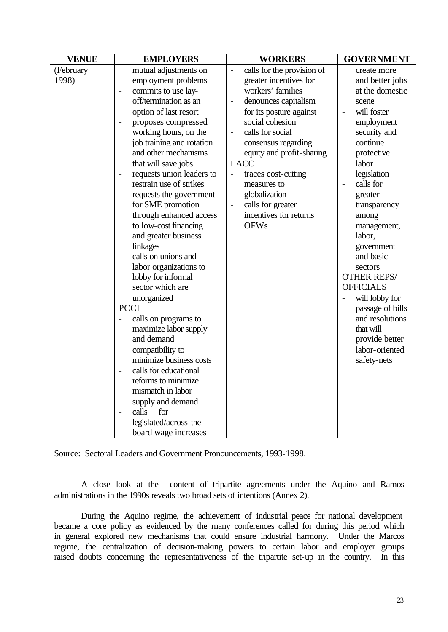| <b>VENUE</b>       | <b>EMPLOYERS</b>                                                                                                                                                                                                                                                                                                                                                                                                                                                                                                                                                                                                                                                                                                                                                               | <b>WORKERS</b>                                                                                                                                                                                                                                                                                                                                                                                                                                         | <b>GOVERNMENT</b>                                                                                                                                                                                                                                                                                                                                                                                                                                                                     |
|--------------------|--------------------------------------------------------------------------------------------------------------------------------------------------------------------------------------------------------------------------------------------------------------------------------------------------------------------------------------------------------------------------------------------------------------------------------------------------------------------------------------------------------------------------------------------------------------------------------------------------------------------------------------------------------------------------------------------------------------------------------------------------------------------------------|--------------------------------------------------------------------------------------------------------------------------------------------------------------------------------------------------------------------------------------------------------------------------------------------------------------------------------------------------------------------------------------------------------------------------------------------------------|---------------------------------------------------------------------------------------------------------------------------------------------------------------------------------------------------------------------------------------------------------------------------------------------------------------------------------------------------------------------------------------------------------------------------------------------------------------------------------------|
| (February<br>1998) | mutual adjustments on<br>employment problems<br>commits to use lay-<br>$\overline{\phantom{0}}$<br>off/termination as an<br>option of last resort<br>proposes compressed<br>$\overline{a}$<br>working hours, on the<br>job training and rotation<br>and other mechanisms<br>that will save jobs<br>requests union leaders to<br>$\qquad \qquad -$<br>restrain use of strikes<br>requests the government<br>$\overline{\phantom{0}}$<br>for SME promotion<br>through enhanced access<br>to low-cost financing<br>and greater business<br>linkages<br>calls on unions and<br>$\overline{a}$<br>labor organizations to<br>lobby for informal<br>sector which are<br>unorganized<br><b>PCCI</b><br>calls on programs to<br>maximize labor supply<br>and demand<br>compatibility to | calls for the provision of<br>$\frac{1}{2}$<br>greater incentives for<br>workers' families<br>denounces capitalism<br>$\overline{\phantom{0}}$<br>for its posture against<br>social cohesion<br>calls for social<br>$\overline{\phantom{a}}$<br>consensus regarding<br>equity and profit-sharing<br><b>LACC</b><br>traces cost-cutting<br>$\blacksquare$<br>measures to<br>globalization<br>calls for greater<br>incentives for returns<br><b>OFWs</b> | create more<br>and better jobs<br>at the domestic<br>scene<br>will foster<br>$\overline{\phantom{a}}$<br>employment<br>security and<br>continue<br>protective<br>labor<br>legislation<br>calls for<br>$\overline{\phantom{a}}$<br>greater<br>transparency<br>among<br>management,<br>labor,<br>government<br>and basic<br>sectors<br><b>OTHER REPS/</b><br><b>OFFICIALS</b><br>will lobby for<br>passage of bills<br>and resolutions<br>that will<br>provide better<br>labor-oriented |
|                    | minimize business costs<br>calls for educational<br>$\overline{\phantom{0}}$                                                                                                                                                                                                                                                                                                                                                                                                                                                                                                                                                                                                                                                                                                   |                                                                                                                                                                                                                                                                                                                                                                                                                                                        | safety-nets                                                                                                                                                                                                                                                                                                                                                                                                                                                                           |
|                    | reforms to minimize<br>mismatch in labor<br>supply and demand<br>calls<br>for<br>$\overline{\phantom{0}}$<br>legislated/across-the-<br>board wage increases                                                                                                                                                                                                                                                                                                                                                                                                                                                                                                                                                                                                                    |                                                                                                                                                                                                                                                                                                                                                                                                                                                        |                                                                                                                                                                                                                                                                                                                                                                                                                                                                                       |

Source: Sectoral Leaders and Government Pronouncements, 1993-1998.

A close look at the content of tripartite agreements under the Aquino and Ramos administrations in the 1990s reveals two broad sets of intentions (Annex 2).

During the Aquino regime, the achievement of industrial peace for national development became a core policy as evidenced by the many conferences called for during this period which in general explored new mechanisms that could ensure industrial harmony. Under the Marcos regime, the centralization of decision-making powers to certain labor and employer groups raised doubts concerning the representativeness of the tripartite set-up in the country. In this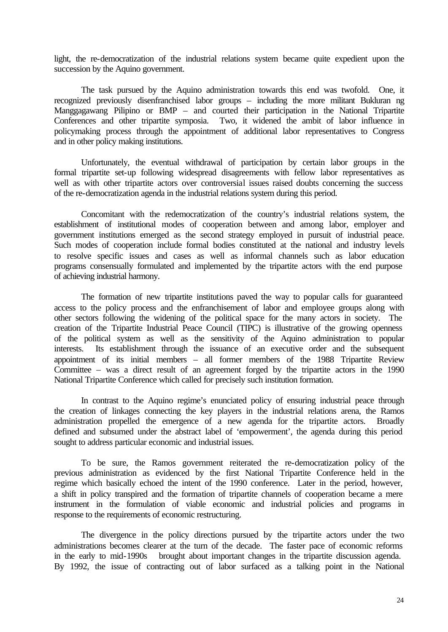light, the re-democratization of the industrial relations system became quite expedient upon the succession by the Aquino government.

The task pursued by the Aquino administration towards this end was twofold. One, it recognized previously disenfranchised labor groups – including the more militant Bukluran ng Manggagawang Pilipino or BMP – and courted their participation in the National Tripartite Conferences and other tripartite symposia. Two, it widened the ambit of labor influence in policymaking process through the appointment of additional labor representatives to Congress and in other policy making institutions.

Unfortunately, the eventual withdrawal of participation by certain labor groups in the formal tripartite set-up following widespread disagreements with fellow labor representatives as well as with other tripartite actors over controversial issues raised doubts concerning the success of the re-democratization agenda in the industrial relations system during this period.

Concomitant with the redemocratization of the country's industrial relations system, the establishment of institutional modes of cooperation between and among labor, employer and government institutions emerged as the second strategy employed in pursuit of industrial peace. Such modes of cooperation include formal bodies constituted at the national and industry levels to resolve specific issues and cases as well as informal channels such as labor education programs consensually formulated and implemented by the tripartite actors with the end purpose of achieving industrial harmony.

The formation of new tripartite institutions paved the way to popular calls for guaranteed access to the policy process and the enfranchisement of labor and employee groups along with other sectors following the widening of the political space for the many actors in society. The creation of the Tripartite Industrial Peace Council (TIPC) is illustrative of the growing openness of the political system as well as the sensitivity of the Aquino administration to popular interests. Its establishment through the issuance of an executive order and the subsequent appointment of its initial members – all former members of the 1988 Tripartite Review Committee – was a direct result of an agreement forged by the tripartite actors in the 1990 National Tripartite Conference which called for precisely such institution formation.

In contrast to the Aquino regime's enunciated policy of ensuring industrial peace through the creation of linkages connecting the key players in the industrial relations arena, the Ramos administration propelled the emergence of a new agenda for the tripartite actors. Broadly defined and subsumed under the abstract label of 'empowerment', the agenda during this period sought to address particular economic and industrial issues.

To be sure, the Ramos government reiterated the re-democratization policy of the previous administration as evidenced by the first National Tripartite Conference held in the regime which basically echoed the intent of the 1990 conference. Later in the period, however, a shift in policy transpired and the formation of tripartite channels of cooperation became a mere instrument in the formulation of viable economic and industrial policies and programs in response to the requirements of economic restructuring.

The divergence in the policy directions pursued by the tripartite actors under the two administrations becomes clearer at the turn of the decade. The faster pace of economic reforms in the early to mid-1990s brought about important changes in the tripartite discussion agenda. By 1992, the issue of contracting out of labor surfaced as a talking point in the National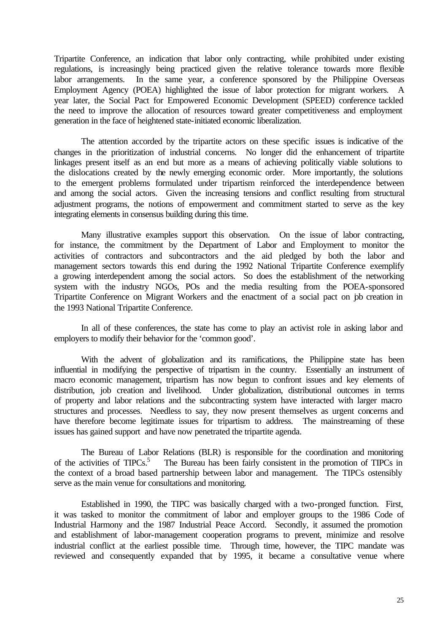Tripartite Conference, an indication that labor only contracting, while prohibited under existing regulations, is increasingly being practiced given the relative tolerance towards more flexible labor arrangements. In the same year, a conference sponsored by the Philippine Overseas Employment Agency (POEA) highlighted the issue of labor protection for migrant workers. A year later, the Social Pact for Empowered Economic Development (SPEED) conference tackled the need to improve the allocation of resources toward greater competitiveness and employment generation in the face of heightened state-initiated economic liberalization.

The attention accorded by the tripartite actors on these specific issues is indicative of the changes in the prioritization of industrial concerns. No longer did the enhancement of tripartite linkages present itself as an end but more as a means of achieving politically viable solutions to the dislocations created by the newly emerging economic order. More importantly, the solutions to the emergent problems formulated under tripartism reinforced the interdependence between and among the social actors. Given the increasing tensions and conflict resulting from structural adjustment programs, the notions of empowerment and commitment started to serve as the key integrating elements in consensus building during this time.

Many illustrative examples support this observation. On the issue of labor contracting, for instance, the commitment by the Department of Labor and Employment to monitor the activities of contractors and subcontractors and the aid pledged by both the labor and management sectors towards this end during the 1992 National Tripartite Conference exemplify a growing interdependent among the social actors. So does the establishment of the networking system with the industry NGOs, POs and the media resulting from the POEA-sponsored Tripartite Conference on Migrant Workers and the enactment of a social pact on job creation in the 1993 National Tripartite Conference.

In all of these conferences, the state has come to play an activist role in asking labor and employers to modify their behavior for the 'common good'.

With the advent of globalization and its ramifications, the Philippine state has been influential in modifying the perspective of tripartism in the country. Essentially an instrument of macro economic management, tripartism has now begun to confront issues and key elements of distribution, job creation and livelihood. Under globalization, distributional outcomes in terms of property and labor relations and the subcontracting system have interacted with larger macro structures and processes. Needless to say, they now present themselves as urgent concerns and have therefore become legitimate issues for tripartism to address. The mainstreaming of these issues has gained support and have now penetrated the tripartite agenda.

The Bureau of Labor Relations (BLR) is responsible for the coordination and monitoring of the activities of TIPCs.<sup>5</sup> The Bureau has been fairly consistent in the promotion of TIPCs in the context of a broad based partnership between labor and management. The TIPCs ostensibly serve as the main venue for consultations and monitoring.

Established in 1990, the TIPC was basically charged with a two-pronged function. First, it was tasked to monitor the commitment of labor and employer groups to the 1986 Code of Industrial Harmony and the 1987 Industrial Peace Accord. Secondly, it assumed the promotion and establishment of labor-management cooperation programs to prevent, minimize and resolve industrial conflict at the earliest possible time. Through time, however, the TIPC mandate was reviewed and consequently expanded that by 1995, it became a consultative venue where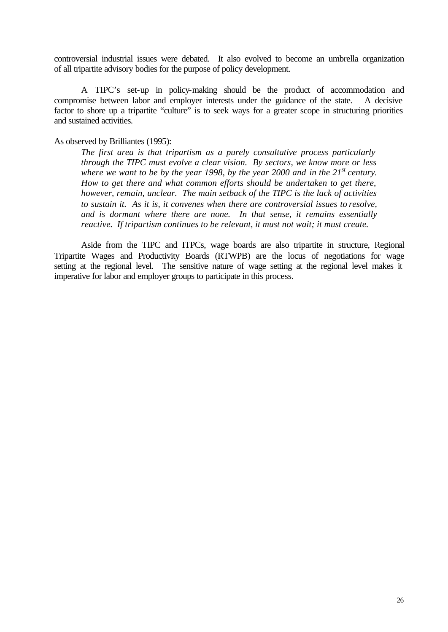controversial industrial issues were debated. It also evolved to become an umbrella organization of all tripartite advisory bodies for the purpose of policy development.

A TIPC's set-up in policy-making should be the product of accommodation and compromise between labor and employer interests under the guidance of the state. A decisive factor to shore up a tripartite "culture" is to seek ways for a greater scope in structuring priorities and sustained activities.

### As observed by Brilliantes (1995):

*The first area is that tripartism as a purely consultative process particularly through the TIPC must evolve a clear vision. By sectors, we know more or less where we want to be by the year 1998, by the year 2000 and in the 21st century. How to get there and what common efforts should be undertaken to get there, however, remain, unclear. The main setback of the TIPC is the lack of activities to sustain it. As it is, it convenes when there are controversial issues to resolve, and is dormant where there are none. In that sense, it remains essentially reactive. If tripartism continues to be relevant, it must not wait; it must create.*

Aside from the TIPC and ITPCs, wage boards are also tripartite in structure, Regional Tripartite Wages and Productivity Boards (RTWPB) are the locus of negotiations for wage setting at the regional level. The sensitive nature of wage setting at the regional level makes it imperative for labor and employer groups to participate in this process.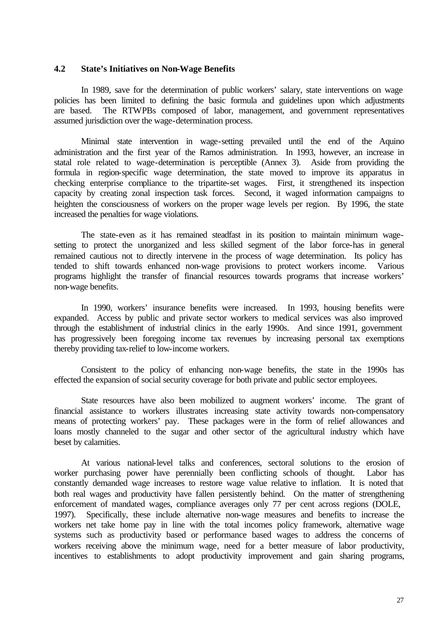#### **4.2 State's Initiatives on Non-Wage Benefits**

In 1989, save for the determination of public workers' salary, state interventions on wage policies has been limited to defining the basic formula and guidelines upon which adjustments are based. The RTWPBs composed of labor, management, and government representatives assumed jurisdiction over the wage-determination process.

Minimal state intervention in wage-setting prevailed until the end of the Aquino administration and the first year of the Ramos administration. In 1993, however, an increase in statal role related to wage-determination is perceptible (Annex 3). Aside from providing the formula in region-specific wage determination, the state moved to improve its apparatus in checking enterprise compliance to the tripartite-set wages. First, it strengthened its inspection capacity by creating zonal inspection task forces. Second, it waged information campaigns to heighten the consciousness of workers on the proper wage levels per region. By 1996, the state increased the penalties for wage violations.

The state-even as it has remained steadfast in its position to maintain minimum wagesetting to protect the unorganized and less skilled segment of the labor force-has in general remained cautious not to directly intervene in the process of wage determination. Its policy has tended to shift towards enhanced non-wage provisions to protect workers income. Various programs highlight the transfer of financial resources towards programs that increase workers' non-wage benefits.

In 1990, workers' insurance benefits were increased. In 1993, housing benefits were expanded. Access by public and private sector workers to medical services was also improved through the establishment of industrial clinics in the early 1990s. And since 1991, government has progressively been foregoing income tax revenues by increasing personal tax exemptions thereby providing tax-relief to low-income workers.

Consistent to the policy of enhancing non-wage benefits, the state in the 1990s has effected the expansion of social security coverage for both private and public sector employees.

State resources have also been mobilized to augment workers' income. The grant of financial assistance to workers illustrates increasing state activity towards non-compensatory means of protecting workers' pay. These packages were in the form of relief allowances and loans mostly channeled to the sugar and other sector of the agricultural industry which have beset by calamities.

At various national-level talks and conferences, sectoral solutions to the erosion of worker purchasing power have perennially been conflicting schools of thought. Labor has constantly demanded wage increases to restore wage value relative to inflation. It is noted that both real wages and productivity have fallen persistently behind. On the matter of strengthening enforcement of mandated wages, compliance averages only 77 per cent across regions (DOLE, 1997). Specifically, these include alternative non-wage measures and benefits to increase the workers net take home pay in line with the total incomes policy framework, alternative wage systems such as productivity based or performance based wages to address the concerns of workers receiving above the minimum wage, need for a better measure of labor productivity, incentives to establishments to adopt productivity improvement and gain sharing programs,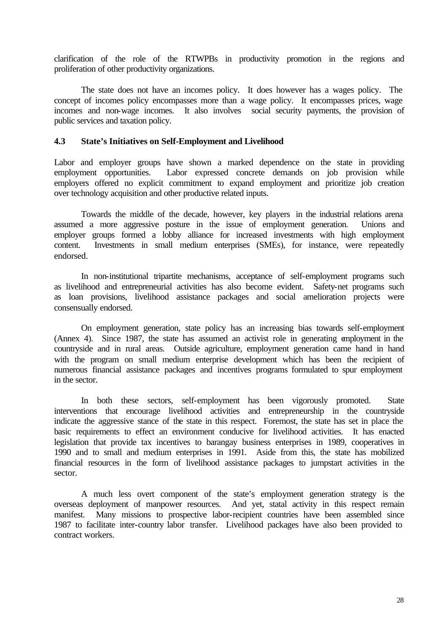clarification of the role of the RTWPBs in productivity promotion in the regions and proliferation of other productivity organizations.

The state does not have an incomes policy. It does however has a wages policy. The concept of incomes policy encompasses more than a wage policy. It encompasses prices, wage incomes and non-wage incomes. It also involves social security payments, the provision of public services and taxation policy.

### **4.3 State's Initiatives on Self-Employment and Livelihood**

Labor and employer groups have shown a marked dependence on the state in providing employment opportunities. Labor expressed concrete demands on job provision while employers offered no explicit commitment to expand employment and prioritize job creation over technology acquisition and other productive related inputs.

Towards the middle of the decade, however, key players in the industrial relations arena assumed a more aggressive posture in the issue of employment generation. Unions and employer groups formed a lobby alliance for increased investments with high employment content. Investments in small medium enterprises (SMEs), for instance, were repeatedly endorsed.

In non-institutional tripartite mechanisms, acceptance of self-employment programs such as livelihood and entrepreneurial activities has also become evident. Safety-net programs such as loan provisions, livelihood assistance packages and social amelioration projects were consensually endorsed.

On employment generation, state policy has an increasing bias towards self-employment (Annex 4). Since 1987, the state has assumed an activist role in generating employment in the countryside and in rural areas. Outside agriculture, employment generation came hand in hand with the program on small medium enterprise development which has been the recipient of numerous financial assistance packages and incentives programs formulated to spur employment in the sector.

In both these sectors, self-employment has been vigorously promoted. State interventions that encourage livelihood activities and entrepreneurship in the countryside indicate the aggressive stance of the state in this respect. Foremost, the state has set in place the basic requirements to effect an environment conducive for livelihood activities. It has enacted legislation that provide tax incentives to barangay business enterprises in 1989, cooperatives in 1990 and to small and medium enterprises in 1991. Aside from this, the state has mobilized financial resources in the form of livelihood assistance packages to jumpstart activities in the sector.

A much less overt component of the state's employment generation strategy is the overseas deployment of manpower resources. And yet, statal activity in this respect remain manifest. Many missions to prospective labor-recipient countries have been assembled since 1987 to facilitate inter-country labor transfer. Livelihood packages have also been provided to contract workers.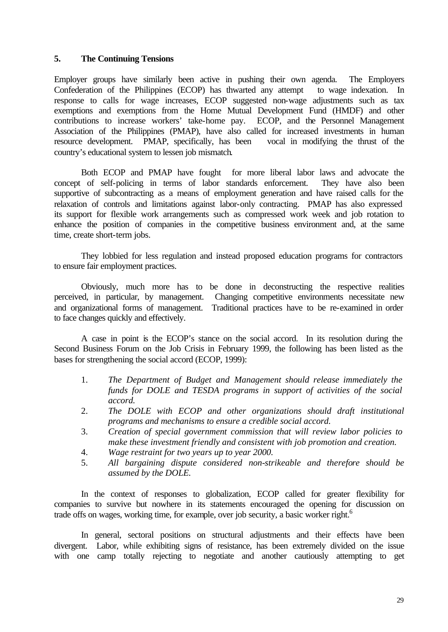### **5. The Continuing Tensions**

Employer groups have similarly been active in pushing their own agenda. The Employers Confederation of the Philippines (ECOP) has thwarted any attempt to wage indexation. In response to calls for wage increases, ECOP suggested non-wage adjustments such as tax exemptions and exemptions from the Home Mutual Development Fund (HMDF) and other contributions to increase workers' take-home pay. ECOP, and the Personnel Management Association of the Philippines (PMAP), have also called for increased investments in human resource development. PMAP, specifically, has been vocal in modifying the thrust of the country's educational system to lessen job mismatch.

Both ECOP and PMAP have fought for more liberal labor laws and advocate the concept of self-policing in terms of labor standards enforcement. They have also been supportive of subcontracting as a means of employment generation and have raised calls for the relaxation of controls and limitations against labor-only contracting. PMAP has also expressed its support for flexible work arrangements such as compressed work week and job rotation to enhance the position of companies in the competitive business environment and, at the same time, create short-term jobs.

They lobbied for less regulation and instead proposed education programs for contractors to ensure fair employment practices.

Obviously, much more has to be done in deconstructing the respective realities perceived, in particular, by management. Changing competitive environments necessitate new and organizational forms of management. Traditional practices have to be re-examined in order to face changes quickly and effectively.

A case in point is the ECOP's stance on the social accord. In its resolution during the Second Business Forum on the Job Crisis in February 1999, the following has been listed as the bases for strengthening the social accord (ECOP, 1999):

- 1. *The Department of Budget and Management should release immediately the funds for DOLE and TESDA programs in support of activities of the social accord.*
- 2. *The DOLE with ECOP and other organizations should draft institutional programs and mechanisms to ensure a credible social accord.*
- 3. *Creation of special government commission that will review labor policies to make these investment friendly and consistent with job promotion and creation.*
- 4. *Wage restraint for two years up to year 2000.*
- 5. *All bargaining dispute considered non-strikeable and therefore should be assumed by the DOLE.*

In the context of responses to globalization, ECOP called for greater flexibility for companies to survive but nowhere in its statements encouraged the opening for discussion on trade offs on wages, working time, for example, over job security, a basic worker right.<sup>6</sup>

In general, sectoral positions on structural adjustments and their effects have been divergent. Labor, while exhibiting signs of resistance, has been extremely divided on the issue with one camp totally rejecting to negotiate and another cautiously attempting to get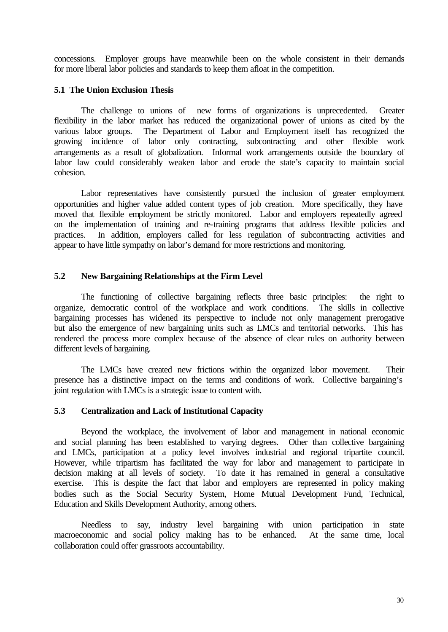concessions. Employer groups have meanwhile been on the whole consistent in their demands for more liberal labor policies and standards to keep them afloat in the competition.

### **5.1 The Union Exclusion Thesis**

The challenge to unions of new forms of organizations is unprecedented. Greater flexibility in the labor market has reduced the organizational power of unions as cited by the various labor groups. The Department of Labor and Employment itself has recognized the growing incidence of labor only contracting, subcontracting and other flexible work arrangements as a result of globalization. Informal work arrangements outside the boundary of labor law could considerably weaken labor and erode the state's capacity to maintain social cohesion.

Labor representatives have consistently pursued the inclusion of greater employment opportunities and higher value added content types of job creation. More specifically, they have moved that flexible employment be strictly monitored. Labor and employers repeatedly agreed on the implementation of training and re-training programs that address flexible policies and practices. In addition, employers called for less regulation of subcontracting activities and appear to have little sympathy on labor's demand for more restrictions and monitoring.

### **5.2 New Bargaining Relationships at the Firm Level**

The functioning of collective bargaining reflects three basic principles: the right to organize, democratic control of the workplace and work conditions. The skills in collective bargaining processes has widened its perspective to include not only management prerogative but also the emergence of new bargaining units such as LMCs and territorial networks. This has rendered the process more complex because of the absence of clear rules on authority between different levels of bargaining.

The LMCs have created new frictions within the organized labor movement. Their presence has a distinctive impact on the terms and conditions of work. Collective bargaining's joint regulation with LMCs is a strategic issue to content with.

### **5.3 Centralization and Lack of Institutional Capacity**

Beyond the workplace, the involvement of labor and management in national economic and social planning has been established to varying degrees. Other than collective bargaining and LMCs, participation at a policy level involves industrial and regional tripartite council. However, while tripartism has facilitated the way for labor and management to participate in decision making at all levels of society. To date it has remained in general a consultative To date it has remained in general a consultative exercise. This is despite the fact that labor and employers are represented in policy making bodies such as the Social Security System, Home Mutual Development Fund, Technical, Education and Skills Development Authority, among others.

Needless to say, industry level bargaining with union participation in state macroeconomic and social policy making has to be enhanced. At the same time, local collaboration could offer grassroots accountability.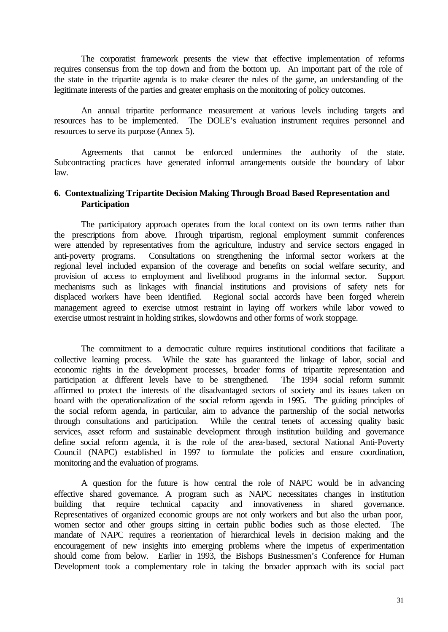The corporatist framework presents the view that effective implementation of reforms requires consensus from the top down and from the bottom up. An important part of the role of the state in the tripartite agenda is to make clearer the rules of the game, an understanding of the legitimate interests of the parties and greater emphasis on the monitoring of policy outcomes.

An annual tripartite performance measurement at various levels including targets and resources has to be implemented. The DOLE's evaluation instrument requires personnel and resources to serve its purpose (Annex 5).

Agreements that cannot be enforced undermines the authority of the state. Subcontracting practices have generated informal arrangements outside the boundary of labor law.

## **6. Contextualizing Tripartite Decision Making Through Broad Based Representation and Participation**

The participatory approach operates from the local context on its own terms rather than the prescriptions from above. Through tripartism, regional employment summit conferences were attended by representatives from the agriculture, industry and service sectors engaged in anti-poverty programs. Consultations on strengthening the informal sector workers at the regional level included expansion of the coverage and benefits on social welfare security, and provision of access to employment and livelihood programs in the informal sector. Support mechanisms such as linkages with financial institutions and provisions of safety nets for displaced workers have been identified. Regional social accords have been forged wherein management agreed to exercise utmost restraint in laying off workers while labor vowed to exercise utmost restraint in holding strikes, slowdowns and other forms of work stoppage.

The commitment to a democratic culture requires institutional conditions that facilitate a collective learning process. While the state has guaranteed the linkage of labor, social and economic rights in the development processes, broader forms of tripartite representation and participation at different levels have to be strengthened. The 1994 social reform summit affirmed to protect the interests of the disadvantaged sectors of society and its issues taken on board with the operationalization of the social reform agenda in 1995. The guiding principles of the social reform agenda, in particular, aim to advance the partnership of the social networks through consultations and participation. While the central tenets of accessing quality basic services, asset reform and sustainable development through institution building and governance define social reform agenda, it is the role of the area-based, sectoral National Anti-Poverty Council (NAPC) established in 1997 to formulate the policies and ensure coordination, monitoring and the evaluation of programs.

A question for the future is how central the role of NAPC would be in advancing effective shared governance. A program such as NAPC necessitates changes in institution building that require technical capacity and innovativeness in shared governance. Representatives of organized economic groups are not only workers and but also the urban poor, women sector and other groups sitting in certain public bodies such as those elected. The mandate of NAPC requires a reorientation of hierarchical levels in decision making and the encouragement of new insights into emerging problems where the impetus of experimentation should come from below. Earlier in 1993, the Bishops Businessmen's Conference for Human Development took a complementary role in taking the broader approach with its social pact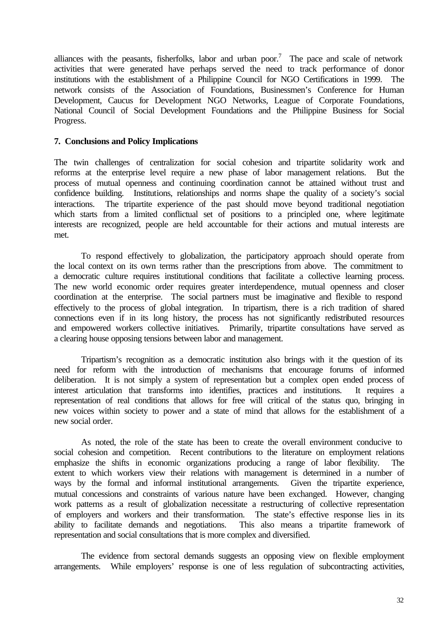alliances with the peasants, fisherfolks, labor and urban poor.<sup>7</sup> The pace and scale of network activities that were generated have perhaps served the need to track performance of donor institutions with the establishment of a Philippine Council for NGO Certifications in 1999. The network consists of the Association of Foundations, Businessmen's Conference for Human Development, Caucus for Development NGO Networks, League of Corporate Foundations, National Council of Social Development Foundations and the Philippine Business for Social Progress.

### **7. Conclusions and Policy Implications**

The twin challenges of centralization for social cohesion and tripartite solidarity work and reforms at the enterprise level require a new phase of labor management relations. But the process of mutual openness and continuing coordination cannot be attained without trust and confidence building. Institutions, relationships and norms shape the quality of a society's social interactions. The tripartite experience of the past should move beyond traditional negotiation which starts from a limited conflictual set of positions to a principled one, where legitimate interests are recognized, people are held accountable for their actions and mutual interests are met.

To respond effectively to globalization, the participatory approach should operate from the local context on its own terms rather than the prescriptions from above. The commitment to a democratic culture requires institutional conditions that facilitate a collective learning process. The new world economic order requires greater interdependence, mutual openness and closer coordination at the enterprise. The social partners must be imaginative and flexible to respond effectively to the process of global integration. In tripartism, there is a rich tradition of shared connections even if in its long history, the process has not significantly redistributed resources and empowered workers collective initiatives. Primarily, tripartite consultations have served as a clearing house opposing tensions between labor and management.

Tripartism's recognition as a democratic institution also brings with it the question of its need for reform with the introduction of mechanisms that encourage forums of informed deliberation. It is not simply a system of representation but a complex open ended process of interest articulation that transforms into identifies, practices and institutions. It requires a representation of real conditions that allows for free will critical of the status quo, bringing in new voices within society to power and a state of mind that allows for the establishment of a new social order.

As noted, the role of the state has been to create the overall environment conducive to social cohesion and competition. Recent contributions to the literature on employment relations emphasize the shifts in economic organizations producing a range of labor flexibility. The extent to which workers view their relations with management is determined in a number of ways by the formal and informal institutional arrangements. Given the tripartite experience, mutual concessions and constraints of various nature have been exchanged. However, changing work patterns as a result of globalization necessitate a restructuring of collective representation of employers and workers and their transformation. The state's effective response lies in its ability to facilitate demands and negotiations. This also means a tripartite framework of representation and social consultations that is more complex and diversified.

The evidence from sectoral demands suggests an opposing view on flexible employment arrangements. While employers' response is one of less regulation of subcontracting activities,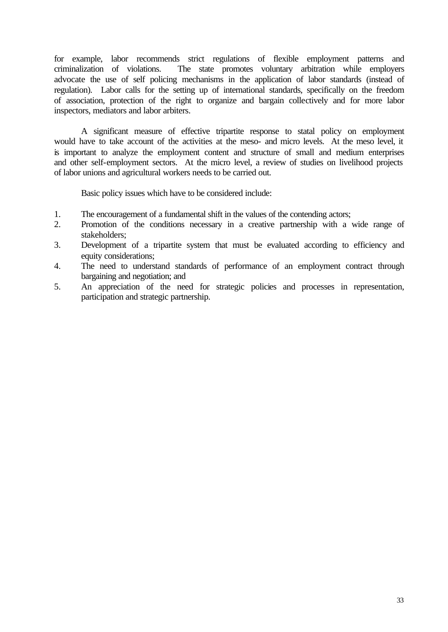for example, labor recommends strict regulations of flexible employment patterns and criminalization of violations. The state promotes voluntary arbitration while employers advocate the use of self policing mechanisms in the application of labor standards (instead of regulation). Labor calls for the setting up of international standards, specifically on the freedom of association, protection of the right to organize and bargain collectively and for more labor inspectors, mediators and labor arbiters.

A significant measure of effective tripartite response to statal policy on employment would have to take account of the activities at the meso- and micro levels. At the meso level, it is important to analyze the employment content and structure of small and medium enterprises and other self-employment sectors. At the micro level, a review of studies on livelihood projects of labor unions and agricultural workers needs to be carried out.

Basic policy issues which have to be considered include:

- 1. The encouragement of a fundamental shift in the values of the contending actors;
- 2. Promotion of the conditions necessary in a creative partnership with a wide range of stakeholders;
- 3. Development of a tripartite system that must be evaluated according to efficiency and equity considerations;
- 4. The need to understand standards of performance of an employment contract through bargaining and negotiation; and
- 5. An appreciation of the need for strategic policies and processes in representation, participation and strategic partnership.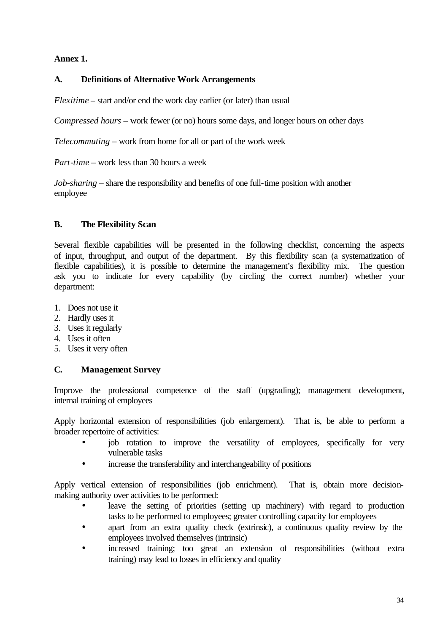## **Annex 1.**

## **A. Definitions of Alternative Work Arrangements**

*Flexitime* – start and/or end the work day earlier (or later) than usual

*Compressed hours* – work fewer (or no) hours some days, and longer hours on other days

*Telecommuting* – work from home for all or part of the work week

*Part-time* – work less than 30 hours a week

*Job-sharing* – share the responsibility and benefits of one full-time position with another employee

## **B. The Flexibility Scan**

Several flexible capabilities will be presented in the following checklist, concerning the aspects of input, throughput, and output of the department. By this flexibility scan (a systematization of flexible capabilities), it is possible to determine the management's flexibility mix. The question ask you to indicate for every capability (by circling the correct number) whether your department:

- 1. Does not use it
- 2. Hardly uses it
- 3. Uses it regularly
- 4. Uses it often
- 5. Uses it very often

### **C. Management Survey**

Improve the professional competence of the staff (upgrading); management development, internal training of employees

Apply horizontal extension of responsibilities (job enlargement). That is, be able to perform a broader repertoire of activities:

- job rotation to improve the versatility of employees, specifically for very vulnerable tasks
- increase the transferability and interchangeability of positions

Apply vertical extension of responsibilities (job enrichment). That is, obtain more decisionmaking authority over activities to be performed:

- leave the setting of priorities (setting up machinery) with regard to production tasks to be performed to employees; greater controlling capacity for employees
- apart from an extra quality check (extrinsic), a continuous quality review by the employees involved themselves (intrinsic)
- increased training; too great an extension of responsibilities (without extra training) may lead to losses in efficiency and quality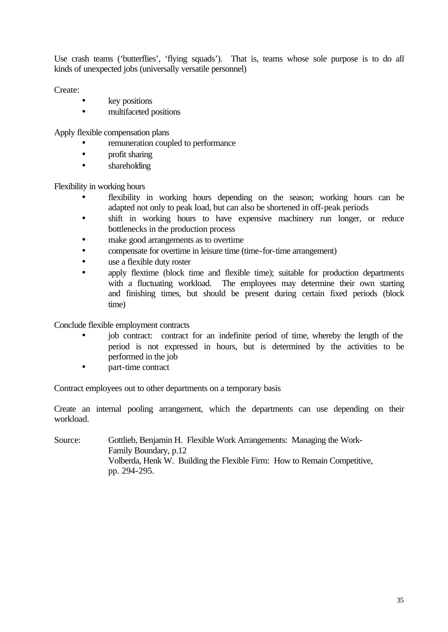Use crash teams ('butterflies', 'flying squads'). That is, teams whose sole purpose is to do all kinds of unexpected jobs (universally versatile personnel)

Create:

- key positions
- multifaceted positions

Apply flexible compensation plans

- remuneration coupled to performance
- profit sharing
- shareholding

Flexibility in working hours

- flexibility in working hours depending on the season; working hours can be adapted not only to peak load, but can also be shortened in off-peak periods
- shift in working hours to have expensive machinery run longer, or reduce bottlenecks in the production process
- make good arrangements as to overtime
- compensate for overtime in leisure time (time-for-time arrangement)
- use a flexible duty roster
- apply flextime (block time and flexible time); suitable for production departments with a fluctuating workload. The employees may determine their own starting and finishing times, but should be present during certain fixed periods (block time)

Conclude flexible employment contracts

- job contract: contract for an indefinite period of time, whereby the length of the period is not expressed in hours, but is determined by the activities to be performed in the job
- part-time contract

Contract employees out to other departments on a temporary basis

Create an internal pooling arrangement, which the departments can use depending on their workload.

Source: Gottlieb, Benjamin H. Flexible Work Arrangements: Managing the Work-Family Boundary, p.12 Volberda, Henk W. Building the Flexible Firm: How to Remain Competitive, pp. 294-295.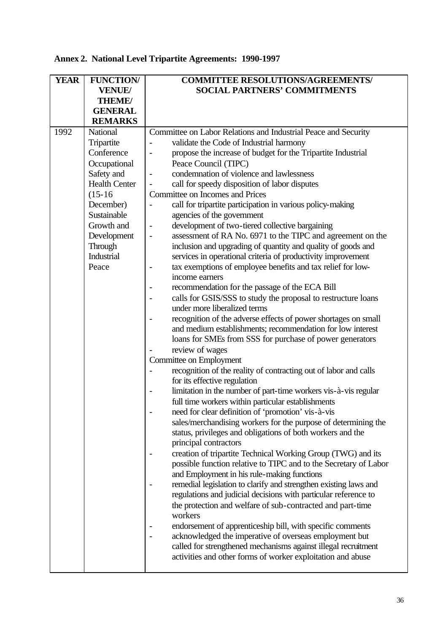# **Annex 2. National Level Tripartite Agreements: 1990-1997**

| <b>YEAR</b> | <b>FUNCTION/</b>     | <b>COMMITTEE RESOLUTIONS/AGREEMENTS/</b>                                                |
|-------------|----------------------|-----------------------------------------------------------------------------------------|
|             | <b>VENUE/</b>        | <b>SOCIAL PARTNERS' COMMITMENTS</b>                                                     |
|             | <b>THEME/</b>        |                                                                                         |
|             | <b>GENERAL</b>       |                                                                                         |
|             | <b>REMARKS</b>       |                                                                                         |
| 1992        | National             | Committee on Labor Relations and Industrial Peace and Security                          |
|             | Tripartite           | validate the Code of Industrial harmony                                                 |
|             | Conference           | propose the increase of budget for the Tripartite Industrial                            |
|             | Occupational         | Peace Council (TIPC)                                                                    |
|             | Safety and           | condemnation of violence and lawlessness<br>$\overline{a}$                              |
|             | <b>Health Center</b> | call for speedy disposition of labor disputes<br>$\overline{a}$                         |
|             | $(15-16)$            | <b>Committee on Incomes and Prices</b>                                                  |
|             | December)            | call for tripartite participation in various policy-making                              |
|             | Sustainable          | agencies of the government                                                              |
|             | Growth and           | development of two-tiered collective bargaining<br>-                                    |
|             | Development          | assessment of RA No. 6971 to the TIPC and agreement on the<br>$\qquad \qquad -$         |
|             | Through              | inclusion and upgrading of quantity and quality of goods and                            |
|             | Industrial           | services in operational criteria of productivity improvement                            |
|             | Peace                | tax exemptions of employee benefits and tax relief for low-<br>$\overline{\phantom{0}}$ |
|             |                      | income earners                                                                          |
|             |                      | recommendation for the passage of the ECA Bill                                          |
|             |                      | calls for GSIS/SSS to study the proposal to restructure loans                           |
|             |                      | under more liberalized terms                                                            |
|             |                      | recognition of the adverse effects of power shortages on small                          |
|             |                      | and medium establishments; recommendation for low interest                              |
|             |                      | loans for SMEs from SSS for purchase of power generators                                |
|             |                      | review of wages<br>Committee on Employment                                              |
|             |                      | recognition of the reality of contracting out of labor and calls                        |
|             |                      | for its effective regulation                                                            |
|             |                      | limitation in the number of part-time workers vis-à-vis regular                         |
|             |                      | full time workers within particular establishments                                      |
|             |                      | need for clear definition of 'promotion' vis-à-vis                                      |
|             |                      | sales/merchandising workers for the purpose of determining the                          |
|             |                      | status, privileges and obligations of both workers and the                              |
|             |                      | principal contractors                                                                   |
|             |                      | creation of tripartite Technical Working Group (TWG) and its                            |
|             |                      | possible function relative to TIPC and to the Secretary of Labor                        |
|             |                      | and Employment in his rule-making functions                                             |
|             |                      | remedial legislation to clarify and strengthen existing laws and                        |
|             |                      | regulations and judicial decisions with particular reference to                         |
|             |                      | the protection and welfare of sub-contracted and part-time<br>workers                   |
|             |                      | endorsement of apprenticeship bill, with specific comments                              |
|             |                      | acknowledged the imperative of overseas employment but                                  |
|             |                      | called for strengthened mechanisms against illegal recruitment                          |
|             |                      | activities and other forms of worker exploitation and abuse                             |
|             |                      |                                                                                         |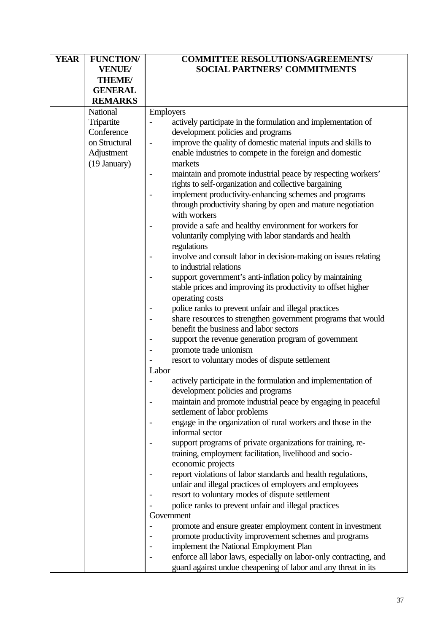| <b>YEAR</b> | <b>FUNCTION/</b> | <b>COMMITTEE RESOLUTIONS/AGREEMENTS/</b>                          |
|-------------|------------------|-------------------------------------------------------------------|
|             | <b>VENUE/</b>    | <b>SOCIAL PARTNERS' COMMITMENTS</b>                               |
|             | <b>THEME/</b>    |                                                                   |
|             | <b>GENERAL</b>   |                                                                   |
|             | <b>REMARKS</b>   |                                                                   |
|             | National         | <b>Employers</b>                                                  |
|             | Tripartite       | actively participate in the formulation and implementation of     |
|             | Conference       | development policies and programs                                 |
|             | on Structural    | improve the quality of domestic material inputs and skills to     |
|             |                  |                                                                   |
|             | Adjustment       | enable industries to compete in the foreign and domestic          |
|             | (19 January)     | markets                                                           |
|             |                  | maintain and promote industrial peace by respecting workers'      |
|             |                  | rights to self-organization and collective bargaining             |
|             |                  | implement productivity-enhancing schemes and programs             |
|             |                  | through productivity sharing by open and mature negotiation       |
|             |                  | with workers                                                      |
|             |                  | provide a safe and healthy environment for workers for            |
|             |                  | voluntarily complying with labor standards and health             |
|             |                  | regulations                                                       |
|             |                  | involve and consult labor in decision-making on issues relating   |
|             |                  | to industrial relations                                           |
|             |                  | support government's anti-inflation policy by maintaining         |
|             |                  | stable prices and improving its productivity to offset higher     |
|             |                  | operating costs                                                   |
|             |                  | police ranks to prevent unfair and illegal practices              |
|             |                  | share resources to strengthen government programs that would      |
|             |                  | benefit the business and labor sectors                            |
|             |                  | support the revenue generation program of government              |
|             |                  | promote trade unionism                                            |
|             |                  | resort to voluntary modes of dispute settlement                   |
|             |                  | Labor                                                             |
|             |                  | actively participate in the formulation and implementation of     |
|             |                  | development policies and programs                                 |
|             |                  | maintain and promote industrial peace by engaging in peaceful     |
|             |                  | settlement of labor problems                                      |
|             |                  | engage in the organization of rural workers and those in the      |
|             |                  | informal sector                                                   |
|             |                  | support programs of private organizations for training, re-       |
|             |                  | training, employment facilitation, livelihood and socio-          |
|             |                  | economic projects                                                 |
|             |                  | report violations of labor standards and health regulations,      |
|             |                  | unfair and illegal practices of employers and employees           |
|             |                  | resort to voluntary modes of dispute settlement                   |
|             |                  | police ranks to prevent unfair and illegal practices              |
|             |                  | Government                                                        |
|             |                  |                                                                   |
|             |                  | promote and ensure greater employment content in investment       |
|             |                  | promote productivity improvement schemes and programs             |
|             |                  | implement the National Employment Plan                            |
|             |                  | enforce all labor laws, especially on labor-only contracting, and |
|             |                  | guard against undue cheapening of labor and any threat in its     |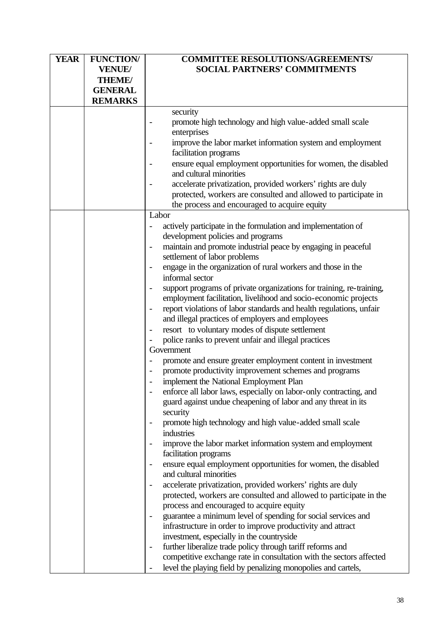| <b>SOCIAL PARTNERS' COMMITMENTS</b>                                                      |  |
|------------------------------------------------------------------------------------------|--|
| <b>VENUE/</b>                                                                            |  |
| <b>THEME/</b>                                                                            |  |
| <b>GENERAL</b>                                                                           |  |
| <b>REMARKS</b>                                                                           |  |
| security                                                                                 |  |
| promote high technology and high value-added small scale                                 |  |
| enterprises                                                                              |  |
| improve the labor market information system and employment                               |  |
| facilitation programs                                                                    |  |
|                                                                                          |  |
| ensure equal employment opportunities for women, the disabled<br>and cultural minorities |  |
|                                                                                          |  |
| accelerate privatization, provided workers' rights are duly                              |  |
| protected, workers are consulted and allowed to participate in                           |  |
| the process and encouraged to acquire equity                                             |  |
| Labor                                                                                    |  |
| actively participate in the formulation and implementation of                            |  |
| development policies and programs                                                        |  |
| maintain and promote industrial peace by engaging in peaceful                            |  |
| settlement of labor problems                                                             |  |
| engage in the organization of rural workers and those in the                             |  |
| informal sector                                                                          |  |
| support programs of private organizations for training, re-training,                     |  |
| employment facilitation, livelihood and socio-economic projects                          |  |
| report violations of labor standards and health regulations, unfair                      |  |
| and illegal practices of employers and employees                                         |  |
| resort to voluntary modes of dispute settlement                                          |  |
| police ranks to prevent unfair and illegal practices                                     |  |
| Government                                                                               |  |
| promote and ensure greater employment content in investment                              |  |
| promote productivity improvement schemes and programs                                    |  |
| implement the National Employment Plan                                                   |  |
| enforce all labor laws, especially on labor-only contracting, and                        |  |
| guard against undue cheapening of labor and any threat in its                            |  |
| security                                                                                 |  |
| promote high technology and high value-added small scale                                 |  |
| industries                                                                               |  |
| improve the labor market information system and employment                               |  |
| facilitation programs                                                                    |  |
| ensure equal employment opportunities for women, the disabled                            |  |
| and cultural minorities                                                                  |  |
| accelerate privatization, provided workers' rights are duly                              |  |
| protected, workers are consulted and allowed to participate in the                       |  |
| process and encouraged to acquire equity                                                 |  |
| guarantee a minimum level of spending for social services and                            |  |
| infrastructure in order to improve productivity and attract                              |  |
| investment, especially in the countryside                                                |  |
| further liberalize trade policy through tariff reforms and                               |  |
| competitive exchange rate in consultation with the sectors affected                      |  |
| level the playing field by penalizing monopolies and cartels,                            |  |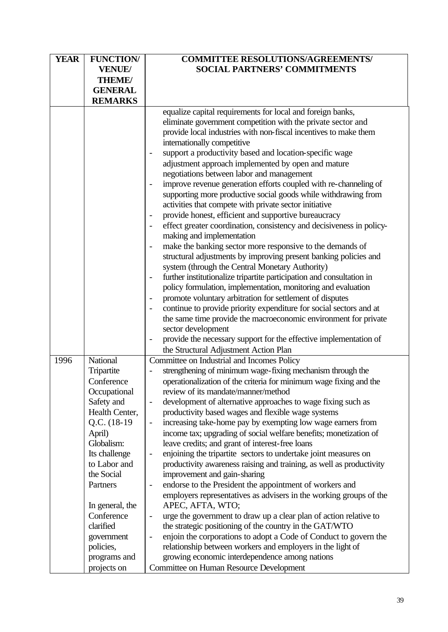| <b>YEAR</b> | <b>FUNCTION/</b> | <b>COMMITTEE RESOLUTIONS/AGREEMENTS/</b>                                                     |
|-------------|------------------|----------------------------------------------------------------------------------------------|
|             | <b>VENUE/</b>    | <b>SOCIAL PARTNERS' COMMITMENTS</b>                                                          |
|             | <b>THEME/</b>    |                                                                                              |
|             | <b>GENERAL</b>   |                                                                                              |
|             | <b>REMARKS</b>   |                                                                                              |
|             |                  | equalize capital requirements for local and foreign banks,                                   |
|             |                  | eliminate government competition with the private sector and                                 |
|             |                  | provide local industries with non-fiscal incentives to make them                             |
|             |                  | internationally competitive                                                                  |
|             |                  | support a productivity based and location-specific wage                                      |
|             |                  | adjustment approach implemented by open and mature                                           |
|             |                  | negotiations between labor and management                                                    |
|             |                  | improve revenue generation efforts coupled with re-channeling of                             |
|             |                  | supporting more productive social goods while withdrawing from                               |
|             |                  | activities that compete with private sector initiative                                       |
|             |                  | provide honest, efficient and supportive bureaucracy                                         |
|             |                  | effect greater coordination, consistency and decisiveness in policy-                         |
|             |                  | making and implementation                                                                    |
|             |                  | make the banking sector more responsive to the demands of                                    |
|             |                  | structural adjustments by improving present banking policies and                             |
|             |                  | system (through the Central Monetary Authority)                                              |
|             |                  | further institutionalize tripartite participation and consultation in                        |
|             |                  | policy formulation, implementation, monitoring and evaluation                                |
|             |                  | promote voluntary arbitration for settlement of disputes                                     |
|             |                  | continue to provide priority expenditure for social sectors and at                           |
|             |                  | the same time provide the macroeconomic environment for private<br>sector development        |
|             |                  | provide the necessary support for the effective implementation of                            |
|             |                  | the Structural Adjustment Action Plan                                                        |
| 1996        | National         | Committee on Industrial and Incomes Policy                                                   |
|             | Tripartite       | strengthening of minimum wage-fixing mechanism through the                                   |
|             | Conference       | operationalization of the criteria for minimum wage fixing and the                           |
|             | Occupational     | review of its mandate/manner/method                                                          |
|             | Safety and       | development of alternative approaches to wage fixing such as                                 |
|             | Health Center,   | productivity based wages and flexible wage systems                                           |
|             | $Q.C. (18-19)$   | increasing take-home pay by exempting low wage earners from                                  |
|             | April)           | income tax; upgrading of social welfare benefits; monetization of                            |
|             | Globalism:       | leave credits; and grant of interest-free loans                                              |
|             | Its challenge    | enjoining the tripartite sectors to undertake joint measures on<br>$\qquad \qquad -$         |
|             | to Labor and     | productivity awareness raising and training, as well as productivity                         |
|             | the Social       | improvement and gain-sharing                                                                 |
|             | Partners         | endorse to the President the appointment of workers and<br>$\overline{\phantom{0}}$          |
|             |                  | employers representatives as advisers in the working groups of the                           |
|             | In general, the  | APEC, AFTA, WTO;                                                                             |
|             | Conference       | urge the government to draw up a clear plan of action relative to                            |
|             | clarified        | the strategic positioning of the country in the GAT/WTO                                      |
|             | government       | enjoin the corporations to adopt a Code of Conduct to govern the<br>$\overline{\phantom{0}}$ |
|             | policies,        | relationship between workers and employers in the light of                                   |
|             | programs and     | growing economic interdependence among nations                                               |
|             | projects on      | Committee on Human Resource Development                                                      |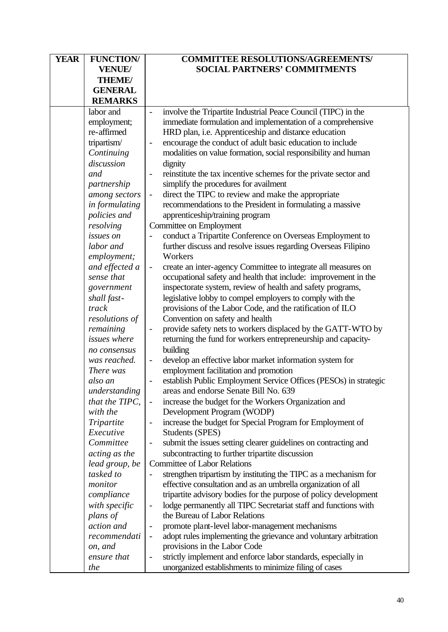| <b>YEAR</b> | <b>FUNCTION/</b>                | <b>COMMITTEE RESOLUTIONS/AGREEMENTS/</b>                                                    |
|-------------|---------------------------------|---------------------------------------------------------------------------------------------|
|             | <b>VENUE/</b>                   | <b>SOCIAL PARTNERS' COMMITMENTS</b>                                                         |
|             | <b>THEME/</b>                   |                                                                                             |
|             | <b>GENERAL</b>                  |                                                                                             |
|             | <b>REMARKS</b>                  |                                                                                             |
|             | labor and                       | involve the Tripartite Industrial Peace Council (TIPC) in the<br>$\overline{a}$             |
|             | employment;                     | immediate formulation and implementation of a comprehensive                                 |
|             | re-affirmed                     | HRD plan, i.e. Apprenticeship and distance education                                        |
|             | tripartism/                     | encourage the conduct of adult basic education to include                                   |
|             | Continuing                      | modalities on value formation, social responsibility and human                              |
|             | discussion                      | dignity                                                                                     |
|             | and                             | reinstitute the tax incentive schemes for the private sector and                            |
|             | partnership                     | simplify the procedures for availment                                                       |
|             | among sectors                   | direct the TIPC to review and make the appropriate<br>$\overline{\phantom{0}}$              |
|             | in formulating                  | recommendations to the President in formulating a massive                                   |
|             | policies and                    | apprenticeship/training program                                                             |
|             | resolving                       | Committee on Employment                                                                     |
|             | issues on                       | conduct a Tripartite Conference on Overseas Employment to                                   |
|             | labor and                       | further discuss and resolve issues regarding Overseas Filipino                              |
|             | employment;                     | Workers                                                                                     |
|             | and effected a                  | create an inter-agency Committee to integrate all measures on                               |
|             | sense that                      | occupational safety and health that include: improvement in the                             |
|             | government                      | inspectorate system, review of health and safety programs,                                  |
|             | shall fast-                     | legislative lobby to compel employers to comply with the                                    |
|             | track                           | provisions of the Labor Code, and the ratification of ILO                                   |
|             | resolutions of                  | Convention on safety and health                                                             |
|             | remaining                       | provide safety nets to workers displaced by the GATT-WTO by                                 |
|             | <i>issues</i> where             | returning the fund for workers entrepreneurship and capacity-                               |
|             | no consensus                    | building                                                                                    |
|             | was reached.                    | develop an effective labor market information system for<br>$\qquad \qquad \blacksquare$    |
|             | There was                       | employment facilitation and promotion                                                       |
|             | also an                         | establish Public Employment Service Offices (PESOs) in strategic                            |
|             | understanding                   | areas and endorse Senate Bill No. 639                                                       |
|             | that the TIPC,                  | increase the budget for the Workers Organization and                                        |
|             | with the                        | Development Program (WODP)                                                                  |
|             | Tripartite                      | increase the budget for Special Program for Employment of                                   |
|             | Executive<br>Committee          | <b>Students (SPES)</b>                                                                      |
|             |                                 | submit the issues setting clearer guidelines on contracting and<br>$\overline{\phantom{0}}$ |
|             | acting as the<br>lead group, be | subcontracting to further tripartite discussion<br><b>Committee of Labor Relations</b>      |
|             | tasked to                       | strengthen tripartism by instituting the TIPC as a mechanism for                            |
|             | monitor                         | effective consultation and as an umbrella organization of all                               |
|             | compliance                      | tripartite advisory bodies for the purpose of policy development                            |
|             | with specific                   | lodge permanently all TIPC Secretariat staff and functions with                             |
|             | plans of                        | the Bureau of Labor Relations                                                               |
|             | action and                      | promote plant-level labor-management mechanisms                                             |
|             | recommendati                    | adopt rules implementing the grievance and voluntary arbitration                            |
|             | on, and                         | provisions in the Labor Code                                                                |
|             | ensure that                     | strictly implement and enforce labor standards, especially in                               |
|             | the                             | unorganized establishments to minimize filing of cases                                      |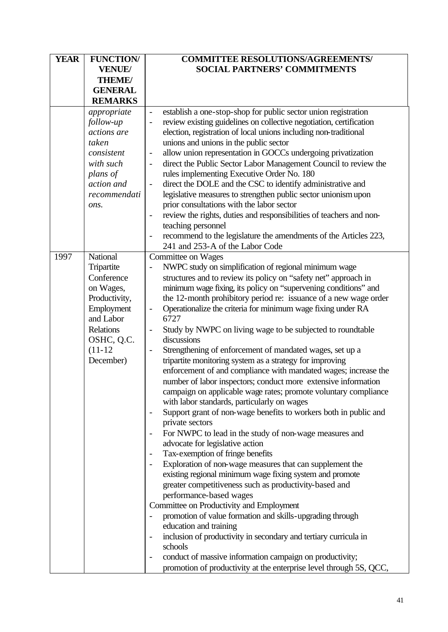| <b>YEAR</b> | <b>FUNCTION/</b>        | <b>COMMITTEE RESOLUTIONS/AGREEMENTS/</b>                                                              |
|-------------|-------------------------|-------------------------------------------------------------------------------------------------------|
|             | <b>VENUE/</b>           | <b>SOCIAL PARTNERS' COMMITMENTS</b>                                                                   |
|             | THEME/                  |                                                                                                       |
|             | <b>GENERAL</b>          |                                                                                                       |
|             | <b>REMARKS</b>          |                                                                                                       |
|             | appropriate             | establish a one-stop-shop for public sector union registration                                        |
|             | follow-up               | review existing guidelines on collective negotiation, certification                                   |
|             | actions are             | election, registration of local unions including non-traditional                                      |
|             | taken                   | unions and unions in the public sector                                                                |
|             | consistent              | allow union representation in GOCCs undergoing privatization<br>$\overline{a}$                        |
|             | with such               | direct the Public Sector Labor Management Council to review the<br>$\overline{\phantom{a}}$           |
|             | plans of                | rules implementing Executive Order No. 180                                                            |
|             | action and              | direct the DOLE and the CSC to identify administrative and                                            |
|             | recommendati            | legislative measures to strengthen public sector unionism upon                                        |
|             |                         | prior consultations with the labor sector                                                             |
|             | ons.                    |                                                                                                       |
|             |                         | review the rights, duties and responsibilities of teachers and non-<br>teaching personnel             |
|             |                         | recommend to the legislature the amendments of the Articles 223,                                      |
|             |                         | 241 and 253-A of the Labor Code                                                                       |
| 1997        | National                | Committee on Wages                                                                                    |
|             | Tripartite              | NWPC study on simplification of regional minimum wage                                                 |
|             | Conference              | structures and to review its policy on "safety net" approach in                                       |
|             |                         |                                                                                                       |
|             | on Wages,               | minimum wage fixing, its policy on "supervening conditions" and                                       |
|             | Productivity,           | the 12-month prohibitory period re: issuance of a new wage order                                      |
|             | Employment<br>and Labor | Operationalize the criteria for minimum wage fixing under RA<br>6727                                  |
|             |                         |                                                                                                       |
|             | <b>Relations</b>        | Study by NWPC on living wage to be subjected to roundtable<br>$\overline{\phantom{0}}$<br>discussions |
|             | OSHC, Q.C.              | Strengthening of enforcement of mandated wages, set up a                                              |
|             | $(11-12)$               |                                                                                                       |
|             | December)               | tripartite monitoring system as a strategy for improving                                              |
|             |                         | enforcement of and compliance with mandated wages; increase the                                       |
|             |                         | number of labor inspectors; conduct more extensive information                                        |
|             |                         | campaign on applicable wage rates; promote voluntary compliance                                       |
|             |                         | with labor standards, particularly on wages                                                           |
|             |                         | Support grant of non-wage benefits to workers both in public and                                      |
|             |                         | private sectors                                                                                       |
|             |                         | For NWPC to lead in the study of non-wage measures and                                                |
|             |                         | advocate for legislative action                                                                       |
|             |                         | Tax-exemption of fringe benefits                                                                      |
|             |                         | Exploration of non-wage measures that can supplement the                                              |
|             |                         | existing regional minimum wage fixing system and promote                                              |
|             |                         | greater competitiveness such as productivity-based and                                                |
|             |                         | performance-based wages                                                                               |
|             |                         | Committee on Productivity and Employment                                                              |
|             |                         | promotion of value formation and skills-upgrading through                                             |
|             |                         | education and training                                                                                |
|             |                         | inclusion of productivity in secondary and tertiary curricula in                                      |
|             |                         | schools                                                                                               |
|             |                         | conduct of massive information campaign on productivity;                                              |
|             |                         | promotion of productivity at the enterprise level through 5S, QCC,                                    |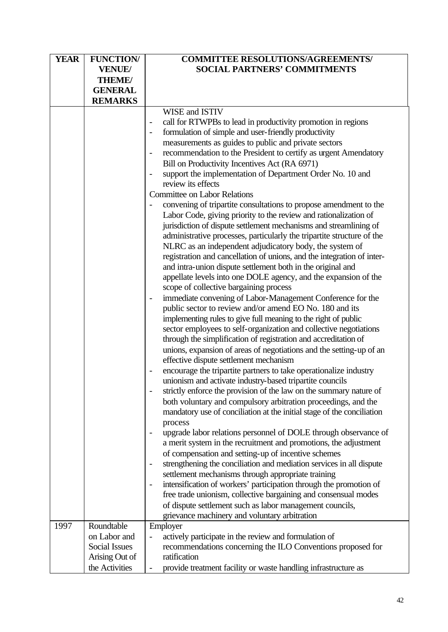| <b>SOCIAL PARTNERS' COMMITMENTS</b><br><b>VENUE/</b><br><b>THEME/</b><br><b>GENERAL</b><br><b>REMARKS</b><br>WISE and ISTIV<br>call for RTWPBs to lead in productivity promotion in regions<br>formulation of simple and user-friendly productivity<br>measurements as guides to public and private sectors<br>recommendation to the President to certify as urgent Amendatory |
|--------------------------------------------------------------------------------------------------------------------------------------------------------------------------------------------------------------------------------------------------------------------------------------------------------------------------------------------------------------------------------|
|                                                                                                                                                                                                                                                                                                                                                                                |
|                                                                                                                                                                                                                                                                                                                                                                                |
|                                                                                                                                                                                                                                                                                                                                                                                |
|                                                                                                                                                                                                                                                                                                                                                                                |
|                                                                                                                                                                                                                                                                                                                                                                                |
|                                                                                                                                                                                                                                                                                                                                                                                |
|                                                                                                                                                                                                                                                                                                                                                                                |
|                                                                                                                                                                                                                                                                                                                                                                                |
|                                                                                                                                                                                                                                                                                                                                                                                |
| Bill on Productivity Incentives Act (RA 6971)                                                                                                                                                                                                                                                                                                                                  |
| support the implementation of Department Order No. 10 and                                                                                                                                                                                                                                                                                                                      |
| review its effects                                                                                                                                                                                                                                                                                                                                                             |
| <b>Committee on Labor Relations</b>                                                                                                                                                                                                                                                                                                                                            |
| convening of tripartite consultations to propose amendment to the                                                                                                                                                                                                                                                                                                              |
| Labor Code, giving priority to the review and rationalization of                                                                                                                                                                                                                                                                                                               |
| jurisdiction of dispute settlement mechanisms and streamlining of                                                                                                                                                                                                                                                                                                              |
| administrative processes, particularly the tripartite structure of the                                                                                                                                                                                                                                                                                                         |
| NLRC as an independent adjudicatory body, the system of                                                                                                                                                                                                                                                                                                                        |
| registration and cancellation of unions, and the integration of inter-                                                                                                                                                                                                                                                                                                         |
| and intra-union dispute settlement both in the original and                                                                                                                                                                                                                                                                                                                    |
| appellate levels into one DOLE agency, and the expansion of the                                                                                                                                                                                                                                                                                                                |
| scope of collective bargaining process                                                                                                                                                                                                                                                                                                                                         |
| immediate convening of Labor-Management Conference for the                                                                                                                                                                                                                                                                                                                     |
| public sector to review and/or amend EO No. 180 and its                                                                                                                                                                                                                                                                                                                        |
| implementing rules to give full meaning to the right of public                                                                                                                                                                                                                                                                                                                 |
| sector employees to self-organization and collective negotiations                                                                                                                                                                                                                                                                                                              |
| through the simplification of registration and accreditation of                                                                                                                                                                                                                                                                                                                |
| unions, expansion of areas of negotiations and the setting-up of an                                                                                                                                                                                                                                                                                                            |
| effective dispute settlement mechanism                                                                                                                                                                                                                                                                                                                                         |
| encourage the tripartite partners to take operationalize industry<br>$\overline{\phantom{a}}$                                                                                                                                                                                                                                                                                  |
| unionism and activate industry-based tripartite councils                                                                                                                                                                                                                                                                                                                       |
| strictly enforce the provision of the law on the summary nature of                                                                                                                                                                                                                                                                                                             |
| both voluntary and compulsory arbitration proceedings, and the                                                                                                                                                                                                                                                                                                                 |
| mandatory use of conciliation at the initial stage of the conciliation                                                                                                                                                                                                                                                                                                         |
| process                                                                                                                                                                                                                                                                                                                                                                        |
| upgrade labor relations personnel of DOLE through observance of                                                                                                                                                                                                                                                                                                                |
| a merit system in the recruitment and promotions, the adjustment                                                                                                                                                                                                                                                                                                               |
| of compensation and setting-up of incentive schemes                                                                                                                                                                                                                                                                                                                            |
| strengthening the conciliation and mediation services in all dispute                                                                                                                                                                                                                                                                                                           |
| settlement mechanisms through appropriate training                                                                                                                                                                                                                                                                                                                             |
| intensification of workers' participation through the promotion of                                                                                                                                                                                                                                                                                                             |
| free trade unionism, collective bargaining and consensual modes                                                                                                                                                                                                                                                                                                                |
| of dispute settlement such as labor management councils,                                                                                                                                                                                                                                                                                                                       |
| grievance machinery and voluntary arbitration                                                                                                                                                                                                                                                                                                                                  |
| 1997<br>Roundtable<br>Employer                                                                                                                                                                                                                                                                                                                                                 |
| actively participate in the review and formulation of<br>on Labor and                                                                                                                                                                                                                                                                                                          |
| Social Issues<br>recommendations concerning the ILO Conventions proposed for                                                                                                                                                                                                                                                                                                   |
| ratification<br>Arising Out of                                                                                                                                                                                                                                                                                                                                                 |
| the Activities<br>provide treatment facility or waste handling infrastructure as                                                                                                                                                                                                                                                                                               |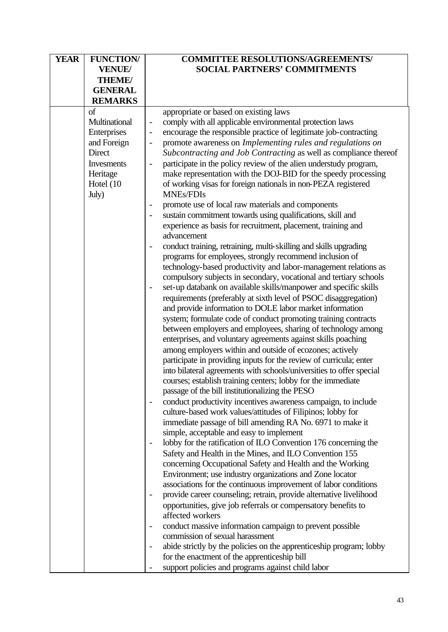| <b>YEAR</b> | <b>FUNCTION/</b>  | <b>COMMITTEE RESOLUTIONS/AGREEMENTS/</b>                                          |
|-------------|-------------------|-----------------------------------------------------------------------------------|
|             | <b>VENUE/</b>     | <b>SOCIAL PARTNERS' COMMITMENTS</b>                                               |
|             | <b>THEME/</b>     |                                                                                   |
|             | <b>GENERAL</b>    |                                                                                   |
|             | <b>REMARKS</b>    |                                                                                   |
|             | of                | appropriate or based on existing laws                                             |
|             | Multinational     | comply with all applicable environmental protection laws                          |
|             | Enterprises       | encourage the responsible practice of legitimate job-contracting                  |
|             | and Foreign       | promote awareness on Implementing rules and regulations on                        |
|             | Direct            | Subcontracting and Job Contracting as well as compliance thereof                  |
|             |                   |                                                                                   |
|             | <b>Invesments</b> | participate in the policy review of the alien understudy program,                 |
|             | Heritage          | make representation with the DOJ-BID for the speedy processing                    |
|             | Hotel (10         | of working visas for foreign nationals in non-PEZA registered                     |
|             | July)             | <b>MNEs/FDIs</b>                                                                  |
|             |                   | promote use of local raw materials and components                                 |
|             |                   | sustain commitment towards using qualifications, skill and                        |
|             |                   | experience as basis for recruitment, placement, training and                      |
|             |                   | advancement                                                                       |
|             |                   | conduct training, retraining, multi-skilling and skills upgrading                 |
|             |                   | programs for employees, strongly recommend inclusion of                           |
|             |                   | technology-based productivity and labor-management relations as                   |
|             |                   | compulsory subjects in secondary, vocational and tertiary schools                 |
|             |                   | set-up databank on available skills/manpower and specific skills                  |
|             |                   | requirements (preferably at sixth level of PSOC disaggregation)                   |
|             |                   | and provide information to DOLE labor market information                          |
|             |                   | system; formulate code of conduct promoting training contracts                    |
|             |                   |                                                                                   |
|             |                   | between employers and employees, sharing of technology among                      |
|             |                   | enterprises, and voluntary agreements against skills poaching                     |
|             |                   | among employers within and outside of ecozones; actively                          |
|             |                   | participate in providing inputs for the review of curricula; enter                |
|             |                   | into bilateral agreements with schools/universities to offer special              |
|             |                   | courses; establish training centers; lobby for the immediate                      |
|             |                   | passage of the bill institutionalizing the PESO                                   |
|             |                   | conduct productivity incentives awareness campaign, to include                    |
|             |                   | culture-based work values/attitudes of Filipinos; lobby for                       |
|             |                   | immediate passage of bill amending RA No. 6971 to make it                         |
|             |                   | simple, acceptable and easy to implement                                          |
|             |                   | lobby for the ratification of ILO Convention 176 concerning the                   |
|             |                   | Safety and Health in the Mines, and ILO Convention 155                            |
|             |                   | concerning Occupational Safety and Health and the Working                         |
|             |                   | Environment; use industry organizations and Zone locator                          |
|             |                   | associations for the continuous improvement of labor conditions                   |
|             |                   | provide career counseling; retrain, provide alternative livelihood                |
|             |                   |                                                                                   |
|             |                   | opportunities, give job referrals or compensatory benefits to<br>affected workers |
|             |                   |                                                                                   |
|             |                   | conduct massive information campaign to prevent possible                          |
|             |                   | commission of sexual harassment                                                   |
|             |                   | abide strictly by the policies on the apprenticeship program; lobby               |
|             |                   | for the enactment of the apprenticeship bill                                      |
|             |                   | support policies and programs against child labor                                 |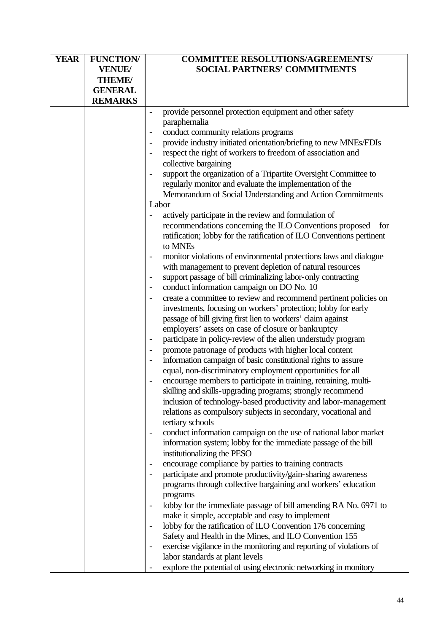| <b>YEAR</b> | <b>FUNCTION/</b> | <b>COMMITTEE RESOLUTIONS/AGREEMENTS/</b>                              |
|-------------|------------------|-----------------------------------------------------------------------|
|             | <b>VENUE/</b>    | <b>SOCIAL PARTNERS' COMMITMENTS</b>                                   |
|             | <b>THEME/</b>    |                                                                       |
|             | <b>GENERAL</b>   |                                                                       |
|             | <b>REMARKS</b>   |                                                                       |
|             |                  | provide personnel protection equipment and other safety               |
|             |                  | paraphernalia                                                         |
|             |                  | conduct community relations programs                                  |
|             |                  | provide industry initiated orientation/briefing to new MNEs/FDIs      |
|             |                  | respect the right of workers to freedom of association and            |
|             |                  | collective bargaining                                                 |
|             |                  | support the organization of a Tripartite Oversight Committee to       |
|             |                  | regularly monitor and evaluate the implementation of the              |
|             |                  | Memorandum of Social Understanding and Action Commitments             |
|             |                  | Labor                                                                 |
|             |                  | actively participate in the review and formulation of                 |
|             |                  | recommendations concerning the ILO Conventions proposed<br>for        |
|             |                  | ratification; lobby for the ratification of ILO Conventions pertinent |
|             |                  | to MNEs                                                               |
|             |                  | monitor violations of environmental protections laws and dialogue     |
|             |                  | with management to prevent depletion of natural resources             |
|             |                  | support passage of bill criminalizing labor-only contracting          |
|             |                  | conduct information campaign on DO No. 10                             |
|             |                  | create a committee to review and recommend pertinent policies on      |
|             |                  | investments, focusing on workers' protection; lobby for early         |
|             |                  | passage of bill giving first lien to workers' claim against           |
|             |                  | employers' assets on case of closure or bankruptcy                    |
|             |                  | participate in policy-review of the alien understudy program          |
|             |                  | promote patronage of products with higher local content               |
|             |                  | information campaign of basic constitutional rights to assure         |
|             |                  | equal, non-discriminatory employment opportunities for all            |
|             |                  | encourage members to participate in training, retraining, multi-      |
|             |                  | skilling and skills-upgrading programs; strongly recommend            |
|             |                  | inclusion of technology-based productivity and labor-management       |
|             |                  | relations as compulsory subjects in secondary, vocational and         |
|             |                  | tertiary schools                                                      |
|             |                  | conduct information campaign on the use of national labor market      |
|             |                  | information system; lobby for the immediate passage of the bill       |
|             |                  | institutionalizing the PESO                                           |
|             |                  | encourage compliance by parties to training contracts                 |
|             |                  | participate and promote productivity/gain-sharing awareness           |
|             |                  | programs through collective bargaining and workers' education         |
|             |                  | programs                                                              |
|             |                  | lobby for the immediate passage of bill amending RA No. 6971 to       |
|             |                  | make it simple, acceptable and easy to implement                      |
|             |                  | lobby for the ratification of ILO Convention 176 concerning           |
|             |                  | Safety and Health in the Mines, and ILO Convention 155                |
|             |                  | exercise vigilance in the monitoring and reporting of violations of   |
|             |                  | labor standards at plant levels                                       |
|             |                  | explore the potential of using electronic networking in monitory      |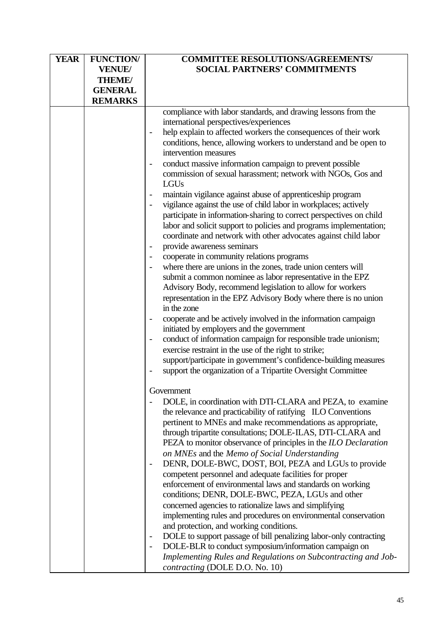| <b>YEAR</b> | <b>FUNCTION/</b> | <b>COMMITTEE RESOLUTIONS/AGREEMENTS/</b>                            |
|-------------|------------------|---------------------------------------------------------------------|
|             | <b>VENUE/</b>    | <b>SOCIAL PARTNERS' COMMITMENTS</b>                                 |
|             | <b>THEME/</b>    |                                                                     |
|             | <b>GENERAL</b>   |                                                                     |
|             | <b>REMARKS</b>   |                                                                     |
|             |                  | compliance with labor standards, and drawing lessons from the       |
|             |                  | international perspectives/experiences                              |
|             |                  | help explain to affected workers the consequences of their work     |
|             |                  | conditions, hence, allowing workers to understand and be open to    |
|             |                  | intervention measures                                               |
|             |                  | conduct massive information campaign to prevent possible            |
|             |                  | commission of sexual harassment; network with NGOs, Gos and<br>LGUs |
|             |                  | maintain vigilance against abuse of apprenticeship program          |
|             |                  | vigilance against the use of child labor in workplaces; actively    |
|             |                  | participate in information-sharing to correct perspectives on child |
|             |                  | labor and solicit support to policies and programs implementation;  |
|             |                  | coordinate and network with other advocates against child labor     |
|             |                  | provide awareness seminars                                          |
|             |                  | cooperate in community relations programs                           |
|             |                  | where there are unions in the zones, trade union centers will       |
|             |                  | submit a common nominee as labor representative in the EPZ          |
|             |                  | Advisory Body, recommend legislation to allow for workers           |
|             |                  | representation in the EPZ Advisory Body where there is no union     |
|             |                  | in the zone                                                         |
|             |                  | cooperate and be actively involved in the information campaign      |
|             |                  | initiated by employers and the government                           |
|             |                  | conduct of information campaign for responsible trade unionism;     |
|             |                  | exercise restraint in the use of the right to strike;               |
|             |                  | support/participate in government's confidence-building measures    |
|             |                  | support the organization of a Tripartite Oversight Committee        |
|             |                  | Government                                                          |
|             |                  | DOLE, in coordination with DTI-CLARA and PEZA, to examine           |
|             |                  | the relevance and practicability of ratifying ILO Conventions       |
|             |                  | pertinent to MNEs and make recommendations as appropriate,          |
|             |                  | through tripartite consultations; DOLE-ILAS, DTI-CLARA and          |
|             |                  | PEZA to monitor observance of principles in the ILO Declaration     |
|             |                  | on MNEs and the Memo of Social Understanding                        |
|             |                  | DENR, DOLE-BWC, DOST, BOI, PEZA and LGUs to provide                 |
|             |                  | competent personnel and adequate facilities for proper              |
|             |                  | enforcement of environmental laws and standards on working          |
|             |                  | conditions; DENR, DOLE-BWC, PEZA, LGUs and other                    |
|             |                  | concerned agencies to rationalize laws and simplifying              |
|             |                  | implementing rules and procedures on environmental conservation     |
|             |                  | and protection, and working conditions.                             |
|             |                  | DOLE to support passage of bill penalizing labor-only contracting   |
|             |                  | DOLE-BLR to conduct symposium/information campaign on               |
|             |                  | Implementing Rules and Regulations on Subcontracting and Job-       |
|             |                  | contracting (DOLE D.O. No. 10)                                      |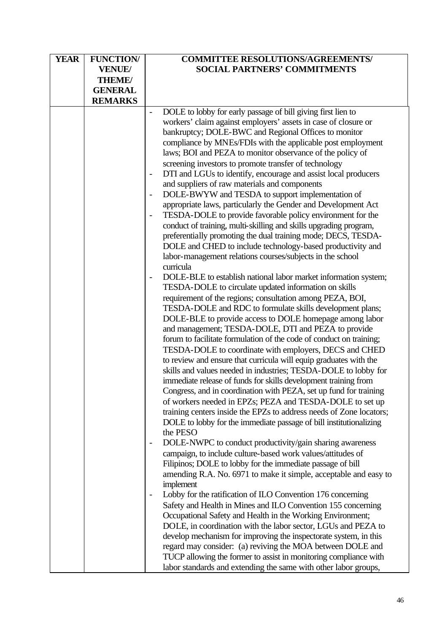| <b>YEAR</b> | <b>FUNCTION/</b> | <b>COMMITTEE RESOLUTIONS/AGREEMENTS/</b>                                       |
|-------------|------------------|--------------------------------------------------------------------------------|
|             | <b>VENUE/</b>    | <b>SOCIAL PARTNERS' COMMITMENTS</b>                                            |
|             | <b>THEME/</b>    |                                                                                |
|             | <b>GENERAL</b>   |                                                                                |
|             | <b>REMARKS</b>   |                                                                                |
|             |                  | DOLE to lobby for early passage of bill giving first lien to                   |
|             |                  | workers' claim against employers' assets in case of closure or                 |
|             |                  | bankruptcy; DOLE-BWC and Regional Offices to monitor                           |
|             |                  | compliance by MNEs/FDIs with the applicable post employment                    |
|             |                  | laws; BOI and PEZA to monitor observance of the policy of                      |
|             |                  | screening investors to promote transfer of technology                          |
|             |                  | DTI and LGUs to identify, encourage and assist local producers                 |
|             |                  | and suppliers of raw materials and components                                  |
|             |                  | DOLE-BWYW and TESDA to support implementation of<br>$\overline{\phantom{a}}$   |
|             |                  | appropriate laws, particularly the Gender and Development Act                  |
|             |                  | TESDA-DOLE to provide favorable policy environment for the                     |
|             |                  | conduct of training, multi-skilling and skills upgrading program,              |
|             |                  | preferentially promoting the dual training mode; DECS, TESDA-                  |
|             |                  | DOLE and CHED to include technology-based productivity and                     |
|             |                  | labor-management relations courses/subjects in the school                      |
|             |                  | curricula                                                                      |
|             |                  | DOLE-BLE to establish national labor market information system;                |
|             |                  | TESDA-DOLE to circulate updated information on skills                          |
|             |                  | requirement of the regions; consultation among PEZA, BOI,                      |
|             |                  | TESDA-DOLE and RDC to formulate skills development plans;                      |
|             |                  | DOLE-BLE to provide access to DOLE homepage among labor                        |
|             |                  | and management; TESDA-DOLE, DTI and PEZA to provide                            |
|             |                  | forum to facilitate formulation of the code of conduct on training;            |
|             |                  | TESDA-DOLE to coordinate with employers, DECS and CHED                         |
|             |                  | to review and ensure that curricula will equip graduates with the              |
|             |                  | skills and values needed in industries; TESDA-DOLE to lobby for                |
|             |                  | immediate release of funds for skills development training from                |
|             |                  | Congress, and in coordination with PEZA, set up fund for training              |
|             |                  | of workers needed in EPZs; PEZA and TESDA-DOLE to set up                       |
|             |                  | training centers inside the EPZs to address needs of Zone locators;            |
|             |                  | DOLE to lobby for the immediate passage of bill institutionalizing<br>the PESO |
|             |                  | DOLE-NWPC to conduct productivity/gain sharing awareness                       |
|             |                  | campaign, to include culture-based work values/attitudes of                    |
|             |                  | Filipinos; DOLE to lobby for the immediate passage of bill                     |
|             |                  | amending R.A. No. 6971 to make it simple, acceptable and easy to               |
|             |                  | implement                                                                      |
|             |                  | Lobby for the ratification of ILO Convention 176 concerning                    |
|             |                  | Safety and Health in Mines and ILO Convention 155 concerning                   |
|             |                  | Occupational Safety and Health in the Working Environment;                     |
|             |                  | DOLE, in coordination with the labor sector, LGUs and PEZA to                  |
|             |                  | develop mechanism for improving the inspectorate system, in this               |
|             |                  | regard may consider: (a) reviving the MOA between DOLE and                     |
|             |                  | TUCP allowing the former to assist in monitoring compliance with               |
|             |                  | labor standards and extending the same with other labor groups,                |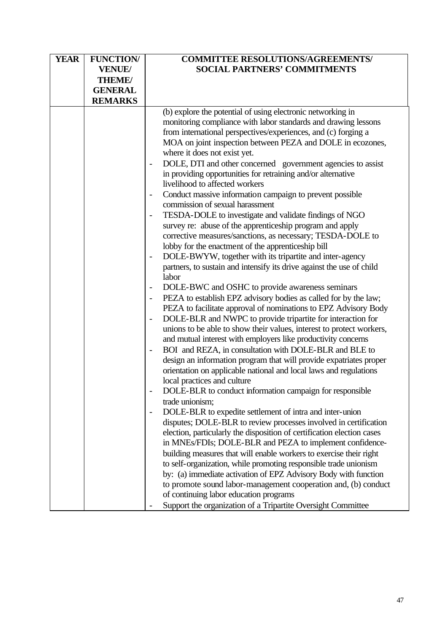| <b>YEAR</b> | <b>FUNCTION/</b> | <b>COMMITTEE RESOLUTIONS/AGREEMENTS/</b>                                         |
|-------------|------------------|----------------------------------------------------------------------------------|
|             | <b>VENUE/</b>    | <b>SOCIAL PARTNERS' COMMITMENTS</b>                                              |
|             | THEME/           |                                                                                  |
|             | <b>GENERAL</b>   |                                                                                  |
|             | <b>REMARKS</b>   |                                                                                  |
|             |                  | (b) explore the potential of using electronic networking in                      |
|             |                  | monitoring compliance with labor standards and drawing lessons                   |
|             |                  | from international perspectives/experiences, and (c) forging a                   |
|             |                  | MOA on joint inspection between PEZA and DOLE in ecozones,                       |
|             |                  | where it does not exist yet.                                                     |
|             |                  | DOLE, DTI and other concerned government agencies to assist                      |
|             |                  | in providing opportunities for retraining and/or alternative                     |
|             |                  | livelihood to affected workers                                                   |
|             |                  | Conduct massive information campaign to prevent possible                         |
|             |                  | commission of sexual harassment                                                  |
|             |                  | TESDA-DOLE to investigate and validate findings of NGO                           |
|             |                  | survey re: abuse of the apprenticeship program and apply                         |
|             |                  | corrective measures/sanctions, as necessary; TESDA-DOLE to                       |
|             |                  | lobby for the enactment of the apprenticeship bill                               |
|             |                  | DOLE-BWYW, together with its tripartite and inter-agency                         |
|             |                  | partners, to sustain and intensify its drive against the use of child            |
|             |                  | labor                                                                            |
|             |                  | DOLE-BWC and OSHC to provide awareness seminars                                  |
|             |                  | PEZA to establish EPZ advisory bodies as called for by the law;                  |
|             |                  | PEZA to facilitate approval of nominations to EPZ Advisory Body                  |
|             |                  | DOLE-BLR and NWPC to provide tripartite for interaction for<br>$\qquad \qquad -$ |
|             |                  | unions to be able to show their values, interest to protect workers,             |
|             |                  | and mutual interest with employers like productivity concerns                    |
|             |                  | BOI and REZA, in consultation with DOLE-BLR and BLE to                           |
|             |                  | design an information program that will provide expatriates proper               |
|             |                  | orientation on applicable national and local laws and regulations                |
|             |                  | local practices and culture                                                      |
|             |                  | DOLE-BLR to conduct information campaign for responsible                         |
|             |                  | trade unionism:                                                                  |
|             |                  | DOLE-BLR to expedite settlement of intra and inter-union                         |
|             |                  | disputes; DOLE-BLR to review processes involved in certification                 |
|             |                  | election, particularly the disposition of certification election cases           |
|             |                  | in MNEs/FDIs; DOLE-BLR and PEZA to implement confidence-                         |
|             |                  | building measures that will enable workers to exercise their right               |
|             |                  | to self-organization, while promoting responsible trade unionism                 |
|             |                  | by: (a) immediate activation of EPZ Advisory Body with function                  |
|             |                  | to promote sound labor-management cooperation and, (b) conduct                   |
|             |                  | of continuing labor education programs                                           |
|             |                  | Support the organization of a Tripartite Oversight Committee                     |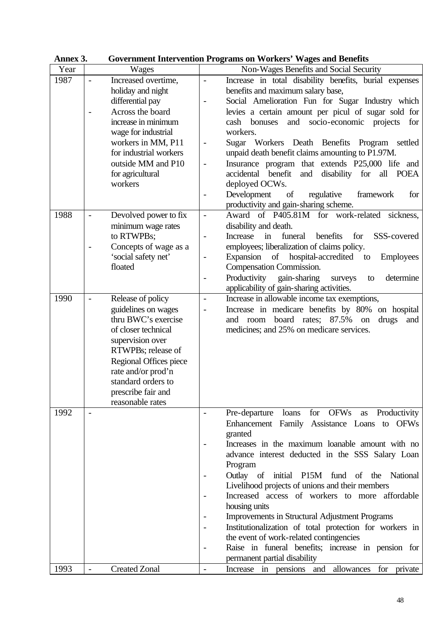| лшка ј |                                                   | OOVERINGIN THIEF VEHICLE FOGLATIS ON WOLKERS WAGES AND DETECTIS                   |
|--------|---------------------------------------------------|-----------------------------------------------------------------------------------|
| Year   | Wages                                             | Non-Wages Benefits and Social Security                                            |
| 1987   | Increased overtime,<br>$\overline{\phantom{0}}$   | Increase in total disability benefits, burial expenses<br>$\overline{a}$          |
|        | holiday and night                                 | benefits and maximum salary base,                                                 |
|        | differential pay                                  | Social Amelioration Fun for Sugar Industry which<br>$\overline{a}$                |
|        | Across the board                                  | levies a certain amount per picul of sugar sold for                               |
|        | increase in minimum                               | and socio-economic projects for<br>cash bonuses                                   |
|        | wage for industrial                               | workers.                                                                          |
|        | workers in MM, P11                                | Sugar Workers Death Benefits Program<br>settled<br>$\overline{a}$                 |
|        | for industrial workers                            | unpaid death benefit claims amounting to P1.97M.                                  |
|        | outside MM and P10                                | Insurance program that extends P25,000 life and<br>$\overline{\phantom{0}}$       |
|        | for agricultural                                  | benefit<br>and disability for<br>accidental<br>all POEA                           |
|        | workers                                           | deployed OCWs.                                                                    |
|        |                                                   |                                                                                   |
|        |                                                   | Development<br>regulative<br>of<br>framework<br>for<br>$\overline{\phantom{0}}$   |
|        |                                                   | productivity and gain-sharing scheme.                                             |
| 1988   | Devolved power to fix<br>$\overline{\phantom{a}}$ | Award of P405.81M for work-related<br>sickness.<br>$\overline{\phantom{a}}$       |
|        | minimum wage rates                                | disability and death.                                                             |
|        | to RTWPBs;                                        | Increase<br>in<br>funeral<br>benefits<br>for<br>SSS-covered<br>$\overline{a}$     |
|        | Concepts of wage as a                             | employees; liberalization of claims policy.                                       |
|        | 'social safety net'                               | Expansion of hospital-accredited to<br><b>Employees</b><br>$\qquad \qquad -$      |
|        | floated                                           | Compensation Commission.                                                          |
|        |                                                   | Productivity<br>gain-sharing<br>determine<br>surveys<br>to<br>$\qquad \qquad -$   |
|        |                                                   | applicability of gain-sharing activities.                                         |
| 1990   | Release of policy                                 | Increase in allowable income tax exemptions,<br>$\overline{\phantom{a}}$          |
|        | guidelines on wages                               | Increase in medicare benefits by 80% on hospital<br>$\overline{a}$                |
|        | thru BWC's exercise                               | board rates; 87.5%<br>and room<br>drugs<br>on<br>and                              |
|        | of closer technical                               | medicines; and 25% on medicare services.                                          |
|        | supervision over                                  |                                                                                   |
|        | RTWPBs; release of                                |                                                                                   |
|        | Regional Offices piece                            |                                                                                   |
|        | rate and/or prod'n                                |                                                                                   |
|        | standard orders to                                |                                                                                   |
|        | prescribe fair and                                |                                                                                   |
|        | reasonable rates                                  |                                                                                   |
| 1992   | $\overline{a}$                                    | for OFWs<br>Pre-departure loans<br>Productivity<br>as<br>$\overline{\phantom{a}}$ |
|        |                                                   | Enhancement Family Assistance Loans to OFWs                                       |
|        |                                                   | granted                                                                           |
|        |                                                   | Increases in the maximum loanable amount with no                                  |
|        |                                                   |                                                                                   |
|        |                                                   | advance interest deducted in the SSS Salary Loan                                  |
|        |                                                   | Program                                                                           |
|        |                                                   | Outlay of initial P15M fund of the National                                       |
|        |                                                   | Livelihood projects of unions and their members                                   |
|        |                                                   | Increased access of workers to more affordable                                    |
|        |                                                   | housing units                                                                     |
|        |                                                   | Improvements in Structural Adjustment Programs                                    |
|        |                                                   | Institutionalization of total protection for workers in                           |
|        |                                                   | the event of work-related contingencies                                           |
|        |                                                   | Raise in funeral benefits; increase in pension for<br>$\overline{\phantom{a}}$    |
|        |                                                   | permanent partial disability                                                      |
| 1993   | <b>Created Zonal</b><br>$\overline{\phantom{m}}$  | Increase in pensions and allowances for private<br>$\overline{\phantom{a}}$       |

**Annex 3. Government Intervention Programs on Workers' Wages and Benefits**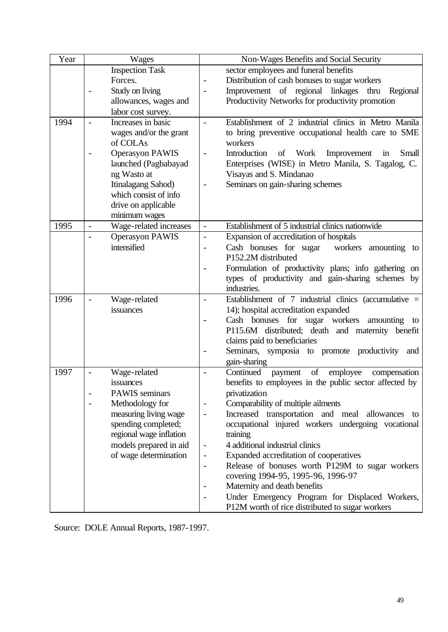| Year | <b>Wages</b>                                       | Non-Wages Benefits and Social Security                                       |
|------|----------------------------------------------------|------------------------------------------------------------------------------|
|      | <b>Inspection Task</b>                             | sector employees and funeral benefits                                        |
|      | Forces.                                            | Distribution of cash bonuses to sugar workers<br>$\qquad \qquad -$           |
|      | Study on living                                    | Improvement of regional linkages thru<br>Regional                            |
|      | allowances, wages and                              | Productivity Networks for productivity promotion                             |
|      | labor cost survey.                                 |                                                                              |
| 1994 | Increases in basic                                 | Establishment of 2 industrial clinics in Metro Manila<br>$\overline{a}$      |
|      | wages and/or the grant                             | to bring preventive occupational health care to SME                          |
|      | of COLAs                                           | workers                                                                      |
|      | <b>Operasyon PAWIS</b>                             | Introduction<br>of Work<br>Improvement<br>Small<br>in<br>$\overline{a}$      |
|      | launched (Pagbabayad                               | Enterprises (WISE) in Metro Manila, S. Tagalog, C.                           |
|      | ng Wasto at                                        | Visayas and S. Mindanao                                                      |
|      | Itinalagang Sahod)                                 | Seminars on gain-sharing schemes                                             |
|      | which consist of info                              |                                                                              |
|      | drive on applicable                                |                                                                              |
|      | minimum wages                                      |                                                                              |
| 1995 | Wage-related increases<br>$\overline{\phantom{0}}$ | Establishment of 5 industrial clinics nationwide<br>$\overline{\phantom{a}}$ |
|      | <b>Operasyon PAWIS</b>                             | Expansion of accreditation of hospitals<br>$\overline{\phantom{0}}$          |
|      | intensified                                        | Cash bonuses for sugar<br>workers amounting to<br>$\overline{\phantom{a}}$   |
|      |                                                    | P152.2M distributed                                                          |
|      |                                                    | Formulation of productivity plans; info gathering on                         |
|      |                                                    | types of productivity and gain-sharing schemes by                            |
|      |                                                    | industries.                                                                  |
| 1996 | Wage-related                                       | Establishment of $7$ industrial clinics (accumulative =<br>$\overline{a}$    |
|      | issuances                                          | 14); hospital accreditation expanded                                         |
|      |                                                    | Cash bonuses for sugar workers<br>amounting<br>to                            |
|      |                                                    | P115.6M distributed; death and maternity benefit                             |
|      |                                                    | claims paid to beneficiaries                                                 |
|      |                                                    | Seminars, symposia to promote productivity<br>and                            |
|      |                                                    | gain-sharing                                                                 |
| 1997 | Wage-related                                       | Continued<br>$\sigma f$<br>employee<br>payment<br>compensation               |
|      | issuances                                          | benefits to employees in the public sector affected by                       |
|      | <b>PAWIS</b> seminars                              | privatization                                                                |
|      | Methodology for                                    | Comparability of multiple ailments<br>-                                      |
|      | measuring living wage                              | Increased transportation and meal allowances to<br>$\overline{a}$            |
|      | spending completed;                                | occupational injured workers undergoing vocational                           |
|      | regional wage inflation                            | training                                                                     |
|      | models prepared in aid                             | 4 additional industrial clinics<br>$\overline{\phantom{a}}$                  |
|      | of wage determination                              | Expanded accreditation of cooperatives<br>$\overline{\phantom{0}}$           |
|      |                                                    | Release of bonuses worth P129M to sugar workers<br>$\overline{\phantom{a}}$  |
|      |                                                    | covering 1994-95, 1995-96, 1996-97                                           |
|      |                                                    | Maternity and death benefits                                                 |
|      |                                                    | Under Emergency Program for Displaced Workers,                               |
|      |                                                    | P12M worth of rice distributed to sugar workers                              |

Source: DOLE Annual Reports, 1987-1997.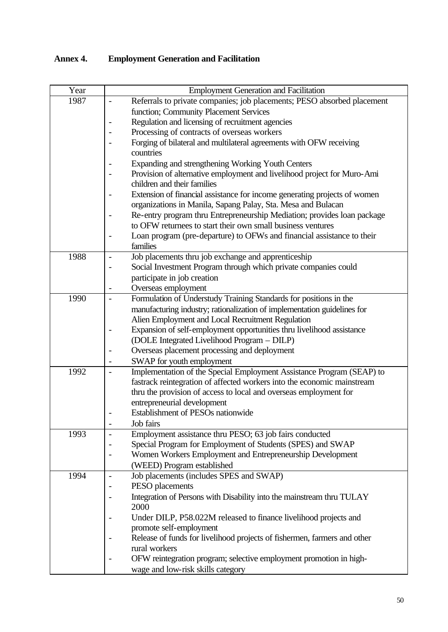# **Annex 4. Employment Generation and Facilitation**

| Year | <b>Employment Generation and Facilitation</b>                                                          |
|------|--------------------------------------------------------------------------------------------------------|
| 1987 | Referrals to private companies; job placements; PESO absorbed placement                                |
|      | function; Community Placement Services                                                                 |
|      | Regulation and licensing of recruitment agencies                                                       |
|      | Processing of contracts of overseas workers                                                            |
|      | Forging of bilateral and multilateral agreements with OFW receiving                                    |
|      | countries                                                                                              |
|      | Expanding and strengthening Working Youth Centers                                                      |
|      | Provision of alternative employment and livelihood project for Muro-Ami<br>children and their families |
|      | Extension of financial assistance for income generating projects of women                              |
|      | organizations in Manila, Sapang Palay, Sta. Mesa and Bulacan                                           |
|      | Re-entry program thru Entrepreneurship Mediation; provides loan package                                |
|      | to OFW returnees to start their own small business ventures                                            |
|      | Loan program (pre-departure) to OFWs and financial assistance to their                                 |
|      | families                                                                                               |
| 1988 | Job placements thru job exchange and apprenticeship                                                    |
|      | Social Investment Program through which private companies could                                        |
|      | participate in job creation                                                                            |
|      | Overseas employment                                                                                    |
| 1990 | Formulation of Understudy Training Standards for positions in the                                      |
|      | manufacturing industry; rationalization of implementation guidelines for                               |
|      | Alien Employment and Local Recruitment Regulation                                                      |
|      | Expansion of self-employment opportunities thru livelihood assistance                                  |
|      | (DOLE Integrated Livelihood Program - DILP)                                                            |
|      | Overseas placement processing and deployment                                                           |
|      | SWAP for youth employment                                                                              |
| 1992 | Implementation of the Special Employment Assistance Program (SEAP) to<br>$\overline{a}$                |
|      | fastrack reintegration of affected workers into the economic mainstream                                |
|      | thru the provision of access to local and overseas employment for                                      |
|      | entrepreneurial development                                                                            |
|      | Establishment of PESOs nationwide                                                                      |
|      | Job fairs<br>$\overline{a}$                                                                            |
| 1993 | Employment assistance thru PESO; 63 job fairs conducted<br>$\qquad \qquad \blacksquare$                |
|      | Special Program for Employment of Students (SPES) and SWAP                                             |
|      | Women Workers Employment and Entrepreneurship Development                                              |
|      | (WEED) Program established                                                                             |
| 1994 | Job placements (includes SPES and SWAP)<br>$\overline{a}$                                              |
|      | PESO placements                                                                                        |
|      | Integration of Persons with Disability into the mainstream thru TULAY<br>2000                          |
|      | Under DILP, P58.022M released to finance livelihood projects and                                       |
|      | promote self-employment                                                                                |
|      | Release of funds for livelihood projects of fishermen, farmers and other                               |
|      | rural workers                                                                                          |
|      | OFW reintegration program; selective employment promotion in high-                                     |
|      | wage and low-risk skills category                                                                      |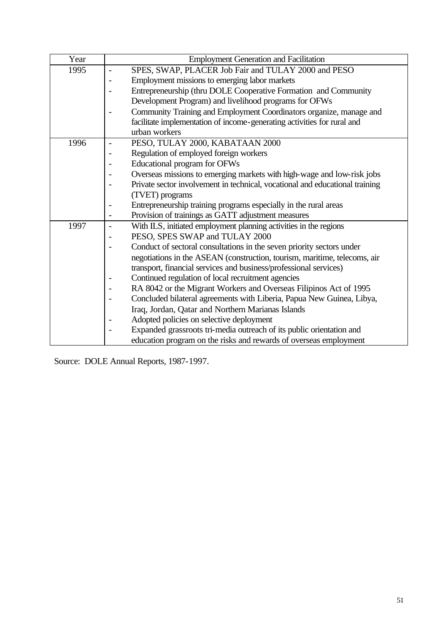| Year | <b>Employment Generation and Facilitation</b>                                           |  |
|------|-----------------------------------------------------------------------------------------|--|
| 1995 | SPES, SWAP, PLACER Job Fair and TULAY 2000 and PESO<br>$\overline{\phantom{0}}$         |  |
|      | Employment missions to emerging labor markets                                           |  |
|      | Entrepreneurship (thru DOLE Cooperative Formation and Community                         |  |
|      | Development Program) and livelihood programs for OFWs                                   |  |
|      | Community Training and Employment Coordinators organize, manage and                     |  |
|      | facilitate implementation of income-generating activities for rural and                 |  |
|      | urban workers                                                                           |  |
| 1996 | PESO, TULAY 2000, KABATAAN 2000<br>$\overline{\phantom{a}}$                             |  |
|      | Regulation of employed foreign workers                                                  |  |
|      | Educational program for OFWs                                                            |  |
|      | Overseas missions to emerging markets with high-wage and low-risk jobs                  |  |
|      | Private sector involvement in technical, vocational and educational training            |  |
|      | (TVET) programs                                                                         |  |
|      | Entrepreneurship training programs especially in the rural areas                        |  |
|      | Provision of trainings as GATT adjustment measures<br>$\overline{a}$                    |  |
| 1997 | With ILS, initiated employment planning activities in the regions                       |  |
|      | PESO, SPES SWAP and TULAY 2000                                                          |  |
|      | Conduct of sectoral consultations in the seven priority sectors under                   |  |
|      | negotiations in the ASEAN (construction, tourism, maritime, telecoms, air               |  |
|      | transport, financial services and business/professional services)                       |  |
|      | Continued regulation of local recruitment agencies                                      |  |
|      | RA 8042 or the Migrant Workers and Overseas Filipinos Act of 1995                       |  |
|      | Concluded bilateral agreements with Liberia, Papua New Guinea, Libya,                   |  |
|      | Iraq, Jordan, Qatar and Northern Marianas Islands                                       |  |
|      | Adopted policies on selective deployment                                                |  |
|      | Expanded grassroots tri-media outreach of its public orientation and<br>$\qquad \qquad$ |  |
|      | education program on the risks and rewards of overseas employment                       |  |

Source: DOLE Annual Reports, 1987-1997.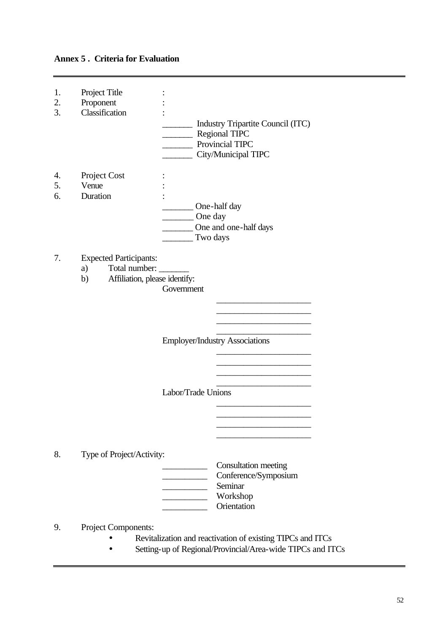# **Annex 5 . Criteria for Evaluation**

| 1.<br>2.<br>3. | Project Title<br>Proponent<br>Classification                                                | Provincial TIPC     | Industry Tripartite Council (ITC)<br><b>Regional TIPC</b><br>_ City/Municipal TIPC |
|----------------|---------------------------------------------------------------------------------------------|---------------------|------------------------------------------------------------------------------------|
| 4.<br>5.<br>6. | Project Cost<br>Venue<br>Duration                                                           | One day<br>Two days | __ One-half day<br>One and one-half days                                           |
| 7.             | <b>Expected Participants:</b><br>Total number:<br>a)<br>Affiliation, please identify:<br>b) | Government          | <b>Employer/Industry Associations</b>                                              |
|                |                                                                                             | Labor/Trade Unions  |                                                                                    |
| 8.             | Type of Project/Activity:                                                                   |                     | Consultation meeting<br>Conference/Symposium<br>Seminar<br>Workshop<br>Orientation |
| 9.             | Project Components:                                                                         |                     |                                                                                    |

- Revitalization and reactivation of existing TIPCs and ITCs
- Setting-up of Regional/Provincial/Area-wide TIPCs and ITCs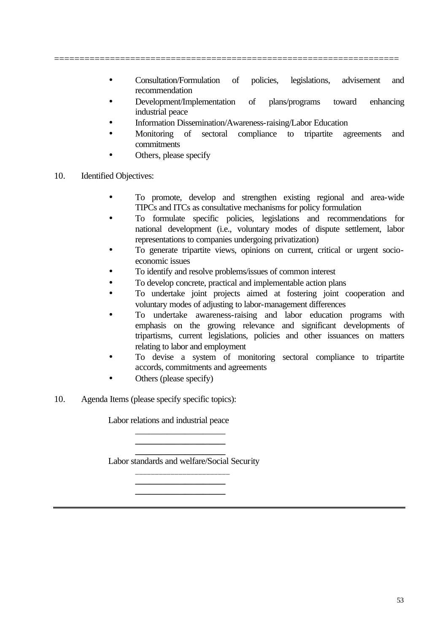- Consultation/Formulation of policies, legislations, advisement and recommendation
- Development/Implementation of plans/programs toward enhancing industrial peace
- Information Dissemination/Awareness-raising/Labor Education
- Monitoring of sectoral compliance to tripartite agreements and commitments
	- Others, please specify
- 10. Identified Objectives:
	- To promote, develop and strengthen existing regional and area-wide TIPCs and ITCs as consultative mechanisms for policy formulation
	- To formulate specific policies, legislations and recommendations for national development (i.e., voluntary modes of dispute settlement, labor representations to companies undergoing privatization)
	- To generate tripartite views, opinions on current, critical or urgent socioeconomic issues
	- To identify and resolve problems/issues of common interest
	- To develop concrete, practical and implementable action plans
	- To undertake joint projects aimed at fostering joint cooperation and voluntary modes of adjusting to labor-management differences
	- To undertake awareness-raising and labor education programs with emphasis on the growing relevance and significant developments of tripartisms, current legislations, policies and other issuances on matters relating to labor and employment
	- To devise a system of monitoring sectoral compliance to tripartite accords, commitments and agreements
	- Others (please specify)
- 10. Agenda Items (please specify specific topics):

Labor relations and industrial peace

**\_\_\_\_\_\_\_\_\_\_\_\_\_\_\_\_\_\_\_\_** Labor standards and welfare/Social Security \_\_\_\_\_\_\_\_\_\_\_\_\_\_\_\_\_\_\_\_\_\_\_\_

> **\_\_\_\_\_\_\_\_\_\_\_\_\_\_\_\_\_\_\_\_ \_\_\_\_\_\_\_\_\_\_\_\_\_\_\_\_\_\_\_\_**

> \_\_\_\_\_\_\_\_\_\_\_\_\_\_\_\_\_\_\_\_ **\_\_\_\_\_\_\_\_\_\_\_\_\_\_\_\_\_\_\_\_**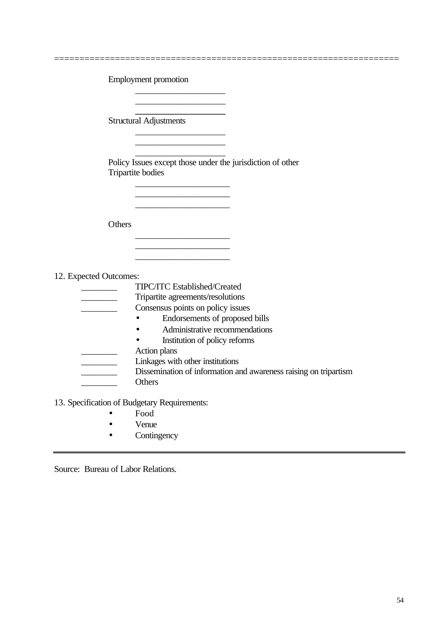| <b>Employment promotion</b> |
|-----------------------------|
|-----------------------------|

\_\_\_\_\_\_\_\_\_\_\_\_\_\_\_\_\_\_\_\_

**\_\_\_\_\_\_\_\_\_\_\_\_\_\_\_\_\_\_\_\_**

\_\_\_\_\_\_\_\_\_\_\_\_\_\_\_\_\_\_\_\_  $\overline{\phantom{a}}$  , and the set of the set of the set of the set of the set of the set of the set of the set of the set of the set of the set of the set of the set of the set of the set of the set of the set of the set of the s

\_\_\_\_\_\_\_\_\_\_\_\_\_\_\_\_\_\_\_\_\_

 $\mathcal{L}_\text{max}$  , where  $\mathcal{L}_\text{max}$  and  $\mathcal{L}_\text{max}$ 

\_\_\_\_\_\_\_\_\_\_\_\_\_\_\_\_\_\_\_\_\_  $\mathcal{L}_\text{max}$  , where  $\mathcal{L}_\text{max}$  and  $\mathcal{L}_\text{max}$ 

Structural Adjustments

\_\_\_\_\_\_\_\_\_\_\_\_\_\_\_\_\_\_\_\_ Policy Issues except those under the jurisdiction of other Tripartite bodies

====================================================================

**Others** 

12. Expected Outcomes:

\_\_\_\_\_\_\_\_ TIPC/ITC Established/Created \_\_\_\_\_\_\_\_ Tripartite agreements/resolutions Consensus points on policy issues • Endorsements of proposed bills • Administrative recommendations • Institution of policy reforms Action plans \_\_\_\_\_\_\_\_ Linkages with other institutions **EXECUTE:** Dissemination of information and awareness raising on tripartism \_\_\_\_\_\_\_\_ Others

13. Specification of Budgetary Requirements:

- Food
- Venue
- Contingency

Source: Bureau of Labor Relations.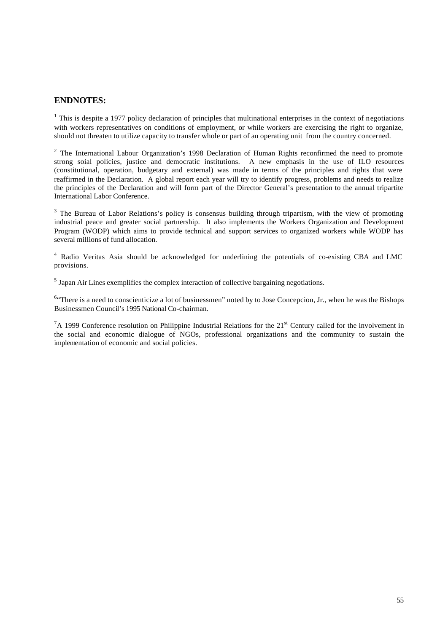#### **ENDNOTES:**

 1 This is despite a 1977 policy declaration of principles that multinational enterprises in the context of negotiations with workers representatives on conditions of employment, or while workers are exercising the right to organize, should not threaten to utilize capacity to transfer whole or part of an operating unit from the country concerned.

<sup>2</sup> The International Labour Organization's 1998 Declaration of Human Rights reconfirmed the need to promote strong soial policies, justice and democratic institutions. A new emphasis in the use of ILO resources (constitutional, operation, budgetary and external) was made in terms of the principles and rights that were reaffirmed in the Declaration. A global report each year will try to identify progress, problems and needs to realize the principles of the Declaration and will form part of the Director General's presentation to the annual tripartite International Labor Conference.

 $3$  The Bureau of Labor Relations's policy is consensus building through tripartism, with the view of promoting industrial peace and greater social partnership. It also implements the Workers Organization and Development Program (WODP) which aims to provide technical and support services to organized workers while WODP has several millions of fund allocation.

<sup>4</sup> Radio Veritas Asia should be acknowledged for underlining the potentials of co-existing CBA and LMC provisions.

 $<sup>5</sup>$  Japan Air Lines exemplifies the complex interaction of collective bargaining negotiations.</sup>

 $64$  There is a need to conscienticize a lot of businessmen" noted by to Jose Concepcion, Jr., when he was the Bishops Businessmen Council's 1995 National Co-chairman.

 ${}^{7}A$  1999 Conference resolution on Philippine Industrial Relations for the 21<sup>st</sup> Century called for the involvement in the social and economic dialogue of NGOs, professional organizations and the community to sustain the implementation of economic and social policies.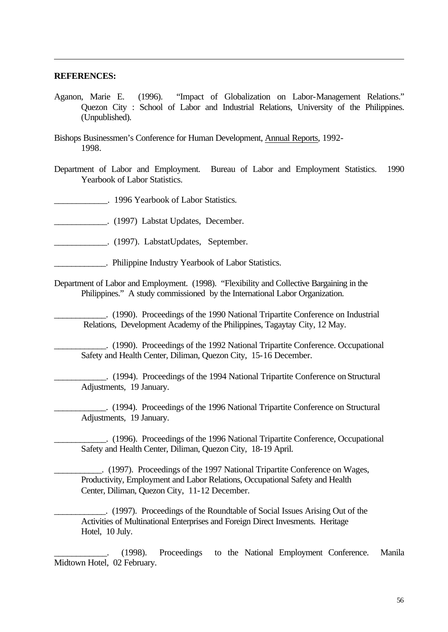#### **REFERENCES:**

l

- Aganon, Marie E. (1996). "Impact of Globalization on Labor-Management Relations." Quezon City : School of Labor and Industrial Relations, University of the Philippines. (Unpublished).
- Bishops Businessmen's Conference for Human Development, Annual Reports, 1992- 1998.
- Department of Labor and Employment. Bureau of Labor and Employment Statistics. 1990 Yearbook of Labor Statistics.
- \_\_\_\_\_\_\_\_\_\_\_\_. 1996 Yearbook of Labor Statistics.
- \_\_\_\_\_\_\_\_\_\_\_\_. (1997) Labstat Updates, December.
- \_\_\_\_\_\_\_\_\_\_\_\_. (1997). LabstatUpdates, September.
- \_\_\_\_\_\_\_\_\_\_\_\_. Philippine Industry Yearbook of Labor Statistics.
- Department of Labor and Employment. (1998). "Flexibility and Collective Bargaining in the Philippines." A study commissioned by the International Labor Organization.
	- \_\_\_\_\_\_\_\_\_\_\_\_. (1990). Proceedings of the 1990 National Tripartite Conference on Industrial Relations, Development Academy of the Philippines, Tagaytay City, 12 May.
		- \_\_\_\_\_\_\_\_\_\_\_\_. (1990). Proceedings of the 1992 National Tripartite Conference. Occupational Safety and Health Center, Diliman, Quezon City, 15-16 December.
		- \_\_\_\_\_\_\_\_\_\_\_\_. (1994). Proceedings of the 1994 National Tripartite Conference on Structural Adjustments, 19 January.
	- \_\_\_\_\_\_\_\_\_\_\_\_. (1994). Proceedings of the 1996 National Tripartite Conference on Structural Adjustments, 19 January.
		- \_\_\_\_\_\_\_\_\_\_\_\_. (1996). Proceedings of the 1996 National Tripartite Conference, Occupational Safety and Health Center, Diliman, Quezon City, 18-19 April.
		- \_\_\_\_\_\_\_\_\_\_\_. (1997). Proceedings of the 1997 National Tripartite Conference on Wages, Productivity, Employment and Labor Relations, Occupational Safety and Health Center, Diliman, Quezon City, 11-12 December.
	- \_\_\_\_\_\_\_\_\_\_\_\_. (1997). Proceedings of the Roundtable of Social Issues Arising Out of the Activities of Multinational Enterprises and Foreign Direct Invesments. Heritage Hotel, 10 July.
- \_\_\_\_\_\_\_\_\_\_\_\_. (1998). Proceedings to the National Employment Conference. Manila Midtown Hotel, 02 February.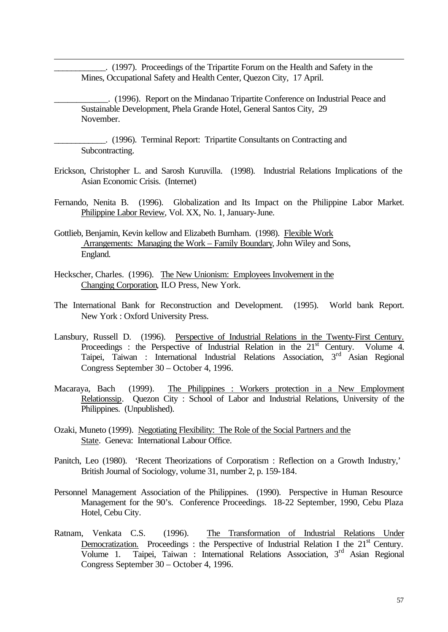\_\_\_\_\_\_\_\_\_\_\_\_. (1997). Proceedings of the Tripartite Forum on the Health and Safety in the Mines, Occupational Safety and Health Center, Quezon City, 17 April.

\_\_\_\_\_\_\_\_\_\_\_\_. (1996). Report on the Mindanao Tripartite Conference on Industrial Peace and Sustainable Development, Phela Grande Hotel, General Santos City, 29 November.

\_\_\_\_\_\_\_\_\_\_\_\_. (1996). Terminal Report: Tripartite Consultants on Contracting and Subcontracting.

l

- Erickson, Christopher L. and Sarosh Kuruvilla. (1998). Industrial Relations Implications of the Asian Economic Crisis. (Internet)
- Fernando, Nenita B. (1996). Globalization and Its Impact on the Philippine Labor Market. Philippine Labor Review, Vol. XX, No. 1, January-June.
- Gottlieb, Benjamin, Kevin kellow and Elizabeth Burnham. (1998). Flexible Work Arrangements: Managing the Work – Family Boundary, John Wiley and Sons, England.
- Heckscher, Charles. (1996). The New Unionism: Employees Involvement in the Changing Corporation, ILO Press, New York.
- The International Bank for Reconstruction and Development. (1995). World bank Report. New York : Oxford University Press.
- Lansbury, Russell D. (1996). Perspective of Industrial Relations in the Twenty-First Century. Proceedings : the Perspective of Industrial Relation in the 21<sup>st</sup> Century. Volume 4. Taipei, Taiwan : International Industrial Relations Association, 3<sup>rd</sup> Asian Regional Congress September 30 – October 4, 1996.
- Macaraya, Bach (1999). The Philippines : Workers protection in a New Employment Relationssip. Quezon City : School of Labor and Industrial Relations, University of the Philippines. (Unpublished).
- Ozaki, Muneto (1999). Negotiating Flexibility: The Role of the Social Partners and the State. Geneva: International Labour Office.
- Panitch, Leo (1980). 'Recent Theorizations of Corporatism : Reflection on a Growth Industry,' British Journal of Sociology, volume 31, number 2, p. 159-184.
- Personnel Management Association of the Philippines. (1990). Perspective in Human Resource Management for the 90's. Conference Proceedings. 18-22 September, 1990, Cebu Plaza Hotel, Cebu City.
- Ratnam, Venkata C.S. (1996). The Transformation of Industrial Relations Under Democratization. Proceedings : the Perspective of Industrial Relation I the  $21<sup>st</sup>$  Century. Volume 1. Taipei, Taiwan : International Relations Association, 3<sup>rd</sup> Asian Regional Congress September 30 – October 4, 1996.